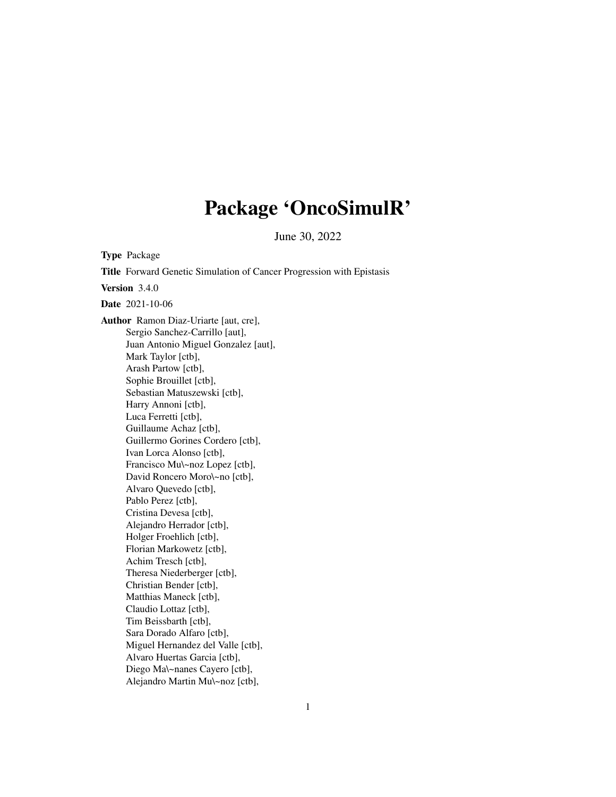# Package 'OncoSimulR'

June 30, 2022

<span id="page-0-0"></span>Type Package Title Forward Genetic Simulation of Cancer Progression with Epistasis Version 3.4.0 Date 2021-10-06 Author Ramon Diaz-Uriarte [aut, cre], Sergio Sanchez-Carrillo [aut], Juan Antonio Miguel Gonzalez [aut], Mark Taylor [ctb], Arash Partow [ctb], Sophie Brouillet [ctb], Sebastian Matuszewski [ctb], Harry Annoni [ctb], Luca Ferretti [ctb], Guillaume Achaz [ctb], Guillermo Gorines Cordero [ctb], Ivan Lorca Alonso [ctb], Francisco Mu\~noz Lopez [ctb], David Roncero Moro\~no [ctb], Alvaro Quevedo [ctb], Pablo Perez [ctb], Cristina Devesa [ctb], Alejandro Herrador [ctb], Holger Froehlich [ctb], Florian Markowetz [ctb], Achim Tresch [ctb], Theresa Niederberger [ctb], Christian Bender [ctb], Matthias Maneck [ctb], Claudio Lottaz [ctb], Tim Beissbarth [ctb], Sara Dorado Alfaro [ctb], Miguel Hernandez del Valle [ctb], Alvaro Huertas Garcia [ctb], Diego Ma\~nanes Cayero [ctb], Alejandro Martin Mu\~noz [ctb],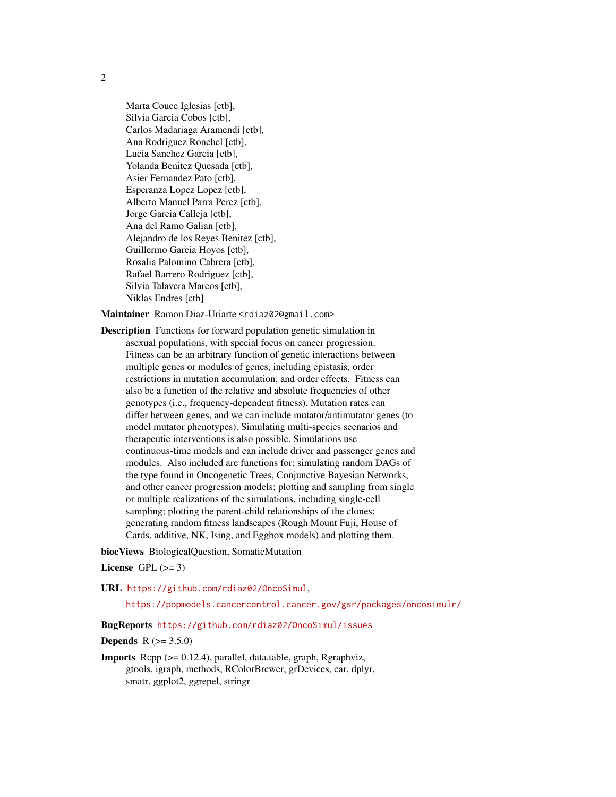Marta Couce Iglesias [ctb], Silvia Garcia Cobos [ctb], Carlos Madariaga Aramendi [ctb], Ana Rodriguez Ronchel [ctb], Lucia Sanchez Garcia [ctb], Yolanda Benitez Quesada [ctb], Asier Fernandez Pato [ctb], Esperanza Lopez Lopez [ctb], Alberto Manuel Parra Perez [ctb], Jorge Garcia Calleja [ctb], Ana del Ramo Galian [ctb], Alejandro de los Reyes Benitez [ctb], Guillermo Garcia Hoyos [ctb], Rosalia Palomino Cabrera [ctb], Rafael Barrero Rodriguez [ctb], Silvia Talavera Marcos [ctb], Niklas Endres [ctb]

Maintainer Ramon Diaz-Uriarte <rdiaz02@gmail.com>

Description Functions for forward population genetic simulation in asexual populations, with special focus on cancer progression. Fitness can be an arbitrary function of genetic interactions between multiple genes or modules of genes, including epistasis, order restrictions in mutation accumulation, and order effects. Fitness can also be a function of the relative and absolute frequencies of other genotypes (i.e., frequency-dependent fitness). Mutation rates can differ between genes, and we can include mutator/antimutator genes (to model mutator phenotypes). Simulating multi-species scenarios and therapeutic interventions is also possible. Simulations use continuous-time models and can include driver and passenger genes and modules. Also included are functions for: simulating random DAGs of the type found in Oncogenetic Trees, Conjunctive Bayesian Networks, and other cancer progression models; plotting and sampling from single or multiple realizations of the simulations, including single-cell sampling; plotting the parent-child relationships of the clones; generating random fitness landscapes (Rough Mount Fuji, House of Cards, additive, NK, Ising, and Eggbox models) and plotting them.

biocViews BiologicalQuestion, SomaticMutation

# License GPL  $(>= 3)$

URL <https://github.com/rdiaz02/OncoSimul>,

<https://popmodels.cancercontrol.cancer.gov/gsr/packages/oncosimulr/>

# BugReports <https://github.com/rdiaz02/OncoSimul/issues>

#### **Depends**  $R (= 3.5.0)$

Imports Rcpp (>= 0.12.4), parallel, data.table, graph, Rgraphviz, gtools, igraph, methods, RColorBrewer, grDevices, car, dplyr, smatr, ggplot2, ggrepel, stringr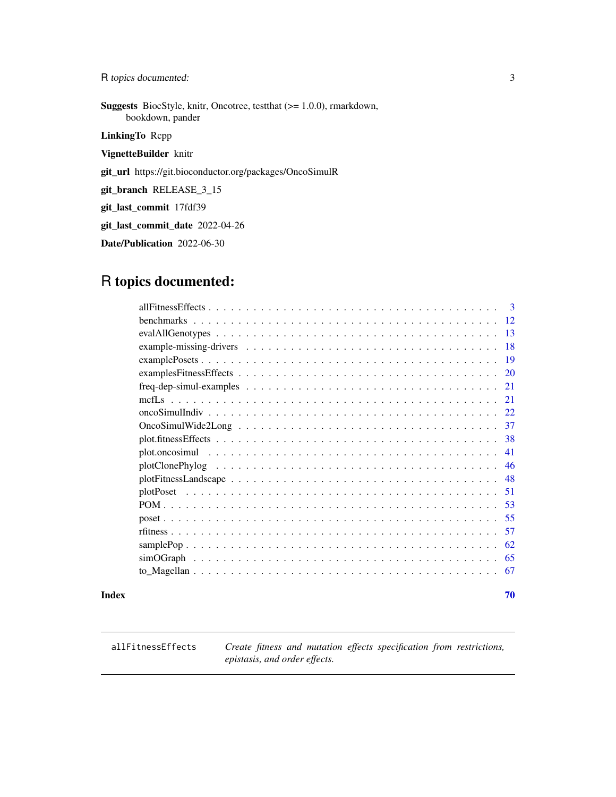<span id="page-2-0"></span>R topics documented: 3

Suggests BiocStyle, knitr, Oncotree, testthat (>= 1.0.0), rmarkdown, bookdown, pander

LinkingTo Rcpp

VignetteBuilder knitr

git\_url https://git.bioconductor.org/packages/OncoSimulR

git\_branch RELEASE\_3\_15

git\_last\_commit 17fdf39

git\_last\_commit\_date 2022-04-26

Date/Publication 2022-06-30

# R topics documented:

| $\mathcal{R}$                                                                                                        |
|----------------------------------------------------------------------------------------------------------------------|
| 12                                                                                                                   |
| 13                                                                                                                   |
| 18                                                                                                                   |
| -19                                                                                                                  |
| examples Fitness Effects $\ldots \ldots \ldots \ldots \ldots \ldots \ldots \ldots \ldots \ldots \ldots \ldots$<br>20 |
| $freq-dep-sumul-examples \ldots \ldots \ldots \ldots \ldots \ldots \ldots \ldots \ldots \ldots \ldots \ldots$<br>-21 |
| 21                                                                                                                   |
|                                                                                                                      |
|                                                                                                                      |
| 38                                                                                                                   |
| 41                                                                                                                   |
| 46                                                                                                                   |
| 48                                                                                                                   |
| 51                                                                                                                   |
|                                                                                                                      |
|                                                                                                                      |
| 57                                                                                                                   |
| 62                                                                                                                   |
| 65                                                                                                                   |
|                                                                                                                      |
|                                                                                                                      |

#### $\blacksquare$  Index  $\blacksquare$

<span id="page-2-2"></span>

<span id="page-2-1"></span>allFitnessEffects *Create fitness and mutation effects specification from restrictions, epistasis, and order effects.*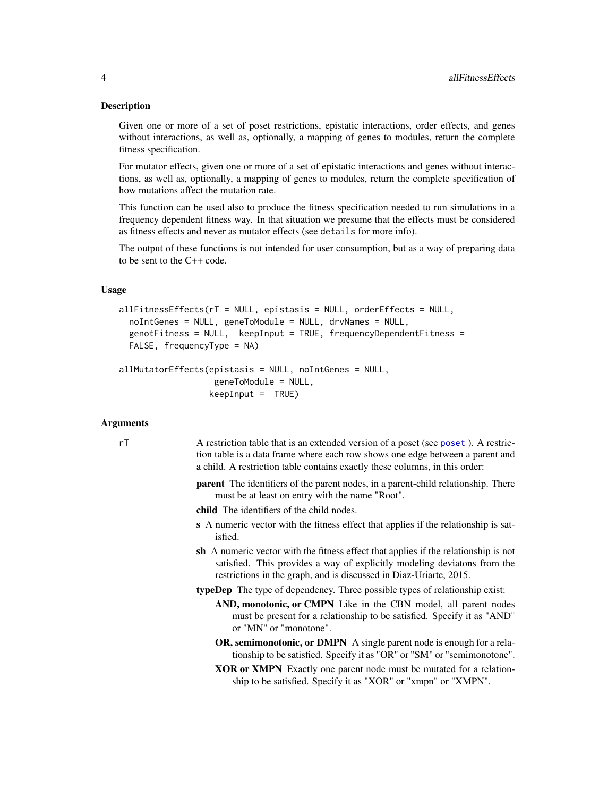#### <span id="page-3-0"></span>Description

Given one or more of a set of poset restrictions, epistatic interactions, order effects, and genes without interactions, as well as, optionally, a mapping of genes to modules, return the complete fitness specification.

For mutator effects, given one or more of a set of epistatic interactions and genes without interactions, as well as, optionally, a mapping of genes to modules, return the complete specification of how mutations affect the mutation rate.

This function can be used also to produce the fitness specification needed to run simulations in a frequency dependent fitness way. In that situation we presume that the effects must be considered as fitness effects and never as mutator effects (see details for more info).

The output of these functions is not intended for user consumption, but as a way of preparing data to be sent to the C++ code.

# Usage

```
allFitnessEffects(rT = NULL, epistasis = NULL, orderEffects = NULL,
  noIntGenes = NULL, geneToModule = NULL, drvNames = NULL,
 genotFitness = NULL, keepInput = TRUE, frequencyDependentFitness =
  FALSE, frequencyType = NA)
```

```
allMutatorEffects(epistasis = NULL, noIntGenes = NULL,
                  geneToModule = NULL,
                  keepInput = TRUE)
```
# Arguments

- rT A restriction table that is an extended version of a poset (see [poset](#page-54-1) ). A restriction table is a data frame where each row shows one edge between a parent and a child. A restriction table contains exactly these columns, in this order:
	- parent The identifiers of the parent nodes, in a parent-child relationship. There must be at least on entry with the name "Root".
	- child The identifiers of the child nodes.
	- s A numeric vector with the fitness effect that applies if the relationship is satisfied.
	- sh A numeric vector with the fitness effect that applies if the relationship is not satisfied. This provides a way of explicitly modeling deviatons from the restrictions in the graph, and is discussed in Diaz-Uriarte, 2015.
	- typeDep The type of dependency. Three possible types of relationship exist:
		- AND, monotonic, or CMPN Like in the CBN model, all parent nodes must be present for a relationship to be satisfied. Specify it as "AND" or "MN" or "monotone".
		- OR, semimonotonic, or DMPN A single parent node is enough for a relationship to be satisfied. Specify it as "OR" or "SM" or "semimonotone".
		- XOR or XMPN Exactly one parent node must be mutated for a relationship to be satisfied. Specify it as "XOR" or "xmpn" or "XMPN".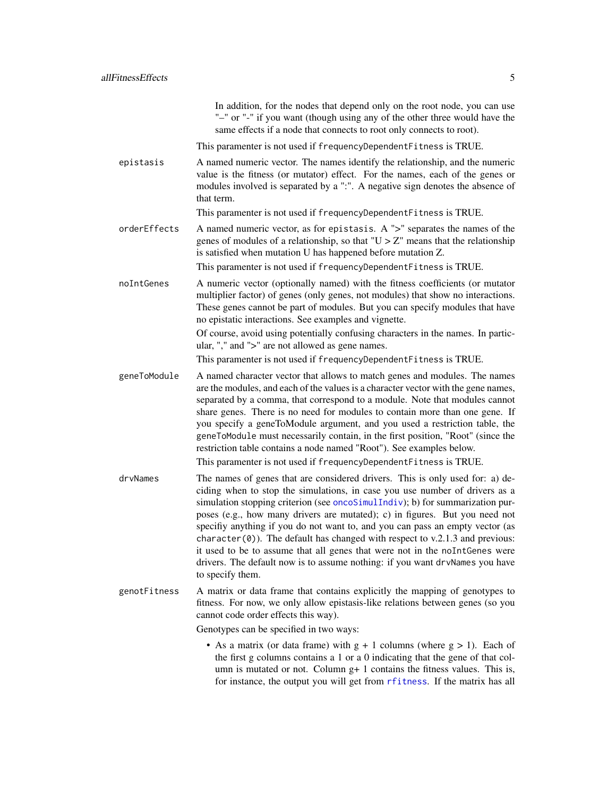In addition, for the nodes that depend only on the root node, you can use "–" or "-" if you want (though using any of the other three would have the same effects if a node that connects to root only connects to root).

This paramenter is not used if frequencyDependentFitness is TRUE.

<span id="page-4-0"></span>epistasis A named numeric vector. The names identify the relationship, and the numeric value is the fitness (or mutator) effect. For the names, each of the genes or modules involved is separated by a ":". A negative sign denotes the absence of that term.

This paramenter is not used if frequencyDependentFitness is TRUE.

orderEffects A named numeric vector, as for epistasis. A ">" separates the names of the genes of modules of a relationship, so that " $U > Z$ " means that the relationship is satisfied when mutation U has happened before mutation Z.

This paramenter is not used if frequencyDependentFitness is TRUE.

noIntGenes A numeric vector (optionally named) with the fitness coefficients (or mutator multiplier factor) of genes (only genes, not modules) that show no interactions. These genes cannot be part of modules. But you can specify modules that have no epistatic interactions. See examples and vignette.

> Of course, avoid using potentially confusing characters in the names. In particular, "," and ">" are not allowed as gene names.

This paramenter is not used if frequencyDependentFitness is TRUE.

geneToModule A named character vector that allows to match genes and modules. The names are the modules, and each of the values is a character vector with the gene names, separated by a comma, that correspond to a module. Note that modules cannot share genes. There is no need for modules to contain more than one gene. If you specify a geneToModule argument, and you used a restriction table, the geneToModule must necessarily contain, in the first position, "Root" (since the restriction table contains a node named "Root"). See examples below.

This paramenter is not used if frequencyDependentFitness is TRUE.

- drvNames The names of genes that are considered drivers. This is only used for: a) deciding when to stop the simulations, in case you use number of drivers as a simulation stopping criterion (see [oncoSimulIndiv](#page-21-1)); b) for summarization purposes (e.g., how many drivers are mutated); c) in figures. But you need not specifiy anything if you do not want to, and you can pass an empty vector (as character( $\theta$ ). The default has changed with respect to v.2.1.3 and previous: it used to be to assume that all genes that were not in the noIntGenes were drivers. The default now is to assume nothing: if you want drvNames you have to specify them.
- genotFitness A matrix or data frame that contains explicitly the mapping of genotypes to fitness. For now, we only allow epistasis-like relations between genes (so you cannot code order effects this way).

Genotypes can be specified in two ways:

• As a matrix (or data frame) with  $g + 1$  columns (where  $g > 1$ ). Each of the first g columns contains a 1 or a 0 indicating that the gene of that column is mutated or not. Column  $g+1$  contains the fitness values. This is, for instance, the output you will get from [rfitness](#page-56-1). If the matrix has all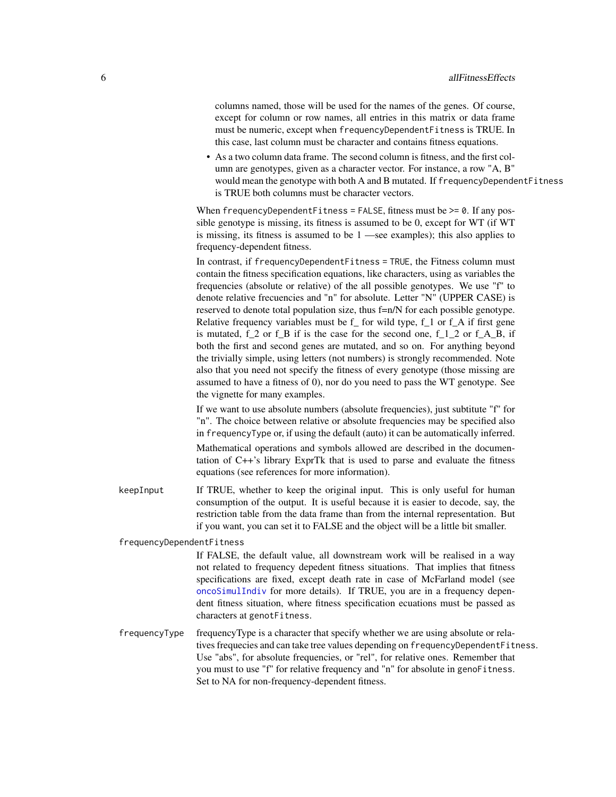columns named, those will be used for the names of the genes. Of course, except for column or row names, all entries in this matrix or data frame must be numeric, except when frequencyDependentFitness is TRUE. In this case, last column must be character and contains fitness equations.

• As a two column data frame. The second column is fitness, and the first column are genotypes, given as a character vector. For instance, a row "A, B" would mean the genotype with both A and B mutated. If frequencyDependentFitness is TRUE both columns must be character vectors.

When frequencyDependentFitness = FALSE, fitness must be  $\geq$ = 0. If any possible genotype is missing, its fitness is assumed to be 0, except for WT (if WT is missing, its fitness is assumed to be 1 —see examples); this also applies to frequency-dependent fitness.

In contrast, if frequencyDependentFitness = TRUE, the Fitness column must contain the fitness specification equations, like characters, using as variables the frequencies (absolute or relative) of the all possible genotypes. We use "f" to denote relative frecuencies and "n" for absolute. Letter "N" (UPPER CASE) is reserved to denote total population size, thus f=n/N for each possible genotype. Relative frequency variables must be f\_ for wild type, f\_1 or f\_A if first gene is mutated, f 2 or f B if is the case for the second one, f 1 2 or f A B, if both the first and second genes are mutated, and so on. For anything beyond the trivially simple, using letters (not numbers) is strongly recommended. Note also that you need not specify the fitness of every genotype (those missing are assumed to have a fitness of 0), nor do you need to pass the WT genotype. See the vignette for many examples.

If we want to use absolute numbers (absolute frequencies), just subtitute "f" for "n". The choice between relative or absolute frequencies may be specified also in frequencyType or, if using the default (auto) it can be automatically inferred.

Mathematical operations and symbols allowed are described in the documentation of C++'s library ExprTk that is used to parse and evaluate the fitness equations (see references for more information).

keepInput If TRUE, whether to keep the original input. This is only useful for human consumption of the output. It is useful because it is easier to decode, say, the restriction table from the data frame than from the internal representation. But if you want, you can set it to FALSE and the object will be a little bit smaller.

frequencyDependentFitness

If FALSE, the default value, all downstream work will be realised in a way not related to frequency depedent fitness situations. That implies that fitness specifications are fixed, except death rate in case of McFarland model (see [oncoSimulIndiv](#page-21-1) for more details). If TRUE, you are in a frequency dependent fitness situation, where fitness specification ecuations must be passed as characters at genotFitness.

frequencyType frequencyType is a character that specify whether we are using absolute or relatives frequecies and can take tree values depending on frequencyDependentFitness. Use "abs", for absolute frequencies, or "rel", for relative ones. Remember that you must to use "f" for relative frequency and "n" for absolute in genoFitness. Set to NA for non-frequency-dependent fitness.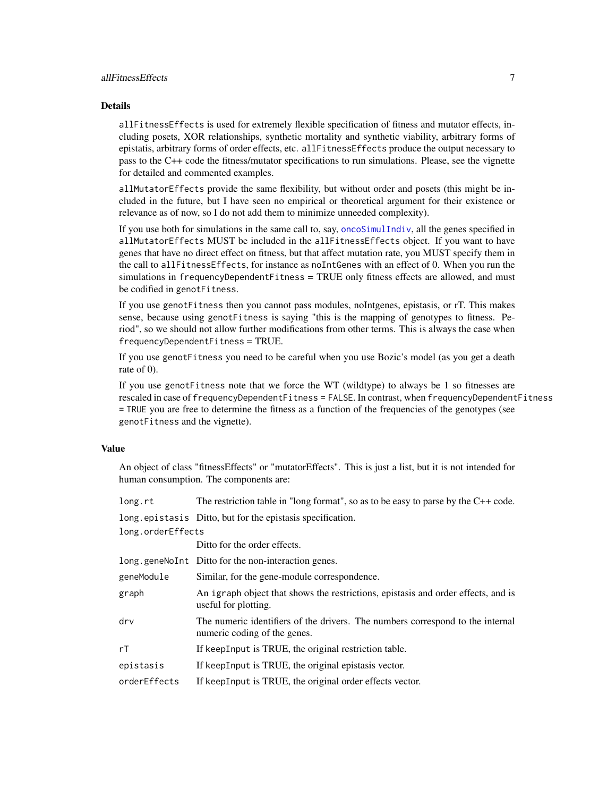# <span id="page-6-0"></span>allFitnessEffects 7

# Details

allFitnessEffects is used for extremely flexible specification of fitness and mutator effects, including posets, XOR relationships, synthetic mortality and synthetic viability, arbitrary forms of epistatis, arbitrary forms of order effects, etc. allFitnessEffects produce the output necessary to pass to the C++ code the fitness/mutator specifications to run simulations. Please, see the vignette for detailed and commented examples.

allMutatorEffects provide the same flexibility, but without order and posets (this might be included in the future, but I have seen no empirical or theoretical argument for their existence or relevance as of now, so I do not add them to minimize unneeded complexity).

If you use both for simulations in the same call to, say, [oncoSimulIndiv](#page-21-1), all the genes specified in allMutatorEffects MUST be included in the allFitnessEffects object. If you want to have genes that have no direct effect on fitness, but that affect mutation rate, you MUST specify them in the call to allFitnessEffects, for instance as noIntGenes with an effect of 0. When you run the simulations in frequencyDependentFitness = TRUE only fitness effects are allowed, and must be codified in genotFitness.

If you use genotFitness then you cannot pass modules, noIntgenes, epistasis, or rT. This makes sense, because using genotFitness is saying "this is the mapping of genotypes to fitness. Period", so we should not allow further modifications from other terms. This is always the case when frequencyDependentFitness = TRUE.

If you use genotFitness you need to be careful when you use Bozic's model (as you get a death rate of 0).

If you use genotFitness note that we force the WT (wildtype) to always be 1 so fitnesses are rescaled in case of frequencyDependentFitness = FALSE. In contrast, when frequencyDependentFitness = TRUE you are free to determine the fitness as a function of the frequencies of the genotypes (see genotFitness and the vignette).

# Value

An object of class "fitnessEffects" or "mutatorEffects". This is just a list, but it is not intended for human consumption. The components are:

| long.rt                          | The restriction table in "long format", so as to be easy to parse by the $C++$ code.                           |  |
|----------------------------------|----------------------------------------------------------------------------------------------------------------|--|
|                                  | long.epistasis Ditto, but for the epistasis specification.                                                     |  |
| long.orderEffects                |                                                                                                                |  |
|                                  | Ditto for the order effects.                                                                                   |  |
|                                  | long.geneNoInt Ditto for the non-interaction genes.                                                            |  |
| geneModule                       | Similar, for the gene-module correspondence.                                                                   |  |
| graph                            | An igraph object that shows the restrictions, epistasis and order effects, and is<br>useful for plotting.      |  |
| $\mathsf{d}\mathsf{r}\mathsf{v}$ | The numeric identifiers of the drivers. The numbers correspond to the internal<br>numeric coding of the genes. |  |
| rT                               | If keepInput is TRUE, the original restriction table.                                                          |  |
| epistasis                        | If keepInput is TRUE, the original epistasis vector.                                                           |  |
| orderEffects                     | If keepInput is TRUE, the original order effects vector.                                                       |  |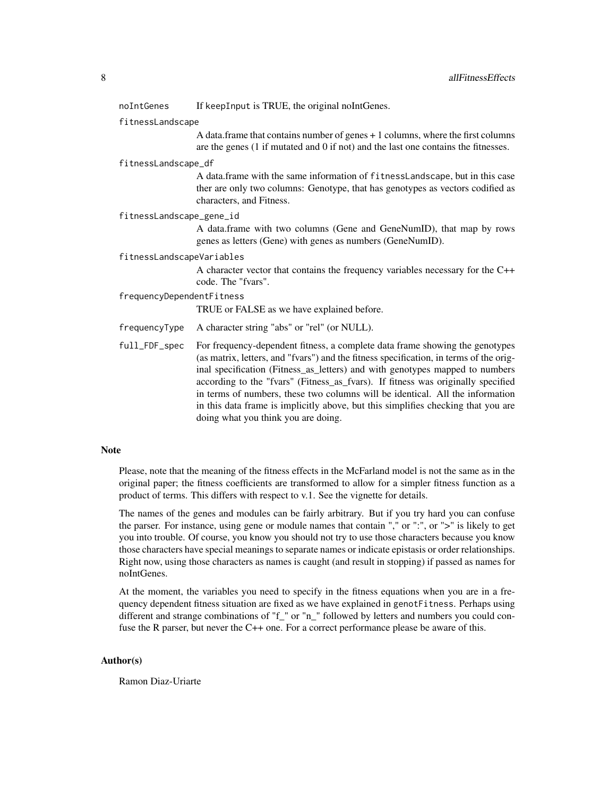#### noIntGenes If keepInput is TRUE, the original noIntGenes.

#### fitnessLandscape

A data.frame that contains number of genes + 1 columns, where the first columns are the genes (1 if mutated and 0 if not) and the last one contains the fitnesses.

#### fitnessLandscape\_df

A data.frame with the same information of fitnessLandscape, but in this case ther are only two columns: Genotype, that has genotypes as vectors codified as characters, and Fitness.

#### fitnessLandscape\_gene\_id

A data.frame with two columns (Gene and GeneNumID), that map by rows genes as letters (Gene) with genes as numbers (GeneNumID).

#### fitnessLandscapeVariables

A character vector that contains the frequency variables necessary for the C++ code. The "fvars".

#### frequencyDependentFitness

TRUE or FALSE as we have explained before.

- frequencyType A character string "abs" or "rel" (or NULL).
- full\_FDF\_spec For frequency-dependent fitness, a complete data frame showing the genotypes (as matrix, letters, and "fvars") and the fitness specification, in terms of the original specification (Fitness\_as\_letters) and with genotypes mapped to numbers according to the "fvars" (Fitness\_as\_fvars). If fitness was originally specified in terms of numbers, these two columns will be identical. All the information in this data frame is implicitly above, but this simplifies checking that you are doing what you think you are doing.

#### Note

Please, note that the meaning of the fitness effects in the McFarland model is not the same as in the original paper; the fitness coefficients are transformed to allow for a simpler fitness function as a product of terms. This differs with respect to v.1. See the vignette for details.

The names of the genes and modules can be fairly arbitrary. But if you try hard you can confuse the parser. For instance, using gene or module names that contain "," or ":", or ">" is likely to get you into trouble. Of course, you know you should not try to use those characters because you know those characters have special meanings to separate names or indicate epistasis or order relationships. Right now, using those characters as names is caught (and result in stopping) if passed as names for noIntGenes.

At the moment, the variables you need to specify in the fitness equations when you are in a frequency dependent fitness situation are fixed as we have explained in genotFitness. Perhaps using different and strange combinations of "f\_" or "n\_" followed by letters and numbers you could confuse the R parser, but never the C++ one. For a correct performance please be aware of this.

#### Author(s)

Ramon Diaz-Uriarte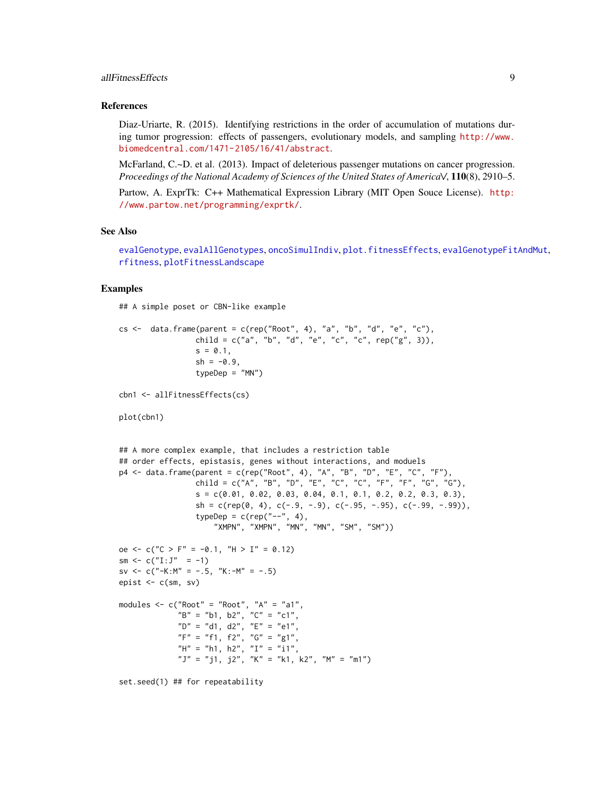# <span id="page-8-0"></span>allFitnessEffects 9

#### References

Diaz-Uriarte, R. (2015). Identifying restrictions in the order of accumulation of mutations during tumor progression: effects of passengers, evolutionary models, and sampling [http://www.](http://www.biomedcentral.com/1471-2105/16/41/abstract) [biomedcentral.com/1471-2105/16/41/abstract](http://www.biomedcentral.com/1471-2105/16/41/abstract).

McFarland, C.~D. et al. (2013). Impact of deleterious passenger mutations on cancer progression. *Proceedings of the National Academy of Sciences of the United States of America\/*, 110(8), 2910–5.

Partow, A. ExprTk: C++ Mathematical Expression Library (MIT Open Souce License). [http:](http://www.partow.net/programming/exprtk/) [//www.partow.net/programming/exprtk/](http://www.partow.net/programming/exprtk/).

# See Also

```
evalGenotype, evalAllGenotypes, oncoSimulIndiv, plot.fitnessEffects, evalGenotypeFitAndMut,
rfitness, plotFitnessLandscape
```
# Examples

## A simple poset or CBN-like example

```
cs < - data.frame(parent = c(rep("Root", 4), "a", "b", "d", "e", "c"),
                 child = c("a", "b", "d", "e", "c", "c", rep("g", 3)),s = 0.1,
                 sh = -0.9,
                 typeDep = "MN")
cbn1 <- allFitnessEffects(cs)
plot(cbn1)
## A more complex example, that includes a restriction table
## order effects, epistasis, genes without interactions, and moduels
p4 <- data.frame(parent = c(rep("Root", 4), "A", "B", "D", "E", "C", "F"),
                 child = c("A", "B", "D", "E", "C", "C", "F", "F", "G", "G"),
                 s = c(0.01, 0.02, 0.03, 0.04, 0.1, 0.1, 0.2, 0.2, 0.3, 0.3),sh = c(rep(0, 4), c(-.9, -.9), c(-.95, -.95), c(-.99, -.99)),typeDep = c(rep("--", 4),"XMPN", "XMPN", "MN", "MN", "SM", "SM"))
oe \leq - c("C > F" = -0.1, "H > I" = 0.12)
sm \leftarrow c("I:J" = -1)sv <- c("-K:M" = -.5, "K:-M" = -.5)
epist <- c(sm, sv)
modules \leq c("Root" = "Root", "A" = "a1",
             "B" = "b1, b2", "C" = "c1",
             "D" = "d1, d2", "E" = "e1",
             "F" = "f1, f2", "G" = "g1","H" = "h1, h2", "I" = "i1",
             "J" = "j1, j2", "K" = "k1, k2", "M" = "m1")
set.seed(1) ## for repeatability
```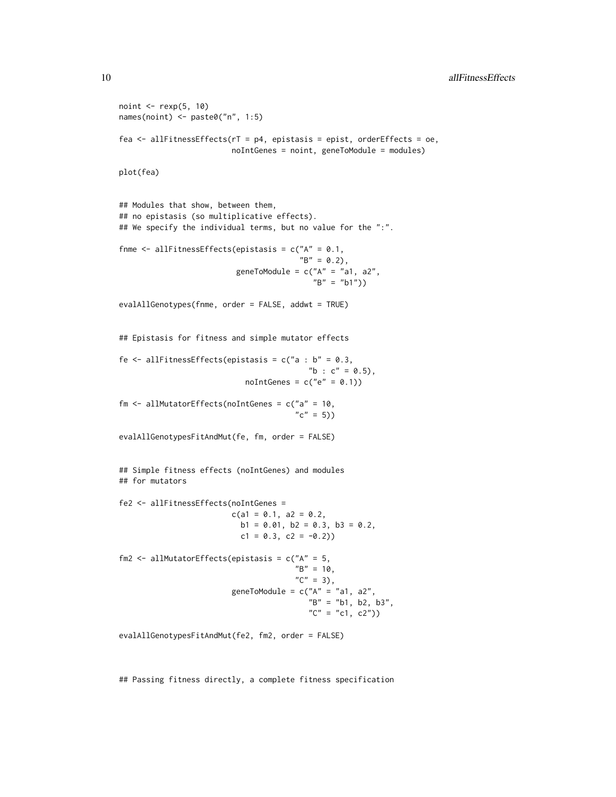10 allFitnessEffects

```
noint \leq rexp(5, 10)
names(noint) <- paste0("n", 1:5)
fea <- allFitnessEffects(rT = p4, epistasis = epist, orderEffects = oe,
                         noIntGenes = noint, geneToModule = modules)
plot(fea)
## Modules that show, between them,
## no epistasis (so multiplicative effects).
## We specify the individual terms, but no value for the ":".
fnme \le allFitnessEffects(epistasis = c("A" = 0.1,
                                        "B" = 0.2,
                          geneToModule = c("A" = "a1, a2","B" = "b1")evalAllGenotypes(fnme, order = FALSE, addwt = TRUE)
## Epistasis for fitness and simple mutator effects
fe \le allFitnessEffects(epistasis = c("a : b" = 0.3,
                                          "b : c" = 0.5),
                            noIntGenes = c("e" = 0.1))fm \le allMutatorEffects(noIntGenes = c("a" = 10,
                                       "c" = 5))
evalAllGenotypesFitAndMut(fe, fm, order = FALSE)
## Simple fitness effects (noIntGenes) and modules
## for mutators
fe2 <- allFitnessEffects(noIntGenes =
                         c(a1 = 0.1, a2 = 0.2,b1 = 0.01, b2 = 0.3, b3 = 0.2,
                           c1 = 0.3, c2 = -0.2)
fm2 <- allMutatorEffects(epistasis = c("A" = 5,
                                       "B" = 10,C'' = 3,
                         geneToModule = c("A" = "a1, a2","B" = "b1, b2, b3",C'' = C1, C2')
evalAllGenotypesFitAndMut(fe2, fm2, order = FALSE)
```
## Passing fitness directly, a complete fitness specification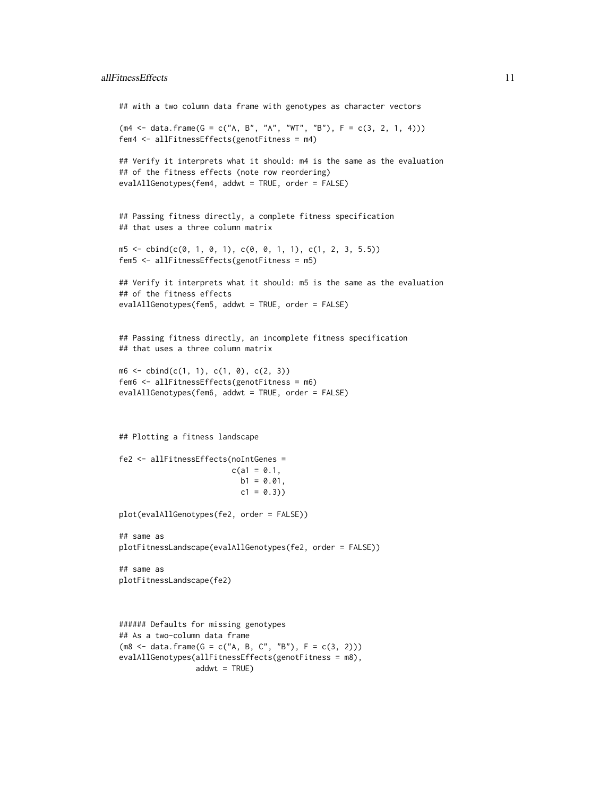```
## with a two column data frame with genotypes as character vectors
(m4 <- data.frame(G = c("A, B", "A", "WT", "B"), F = c(3, 2, 1, 4)))
fem4 <- allFitnessEffects(genotFitness = m4)
## Verify it interprets what it should: m4 is the same as the evaluation
## of the fitness effects (note row reordering)
evalAllGenotypes(fem4, addwt = TRUE, order = FALSE)
## Passing fitness directly, a complete fitness specification
## that uses a three column matrix
m5 \le cbind(c(0, 1, 0, 1), c(0, 0, 1, 1), c(1, 2, 3, 5.5))
fem5 <- allFitnessEffects(genotFitness = m5)
## Verify it interprets what it should: m5 is the same as the evaluation
## of the fitness effects
evalAllGenotypes(fem5, addwt = TRUE, order = FALSE)
## Passing fitness directly, an incomplete fitness specification
## that uses a three column matrix
m6 \le - \text{cbind}(c(1, 1), c(1, 0), c(2, 3))fem6 <- allFitnessEffects(genotFitness = m6)
evalAllGenotypes(fem6, addwt = TRUE, order = FALSE)
## Plotting a fitness landscape
fe2 <- allFitnessEffects(noIntGenes =
                         c(a1 = 0.1,b1 = 0.01,
                           c1 = 0.3)plot(evalAllGenotypes(fe2, order = FALSE))
## same as
plotFitnessLandscape(evalAllGenotypes(fe2, order = FALSE))
## same as
plotFitnessLandscape(fe2)
###### Defaults for missing genotypes
```

```
## As a two-column data frame
(m8 \leq - \text{data}.\text{frame}(G = c("A, B, C", "B"), F = c(3, 2)))evalAllGenotypes(allFitnessEffects(genotFitness = m8),
                   addwt = TRUE)
```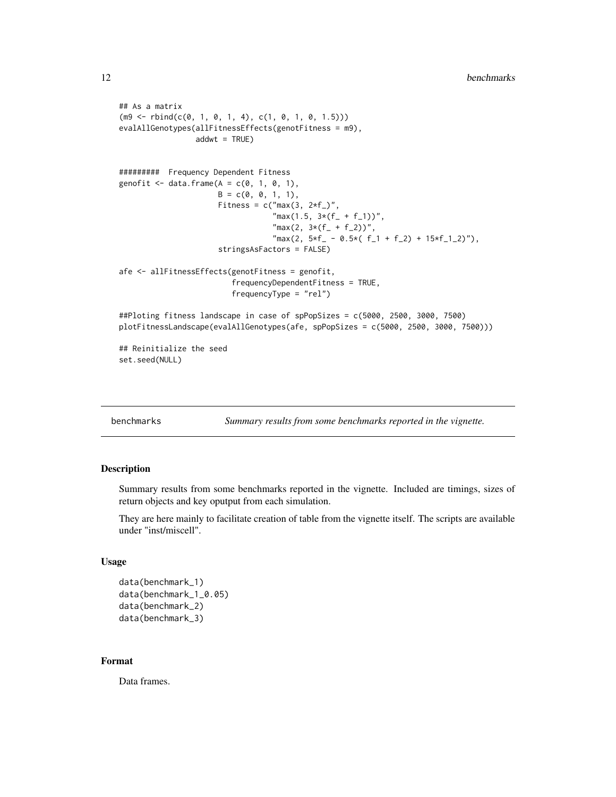```
## As a matrix
(m9 \leq r \text{bind}(c(0, 1, 0, 1, 4), c(1, 0, 1, 0, 1.5)))evalAllGenotypes(allFitnessEffects(genotFitness = m9),
                  addwt = TRUE)
######### Frequency Dependent Fitness
genofit \leq data.frame(A = c(0, 1, 0, 1),
                       B = c(0, 0, 1, 1),Fitness = c("max(3, 2*f_')","max(1.5, 3*(f_{-} + f_{-}1))",
                                     \text{"max}(2, 3*(f_{-} + f_{-}2))",
                                     \text{"max}(2, 5*f - 0.5*(f_1 + f_2) + 15*f_1_2)^{\prime\prime}),stringsAsFactors = FALSE)
afe <- allFitnessEffects(genotFitness = genofit,
                           frequencyDependentFitness = TRUE,
                           frequencyType = "rel")
##Ploting fitness landscape in case of spPopSizes = c(5000, 2500, 3000, 7500)
plotFitnessLandscape(evalAllGenotypes(afe, spPopSizes = c(5000, 2500, 3000, 7500)))
## Reinitialize the seed
set.seed(NULL)
```

| benchmarks |  |
|------------|--|
|            |  |

Summary results from some benchmarks reported in the vignette.

#### Description

Summary results from some benchmarks reported in the vignette. Included are timings, sizes of return objects and key oputput from each simulation.

They are here mainly to facilitate creation of table from the vignette itself. The scripts are available under "inst/miscell".

#### Usage

```
data(benchmark_1)
data(benchmark_1_0.05)
data(benchmark_2)
data(benchmark_3)
```
#### Format

Data frames.

<span id="page-11-0"></span>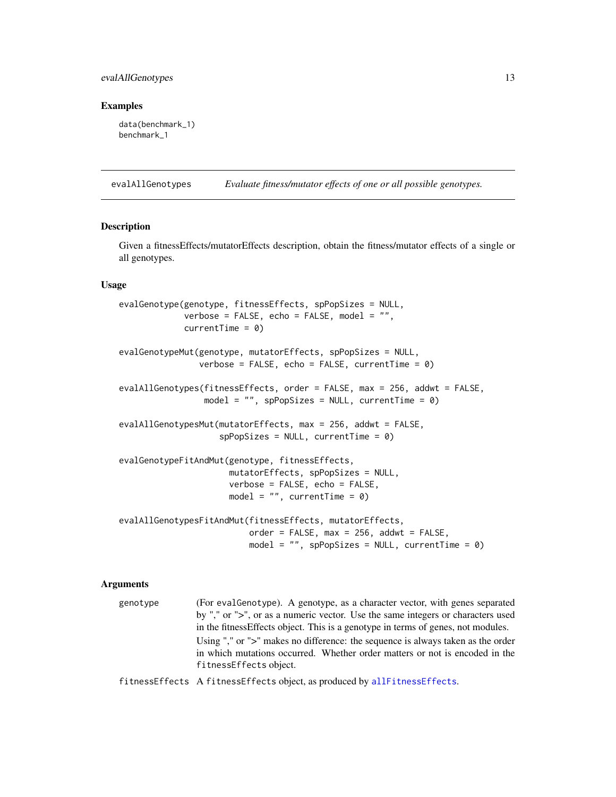# <span id="page-12-0"></span>evalAllGenotypes 13

#### Examples

data(benchmark\_1) benchmark\_1

<span id="page-12-2"></span>evalAllGenotypes *Evaluate fitness/mutator effects of one or all possible genotypes.*

#### <span id="page-12-1"></span>Description

Given a fitnessEffects/mutatorEffects description, obtain the fitness/mutator effects of a single or all genotypes.

# Usage

```
evalGenotype(genotype, fitnessEffects, spPopSizes = NULL,
             verbose = FALSE, echo = FALSE, model = "",currentTime = 0evalGenotypeMut(genotype, mutatorEffects, spPopSizes = NULL,
                verbose = FALSE, echo = FALSE, currentTime = 0)
evalAllGenotypes(fitnessEffects, order = FALSE, max = 256, addwt = FALSE,
                model = ", spPopSizes = NULL, currentTime = 0)
evalAllGenotypesMut(mutatorEffects, max = 256, addwt = FALSE,
                    spPopSizes = NULL, currentTime = 0)
evalGenotypeFitAndMut(genotype, fitnessEffects,
                     mutatorEffects, spPopSizes = NULL,
                     verbose = FALSE, echo = FALSE,
                     model = "", currentTime = 0)evalAllGenotypesFitAndMut(fitnessEffects, mutatorEffects,
                         order = FALSE, max = 256, addwt = FALSE,model = ", spPopSizes = NULL, currentTime = 0)
```
#### Arguments

genotype (For evalGenotype). A genotype, as a character vector, with genes separated by "," or ">", or as a numeric vector. Use the same integers or characters used in the fitnessEffects object. This is a genotype in terms of genes, not modules. Using "," or ">" makes no difference: the sequence is always taken as the order in which mutations occurred. Whether order matters or not is encoded in the fitnessEffects object.

fitnessEffects A fitnessEffects object, as produced by [allFitnessEffects](#page-2-1).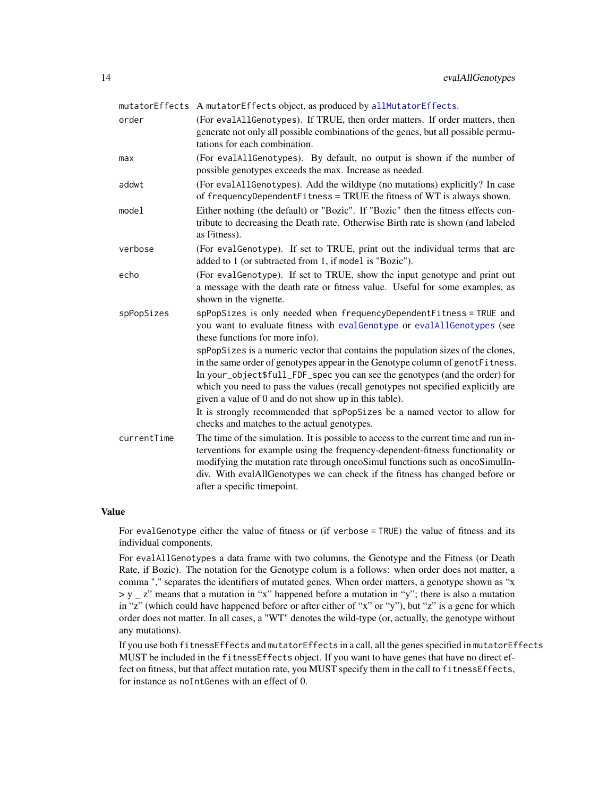<span id="page-13-0"></span>

|             | mutatorEffects A mutatorEffects object, as produced by allMutatorEffects.                                                                                                                                                                                                                                                                                                                     |
|-------------|-----------------------------------------------------------------------------------------------------------------------------------------------------------------------------------------------------------------------------------------------------------------------------------------------------------------------------------------------------------------------------------------------|
| order       | (For evalAllGenotypes). If TRUE, then order matters. If order matters, then<br>generate not only all possible combinations of the genes, but all possible permu-<br>tations for each combination.                                                                                                                                                                                             |
| max         | (For evalAllGenotypes). By default, no output is shown if the number of<br>possible genotypes exceeds the max. Increase as needed.                                                                                                                                                                                                                                                            |
| addwt       | (For evalAllGenotypes). Add the wildtype (no mutations) explicitly? In case<br>of frequencyDependentFitness = TRUE the fitness of WT is always shown.                                                                                                                                                                                                                                         |
| model       | Either nothing (the default) or "Bozic". If "Bozic" then the fitness effects con-<br>tribute to decreasing the Death rate. Otherwise Birth rate is shown (and labeled<br>as Fitness).                                                                                                                                                                                                         |
| verbose     | (For eval Genotype). If set to TRUE, print out the individual terms that are<br>added to 1 (or subtracted from 1, if model is "Bozic").                                                                                                                                                                                                                                                       |
| echo        | (For eval Genotype). If set to TRUE, show the input genotype and print out<br>a message with the death rate or fitness value. Useful for some examples, as<br>shown in the vignette.                                                                                                                                                                                                          |
| spPopSizes  | spPopSizes is only needed when frequencyDependentFitness = TRUE and<br>you want to evaluate fitness with evalGenotype or evalAllGenotypes (see<br>these functions for more info).                                                                                                                                                                                                             |
|             | spPopSizes is a numeric vector that contains the population sizes of the clones,<br>in the same order of genotypes appear in the Genotype column of genotFitness.<br>In your_object\$full_FDF_spec you can see the genotypes (and the order) for<br>which you need to pass the values (recall genotypes not specified explicitly are<br>given a value of 0 and do not show up in this table). |
|             | It is strongly recommended that spPopSizes be a named vector to allow for<br>checks and matches to the actual genotypes.                                                                                                                                                                                                                                                                      |
| currentTime | The time of the simulation. It is possible to access to the current time and run in-<br>terventions for example using the frequency-dependent-fitness functionality or<br>modifying the mutation rate through oncoSimul functions such as oncoSimulIn-<br>div. With evalAllGenotypes we can check if the fitness has changed before or<br>after a specific timepoint.                         |

#### Value

For evalGenotype either the value of fitness or (if verbose = TRUE) the value of fitness and its individual components.

For evalAllGenotypes a data frame with two columns, the Genotype and the Fitness (or Death Rate, if Bozic). The notation for the Genotype colum is a follows: when order does not matter, a comma "," separates the identifiers of mutated genes. When order matters, a genotype shown as "x  $> y - z'$  means that a mutation in "x" happened before a mutation in "y"; there is also a mutation in "z" (which could have happened before or after either of "x" or "y"), but "z" is a gene for which order does not matter. In all cases, a "WT" denotes the wild-type (or, actually, the genotype without any mutations).

If you use both fitnessEffects and mutatorEffects in a call, all the genes specified in mutatorEffects MUST be included in the fitnessEffects object. If you want to have genes that have no direct effect on fitness, but that affect mutation rate, you MUST specify them in the call to fitness Effects, for instance as noIntGenes with an effect of 0.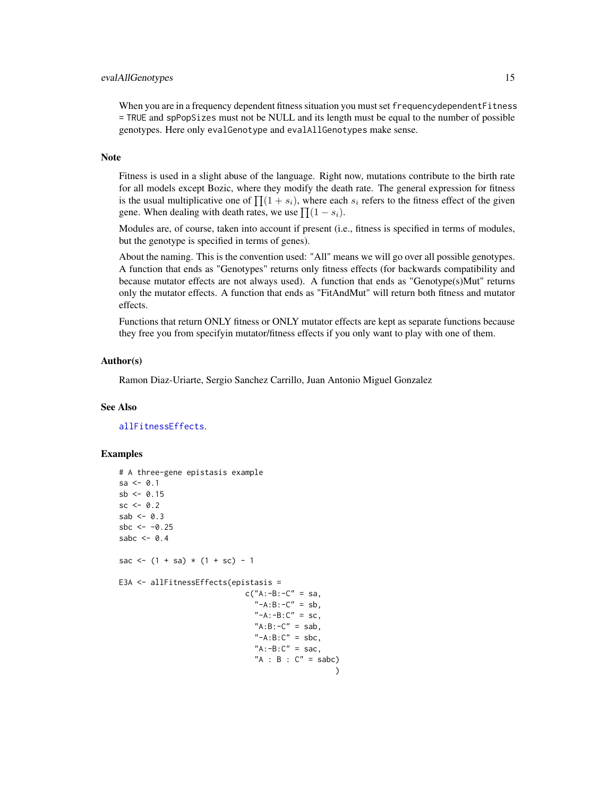# <span id="page-14-0"></span>evalAllGenotypes 15

When you are in a frequency dependent fitness situation you must set frequency dependent Fitness = TRUE and spPopSizes must not be NULL and its length must be equal to the number of possible genotypes. Here only evalGenotype and evalAllGenotypes make sense.

# Note

Fitness is used in a slight abuse of the language. Right now, mutations contribute to the birth rate for all models except Bozic, where they modify the death rate. The general expression for fitness is the usual multiplicative one of  $\prod_{i=1}^{n} (1 + s_i)$ , where each  $s_i$  refers to the fitness effect of the given gene. When dealing with death rates, we use  $\prod (1 - s_i)$ .

Modules are, of course, taken into account if present (i.e., fitness is specified in terms of modules, but the genotype is specified in terms of genes).

About the naming. This is the convention used: "All" means we will go over all possible genotypes. A function that ends as "Genotypes" returns only fitness effects (for backwards compatibility and because mutator effects are not always used). A function that ends as "Genotype(s)Mut" returns only the mutator effects. A function that ends as "FitAndMut" will return both fitness and mutator effects.

Functions that return ONLY fitness or ONLY mutator effects are kept as separate functions because they free you from specifyin mutator/fitness effects if you only want to play with one of them.

#### Author(s)

Ramon Diaz-Uriarte, Sergio Sanchez Carrillo, Juan Antonio Miguel Gonzalez

#### See Also

[allFitnessEffects](#page-2-1).

# Examples

```
# A three-gene epistasis example
sa < -0.1sb < -0.15sc < -0.2sab <-0.3sbc <- -0.25sabc <-0.4sac \leq - (1 + sa) \cdot (1 + sc) - 1E3A <- allFitnessEffects(epistasis =
                            c("A:-B:-C" = sa,"-A:B:-C" = sb,
                               "-A:-B:C" = sc,"A:B:-C" = sab,"-A:B:C" = sbc,
                               "A:-B:C" = sac,"A : B : C" =sabc)
                                                 \lambda
```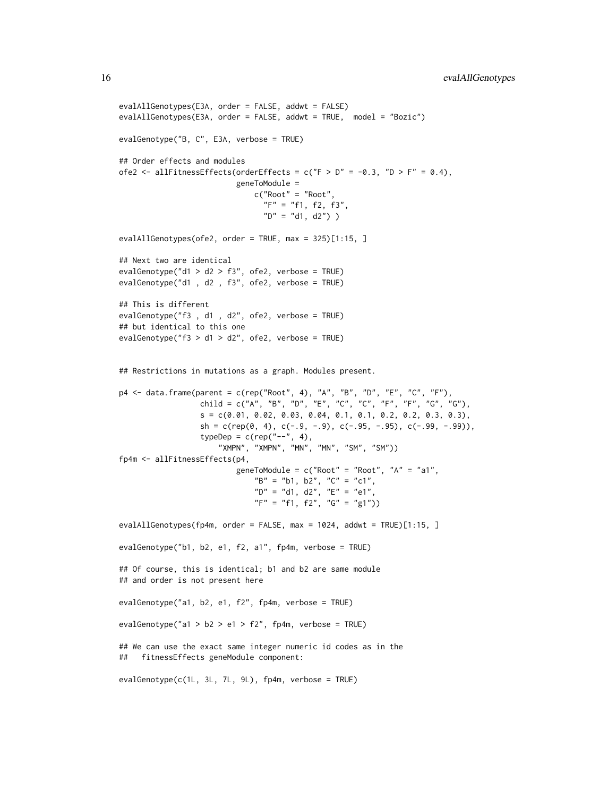```
evalAllGenotypes(E3A, order = FALSE, addwt = FALSE)
evalAllGenotypes(E3A, order = FALSE, addwt = TRUE, model = "Bozic")
evalGenotype("B, C", E3A, verbose = TRUE)
## Order effects and modules
ofe2 <- allFitnessEffects(orderEffects = c("F > D" = -0.3, "D > F" = 0.4),
                          geneToModule =
                              c("Root" = "Root",
                                "F" = "f1, f2, f3","D" = "d1, d2"))
evalAllGenotypes(ofe2, order = TRUE, max = 325)[1:15, ]
## Next two are identical
evalGenotype("d1 > d2 > f3", ofe2, verbose = TRUE)
evalGenotype("d1 , d2 , f3", ofe2, verbose = TRUE)
## This is different
evalGenotype("f3 , d1 , d2", ofe2, verbose = TRUE)
## but identical to this one
evalGenotype("f3 > d1 > d2", ofe2, verbose = TRUE)
## Restrictions in mutations as a graph. Modules present.
p4 <- data.frame(parent = c(rep("Root", 4), "A", "B", "D", "E", "C", "F"),
                 child = c("A", "B", "D", "E", "C", "C", "F", "F", "G", "G"),
                  s = c(0.01, 0.02, 0.03, 0.04, 0.1, 0.1, 0.2, 0.2, 0.3, 0.3),sh = c(rep(\emptyset, 4), c(-.9, -.9), c(-.95, -.95), c(-.99, -.99)),typeDep = c(rep("--", 4),"XMPN", "XMPN", "MN", "MN", "SM", "SM"))
fp4m <- allFitnessEffects(p4,
                          geneToModule = c("Root" = "Root", "A" = "a1",B'' = "b1, b2", "C" = "c1","D'' = "d1, d2", "E" = "e1","F" = "f1, f2", "G" = "g1")evalAllGenotypes(fp4m, order = FALSE, max = 1024, addwt = TRUE)[1:15, ]
evalGenotype("b1, b2, e1, f2, a1", fp4m, verbose = TRUE)
## Of course, this is identical; b1 and b2 are same module
## and order is not present here
evalGenotype("a1, b2, e1, f2", fp4m, verbose = TRUE)
evalGenotype("a1 > b2 > e1 > f2", fp4m, verbose = TRUE)
## We can use the exact same integer numeric id codes as in the
## fitnessEffects geneModule component:
evalGenotype(c(1L, 3L, 7L, 9L), fp4m, verbose = TRUE)
```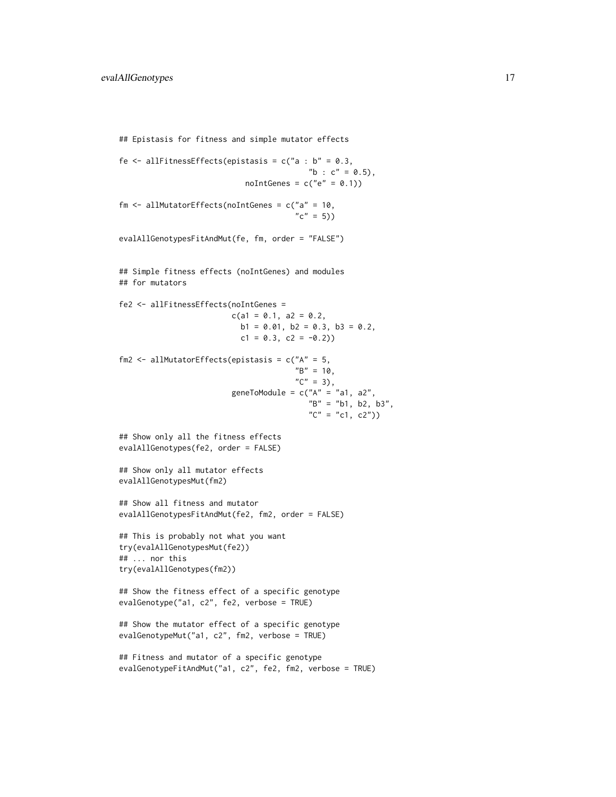```
## Epistasis for fitness and simple mutator effects
fe \le - allFitnessEffects(epistasis = c("a : b" = 0.3,
                                          "b : c" = 0.5),
                            noIntGenes = c("e" = 0.1))fm \le - allMutatorEffects(noIntGenes = c("a" = 10,
                                       "c" = 5))
evalAllGenotypesFitAndMut(fe, fm, order = "FALSE")
## Simple fitness effects (noIntGenes) and modules
## for mutators
fe2 <- allFitnessEffects(noIntGenes =
                         c(a1 = 0.1, a2 = 0.2,b1 = 0.01, b2 = 0.3, b3 = 0.2,
                           c1 = 0.3, c2 = -0.2)
fm2 <- allMutatorEffects(epistasis = c("A" = 5,
                                       "B" = 10,C'' = 3,
                         geneToModule = c("A" = "a1, a2","B" = "b1, b2, b3",C'' = C1, C2")## Show only all the fitness effects
evalAllGenotypes(fe2, order = FALSE)
## Show only all mutator effects
evalAllGenotypesMut(fm2)
## Show all fitness and mutator
evalAllGenotypesFitAndMut(fe2, fm2, order = FALSE)
## This is probably not what you want
try(evalAllGenotypesMut(fe2))
## ... nor this
try(evalAllGenotypes(fm2))
## Show the fitness effect of a specific genotype
evalGenotype("a1, c2", fe2, verbose = TRUE)
## Show the mutator effect of a specific genotype
evalGenotypeMut("a1, c2", fm2, verbose = TRUE)
## Fitness and mutator of a specific genotype
evalGenotypeFitAndMut("a1, c2", fe2, fm2, verbose = TRUE)
```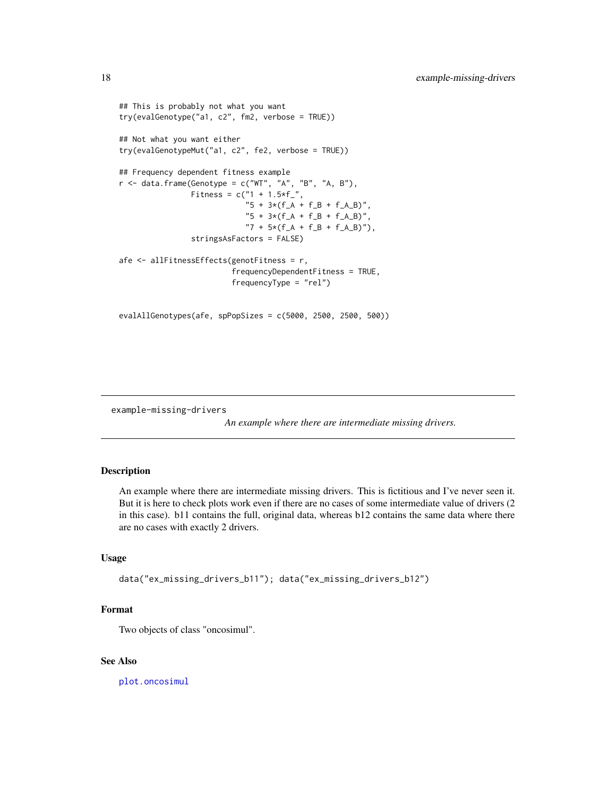```
## This is probably not what you want
try(evalGenotype("a1, c2", fm2, verbose = TRUE))
## Not what you want either
try(evalGenotypeMut("a1, c2", fe2, verbose = TRUE))
## Frequency dependent fitness example
r <- data.frame(Genotype = c("WT", "A", "B", "A, B"),
                Fitness = c("1 + 1.5*f",
                            "5 + 3*(f_A + f_B + f_A_B)","5 + 3*(f_A + f_B + f_A_B)""7 + 5*(f_A + f_B + f_A_B)"),
                stringsAsFactors = FALSE)
afe <- allFitnessEffects(genotFitness = r,
                         frequencyDependentFitness = TRUE,
                         frequencyType = "rel")
evalAllGenotypes(afe, spPopSizes = c(5000, 2500, 2500, 500))
```
example-missing-drivers

*An example where there are intermediate missing drivers.*

# Description

An example where there are intermediate missing drivers. This is fictitious and I've never seen it. But it is here to check plots work even if there are no cases of some intermediate value of drivers (2 in this case). b11 contains the full, original data, whereas b12 contains the same data where there are no cases with exactly 2 drivers.

# Usage

```
data("ex_missing_drivers_b11"); data("ex_missing_drivers_b12")
```
# Format

Two objects of class "oncosimul".

#### See Also

[plot.oncosimul](#page-40-1)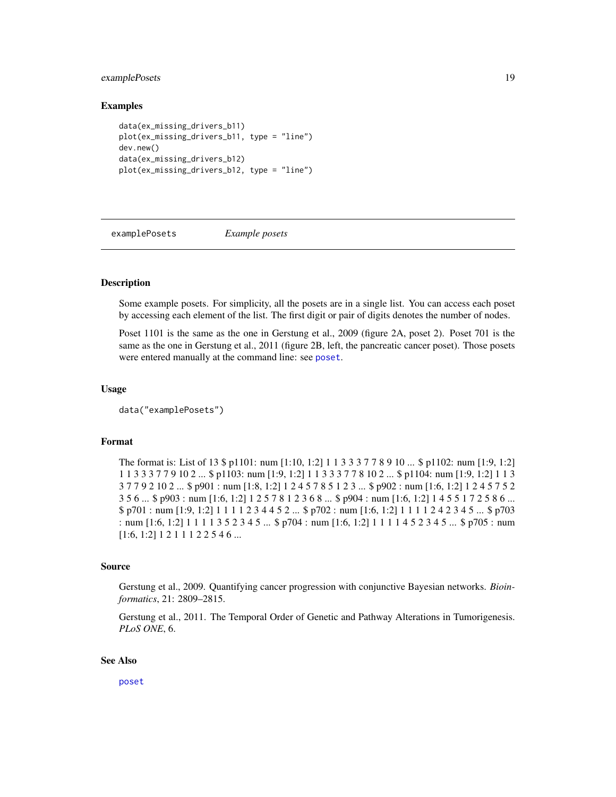# <span id="page-18-0"></span>examplePosets 19

#### Examples

```
data(ex_missing_drivers_b11)
plot(ex_missing_drivers_b11, type = "line")
dev.new()
data(ex_missing_drivers_b12)
plot(ex_missing_drivers_b12, type = "line")
```
<span id="page-18-1"></span>examplePosets *Example posets*

# **Description**

Some example posets. For simplicity, all the posets are in a single list. You can access each poset by accessing each element of the list. The first digit or pair of digits denotes the number of nodes.

Poset 1101 is the same as the one in Gerstung et al., 2009 (figure 2A, poset 2). Poset 701 is the same as the one in Gerstung et al., 2011 (figure 2B, left, the pancreatic cancer poset). Those posets were entered manually at the command line: see [poset](#page-54-1).

#### Usage

```
data("examplePosets")
```
# Format

The format is: List of 13 \$ p1101: num [1:10, 1:2] 1 1 3 3 3 7 7 8 9 10 ... \$ p1102: num [1:9, 1:2] 1 1 3 3 3 7 7 9 10 2 ... \$ p1103: num [1:9, 1:2] 1 1 3 3 3 7 7 8 10 2 ... \$ p1104: num [1:9, 1:2] 1 1 3 3 7 7 9 2 10 2 ... \$ p901 : num [1:8, 1:2] 1 2 4 5 7 8 5 1 2 3 ... \$ p902 : num [1:6, 1:2] 1 2 4 5 7 5 2 3 5 6 ... \$ p903 : num [1:6, 1:2] 1 2 5 7 8 1 2 3 6 8 ... \$ p904 : num [1:6, 1:2] 1 4 5 5 1 7 2 5 8 6 ... \$ p701 : num [1:9, 1:2] 1 1 1 1 2 3 4 4 5 2 ... \$ p702 : num [1:6, 1:2] 1 1 1 1 2 4 2 3 4 5 ... \$ p703 : num [1:6, 1:2] 1 1 1 1 3 5 2 3 4 5 ... \$ p704 : num [1:6, 1:2] 1 1 1 1 4 5 2 3 4 5 ... \$ p705 : num [1:6, 1:2] 1 2 1 1 1 2 2 5 4 6 ...

#### Source

Gerstung et al., 2009. Quantifying cancer progression with conjunctive Bayesian networks. *Bioinformatics*, 21: 2809–2815.

Gerstung et al., 2011. The Temporal Order of Genetic and Pathway Alterations in Tumorigenesis. *PLoS ONE*, 6.

#### See Also

[poset](#page-54-1)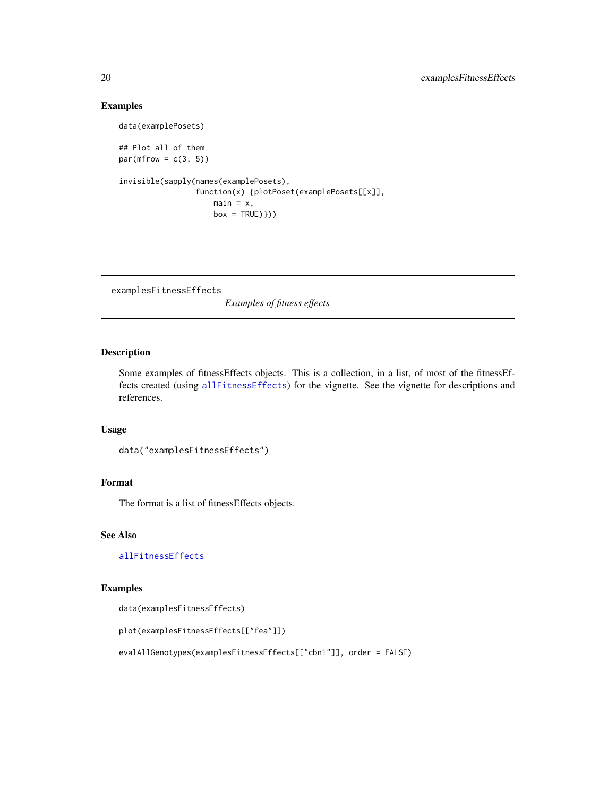# Examples

data(examplePosets)

## Plot all of them par(mfrow =  $c(3, 5)$ )

```
invisible(sapply(names(examplePosets),
                 function(x) {plotPoset(examplePosets[[x]],
                     main = x,
                     box = TRUE)}))
```
examplesFitnessEffects

*Examples of fitness effects*

# Description

Some examples of fitnessEffects objects. This is a collection, in a list, of most of the fitnessEffects created (using [allFitnessEffects](#page-2-1)) for the vignette. See the vignette for descriptions and references.

#### Usage

```
data("examplesFitnessEffects")
```
# Format

The format is a list of fitnessEffects objects.

# See Also

[allFitnessEffects](#page-2-1)

# Examples

```
data(examplesFitnessEffects)
```

```
plot(examplesFitnessEffects[["fea"]])
```

```
evalAllGenotypes(examplesFitnessEffects[["cbn1"]], order = FALSE)
```
<span id="page-19-0"></span>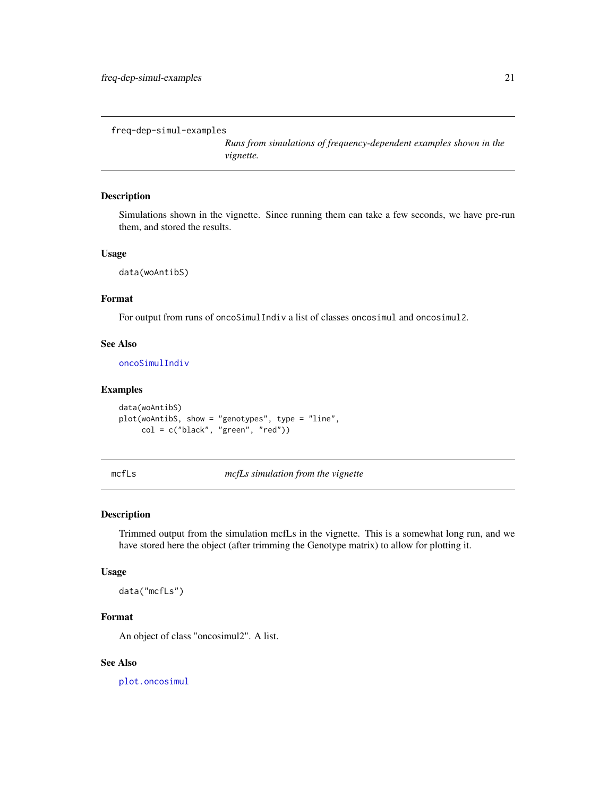```
freq-dep-simul-examples
```
*Runs from simulations of frequency-dependent examples shown in the vignette.*

#### Description

Simulations shown in the vignette. Since running them can take a few seconds, we have pre-run them, and stored the results.

# Usage

data(woAntibS)

# Format

For output from runs of oncoSimulIndiv a list of classes oncosimul and oncosimul2.

# See Also

[oncoSimulIndiv](#page-21-1)

# Examples

```
data(woAntibS)
plot(woAntibS, show = "genotypes", type = "line",
     col = c("black", "green", "red"))
```
mcfLs *mcfLs simulation from the vignette*

# Description

Trimmed output from the simulation mcfLs in the vignette. This is a somewhat long run, and we have stored here the object (after trimming the Genotype matrix) to allow for plotting it.

#### Usage

data("mcfLs")

# Format

An object of class "oncosimul2". A list.

# See Also

[plot.oncosimul](#page-40-1)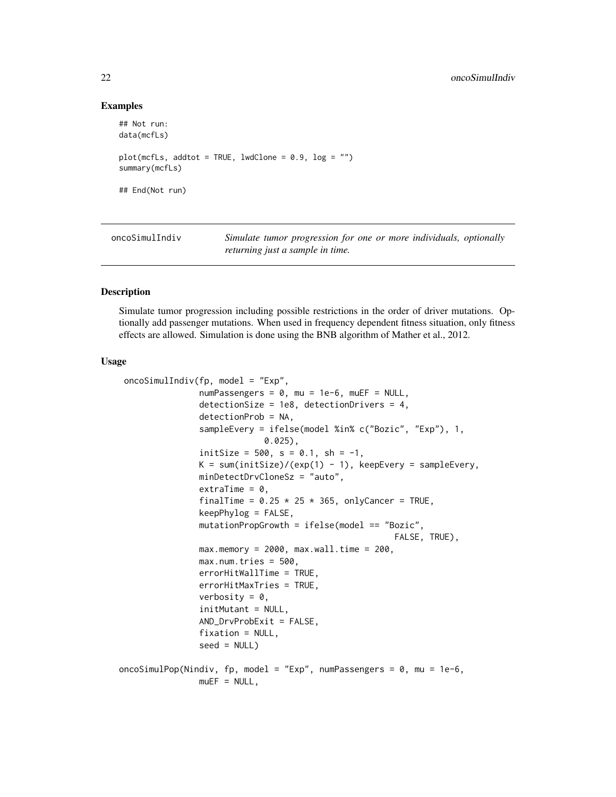#### Examples

```
## Not run:
data(mcfLs)
plot(mcfLs, addtot = TRUE, lwdClone = 0.9, log = "")summary(mcfLs)
## End(Not run)
```
<span id="page-21-1"></span>oncoSimulIndiv *Simulate tumor progression for one or more individuals, optionally returning just a sample in time.*

# <span id="page-21-2"></span>Description

Simulate tumor progression including possible restrictions in the order of driver mutations. Optionally add passenger mutations. When used in frequency dependent fitness situation, only fitness effects are allowed. Simulation is done using the BNB algorithm of Mather et al., 2012.

#### Usage

```
oncoSimulIndiv(fp, model = "Exp",
                numPassengers = 0, mu = 1e-6, muEF = NULL,
                detectionSize = 1e8, detectionDrivers = 4,
                detectionProb = NA,
                sampleEvery = ifelse(model %in% c("Bozic", "Exp"), 1,
                              0.025),
                initSize = 500, s = 0.1, sh = -1,
                K = sum(intSize)/(exp(1) - 1), keepEvery = sampleEvery,
                minDetectDrvCloneSz = "auto",
                extraTime = 0,
                finalTime = 0.25 \times 25 \times 365, onlyCancer = TRUE,
                keepPhylog = FALSE,
                mutationPropGrowth = ifelse(model == "Bozic",
                                                         FALSE, TRUE),
                max . memory = 2000, max . wall . time = 200,max.num.tries = 500,
                errorHitWallTime = TRUE,
                errorHitMaxTries = TRUE,
                verbosity = 0,
                initMutant = NULL,
                AND_DrvProbExit = FALSE,
                fixation = NULL,
                seed = NULLoncoSimulPop(Nindiv, fp, model = "Exp", numPassengers = 0, mu = 1e-6,
                muEF = NULL,
```
<span id="page-21-0"></span>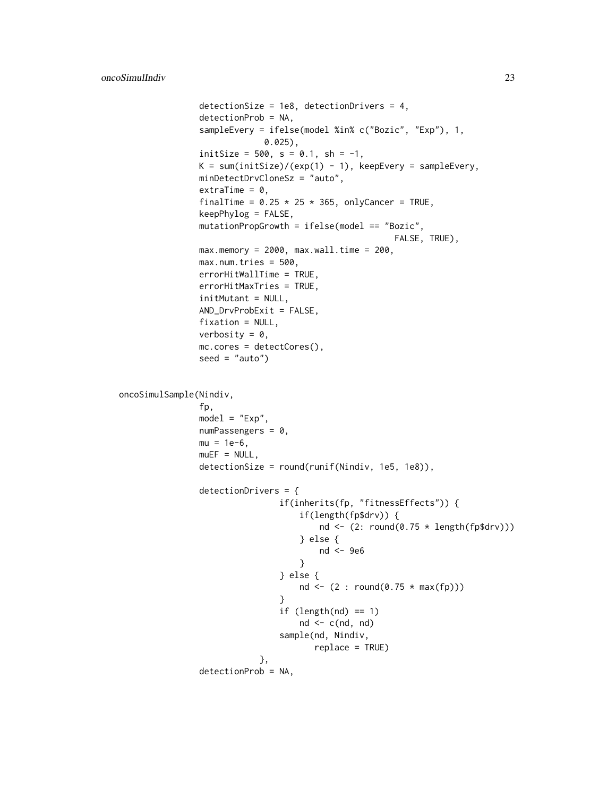```
detectionSize = 1e8, detectionDrivers = 4,
                detectionProb = NA,
                sampleEvery = ifelse(model %in% c("Bozic", "Exp"), 1,
                              0.025),
                initSize = 500, s = 0.1, sh = -1,
                K = sum(intSize)/(exp(1) - 1), keepEvery = sampleEvery,
                minDetectDrvCloneSz = "auto",
                extraTime = 0,
                finalTime = 0.25 \times 25 \times 365, onlyCancer = TRUE,
                keepPhylog = FALSE,
                mutationPropGrowth = ifelse(model == "Bozic",
                                                        FALSE, TRUE),
                max . memory = 2000, max .wall . time = 200,max.num.tries = 500,errorHitWallTime = TRUE,
                errorHitMaxTries = TRUE,
                initMutant = NULL,
                AND_DrvProbExit = FALSE,
                fixation = NULL,
                verbosity = 0,
                mc.cores = detectCores(),
                seed = "auto")oncoSimulSample(Nindiv,
                fp,
                model = "Exp",numPassengers = 0,
                mu = 1e-6,
                muEF = NULL,detectionSize = round(runif(Nindiv, 1e5, 1e8)),
                detectionDrivers = {
                                 if(inherits(fp, "fitnessEffects")) {
                                     if(length(fp$drv)) {
                                         nd \leq (2: round(0.75 \star length(fp$drv)))
                                     } else {
                                         nd <- 9e6
                                     }
                                 } else {
                                     nd <- (2 : round(0.75 * max(fp)))}
                                 if (length(nd) == 1)nd \leq c(nd, nd)sample(nd, Nindiv,
                                        replace = TRUE)
                             },
                detectionProb = NA,
```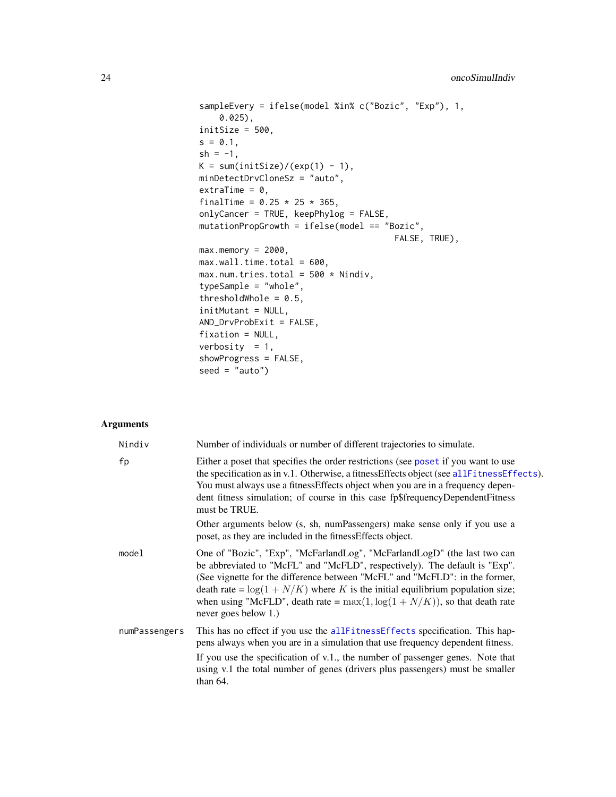```
sampleEvery = ifelse(model %in% c("Bozic", "Exp"), 1,
    0.025),
initSize = 500,
s = 0.1,
sh = -1,
K = sum(intSize)/(exp(1) - 1),minDetectDrvCloneSz = "auto",
extraTime = 0,
finalTime = 0.25 * 25 * 365,
onlyCancer = TRUE, keepPhylog = FALSE,
mutationPropGrowth = ifelse(model == "Bozic",
                                       FALSE, TRUE),
max . memory = 2000,max.walk1.time.total = 600,max.num.tries.total = 500 * Nindiv,
typeSample = "whole",
thresholdWhole = 0.5,
initMutant = NULL,
AND_DrvProbExit = FALSE,fixation = NULL,
verbosity = 1,
showProgress = FALSE,
seed = "auto")
```
# Arguments

| Nindiv        | Number of individuals or number of different trajectories to simulate.                                                                                                                                                                                                                                                                                                                                                            |
|---------------|-----------------------------------------------------------------------------------------------------------------------------------------------------------------------------------------------------------------------------------------------------------------------------------------------------------------------------------------------------------------------------------------------------------------------------------|
| fp            | Either a poset that specifies the order restrictions (see poset if you want to use<br>the specification as in v.1. Otherwise, a fitness Effects object (see all Fitness Effects).<br>You must always use a fitness Effects object when you are in a frequency depen-<br>dent fitness simulation; of course in this case fp\$frequencyDependentFitness<br>must be TRUE.                                                            |
|               | Other arguments below (s, sh, numPassengers) make sense only if you use a<br>poset, as they are included in the fitness Effects object.                                                                                                                                                                                                                                                                                           |
| model         | One of "Bozic", "Exp", "McFarlandLog", "McFarlandLogD" (the last two can<br>be abbreviated to "McFL" and "McFLD", respectively). The default is "Exp".<br>(See vignette for the difference between "McFL" and "McFLD": in the former,<br>death rate = $\log(1 + N/K)$ where K is the initial equilibrium population size;<br>when using "McFLD", death rate = $max(1, log(1 + N/K))$ , so that death rate<br>never goes below 1.) |
| numPassengers | This has no effect if you use the allFitnessEffects specification. This hap-<br>pens always when you are in a simulation that use frequency dependent fitness.                                                                                                                                                                                                                                                                    |
|               | If you use the specification of v.1., the number of passenger genes. Note that<br>using v.1 the total number of genes (drivers plus passengers) must be smaller<br>than $64$ .                                                                                                                                                                                                                                                    |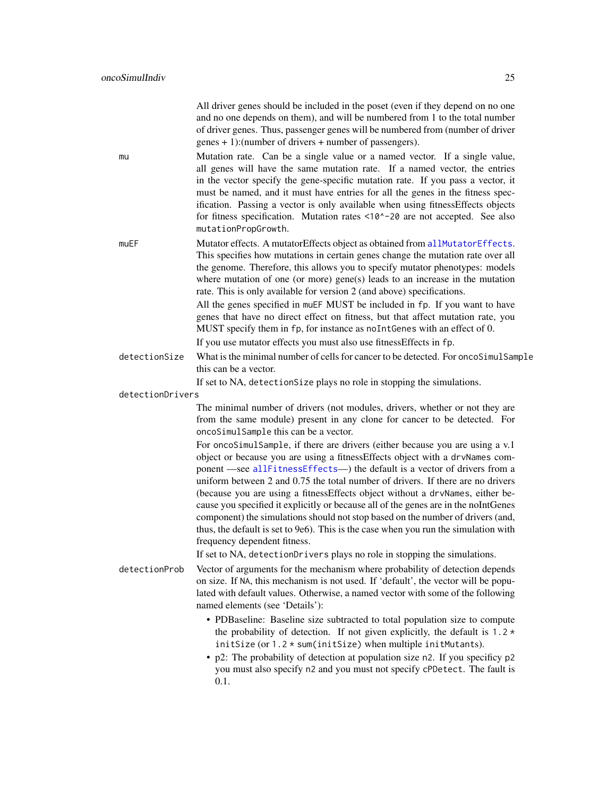<span id="page-24-0"></span>

|                  | All driver genes should be included in the poset (even if they depend on no one<br>and no one depends on them), and will be numbered from 1 to the total number<br>of driver genes. Thus, passenger genes will be numbered from (number of driver<br>genes + 1):(number of drivers + number of passengers).                                                                                                                                                                                                                                                                                                                                                                                                                                                                                  |
|------------------|----------------------------------------------------------------------------------------------------------------------------------------------------------------------------------------------------------------------------------------------------------------------------------------------------------------------------------------------------------------------------------------------------------------------------------------------------------------------------------------------------------------------------------------------------------------------------------------------------------------------------------------------------------------------------------------------------------------------------------------------------------------------------------------------|
| mu               | Mutation rate. Can be a single value or a named vector. If a single value,<br>all genes will have the same mutation rate. If a named vector, the entries<br>in the vector specify the gene-specific mutation rate. If you pass a vector, it<br>must be named, and it must have entries for all the genes in the fitness spec-<br>ification. Passing a vector is only available when using fitnessEffects objects<br>for fitness specification. Mutation rates <10^-20 are not accepted. See also<br>mutationPropGrowth.                                                                                                                                                                                                                                                                      |
| muEF             | Mutator effects. A mutatorEffects object as obtained from allMutatorEffects.<br>This specifies how mutations in certain genes change the mutation rate over all<br>the genome. Therefore, this allows you to specify mutator phenotypes: models<br>where mutation of one (or more) gene(s) leads to an increase in the mutation<br>rate. This is only available for version 2 (and above) specifications.<br>All the genes specified in muEF MUST be included in fp. If you want to have<br>genes that have no direct effect on fitness, but that affect mutation rate, you<br>MUST specify them in fp, for instance as noIntGenes with an effect of 0.<br>If you use mutator effects you must also use fitnessEffects in fp.                                                                |
| detectionSize    | What is the minimal number of cells for cancer to be detected. For oncoSimulSample                                                                                                                                                                                                                                                                                                                                                                                                                                                                                                                                                                                                                                                                                                           |
|                  | this can be a vector.<br>If set to NA, detectionSize plays no role in stopping the simulations.                                                                                                                                                                                                                                                                                                                                                                                                                                                                                                                                                                                                                                                                                              |
| detectionDrivers |                                                                                                                                                                                                                                                                                                                                                                                                                                                                                                                                                                                                                                                                                                                                                                                              |
|                  | The minimal number of drivers (not modules, drivers, whether or not they are<br>from the same module) present in any clone for cancer to be detected. For<br>oncoSimulSample this can be a vector.                                                                                                                                                                                                                                                                                                                                                                                                                                                                                                                                                                                           |
|                  | For oncoSimulSample, if there are drivers (either because you are using a v.1<br>object or because you are using a fitnessEffects object with a drvNames com-<br>ponent -see allFitnessEffects-) the default is a vector of drivers from a<br>uniform between 2 and 0.75 the total number of drivers. If there are no drivers<br>(because you are using a fitnessEffects object without a drvNames, either be-<br>cause you specified it explicitly or because all of the genes are in the noIntGenes<br>component) the simulations should not stop based on the number of drivers (and,<br>thus, the default is set to 9e6). This is the case when you run the simulation with<br>frequency dependent fitness.<br>If set to NA, detectionDrivers plays no role in stopping the simulations. |
| detectionProb    | Vector of arguments for the mechanism where probability of detection depends<br>on size. If NA, this mechanism is not used. If 'default', the vector will be popu-<br>lated with default values. Otherwise, a named vector with some of the following<br>named elements (see 'Details'):                                                                                                                                                                                                                                                                                                                                                                                                                                                                                                     |
|                  | • PDBaseline: Baseline size subtracted to total population size to compute<br>the probability of detection. If not given explicitly, the default is $1.2*$<br>initSize (or 1.2 * sum(initSize) when multiple initMutants).<br>• p2: The probability of detection at population size n2. If you specificy p2<br>you must also specify n2 and you must not specify cPDetect. The fault is<br>0.1.                                                                                                                                                                                                                                                                                                                                                                                              |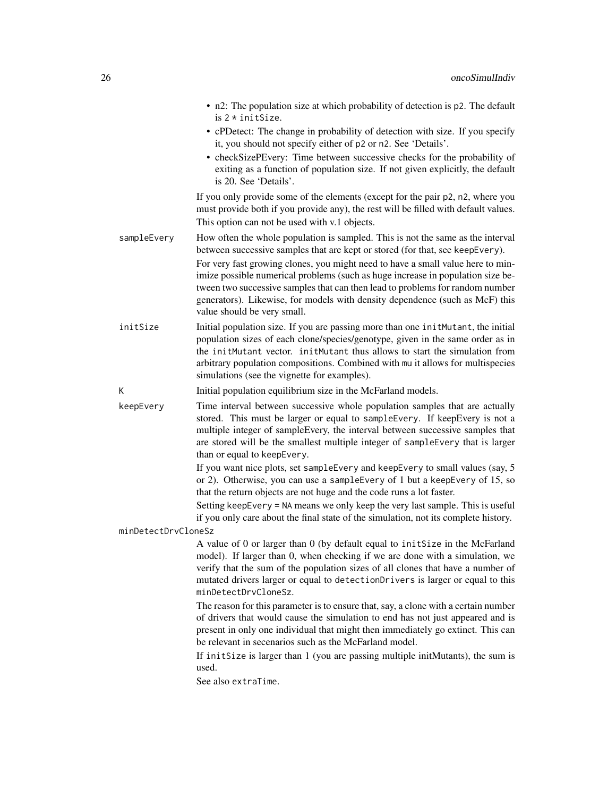|                     | • n2: The population size at which probability of detection is p2. The default<br>is $2 *$ initSize.                                                                                                                                                                                                                                                                                |
|---------------------|-------------------------------------------------------------------------------------------------------------------------------------------------------------------------------------------------------------------------------------------------------------------------------------------------------------------------------------------------------------------------------------|
|                     | • cPDetect: The change in probability of detection with size. If you specify<br>it, you should not specify either of p2 or n2. See 'Details'.                                                                                                                                                                                                                                       |
|                     | • checkSizePEvery: Time between successive checks for the probability of<br>exiting as a function of population size. If not given explicitly, the default<br>is 20. See 'Details'.                                                                                                                                                                                                 |
|                     | If you only provide some of the elements (except for the pair p2, n2, where you<br>must provide both if you provide any), the rest will be filled with default values.<br>This option can not be used with v.1 objects.                                                                                                                                                             |
| sampleEvery         | How often the whole population is sampled. This is not the same as the interval<br>between successive samples that are kept or stored (for that, see keepEvery).                                                                                                                                                                                                                    |
|                     | For very fast growing clones, you might need to have a small value here to min-<br>imize possible numerical problems (such as huge increase in population size be-<br>tween two successive samples that can then lead to problems for random number<br>generators). Likewise, for models with density dependence (such as McF) this<br>value should be very small.                  |
| initSize            | Initial population size. If you are passing more than one initMutant, the initial<br>population sizes of each clone/species/genotype, given in the same order as in<br>the initMutant vector. initMutant thus allows to start the simulation from<br>arbitrary population compositions. Combined with mu it allows for multispecies<br>simulations (see the vignette for examples). |
| К                   | Initial population equilibrium size in the McFarland models.                                                                                                                                                                                                                                                                                                                        |
| keepEvery           | Time interval between successive whole population samples that are actually<br>stored. This must be larger or equal to sampleEvery. If keepEvery is not a<br>multiple integer of sampleEvery, the interval between successive samples that<br>are stored will be the smallest multiple integer of sampleEvery that is larger<br>than or equal to keepEvery.                         |
|                     | If you want nice plots, set sampleEvery and keepEvery to small values (say, 5<br>or 2). Otherwise, you can use a sampleEvery of 1 but a keepEvery of 15, so<br>that the return objects are not huge and the code runs a lot faster.                                                                                                                                                 |
|                     | Setting keepEvery = NA means we only keep the very last sample. This is useful<br>if you only care about the final state of the simulation, not its complete history.                                                                                                                                                                                                               |
| minDetectDrvCloneSz |                                                                                                                                                                                                                                                                                                                                                                                     |
|                     | A value of 0 or larger than 0 (by default equal to initSize in the McFarland<br>model). If larger than 0, when checking if we are done with a simulation, we<br>verify that the sum of the population sizes of all clones that have a number of<br>mutated drivers larger or equal to detectionDrivers is larger or equal to this<br>minDetectDrvCloneSz.                           |
|                     | The reason for this parameter is to ensure that, say, a clone with a certain number<br>of drivers that would cause the simulation to end has not just appeared and is<br>present in only one individual that might then immediately go extinct. This can<br>be relevant in secenarios such as the McFarland model.                                                                  |
|                     | If initSize is larger than 1 (you are passing multiple initMutants), the sum is<br>used.<br>See also extraTime.                                                                                                                                                                                                                                                                     |
|                     |                                                                                                                                                                                                                                                                                                                                                                                     |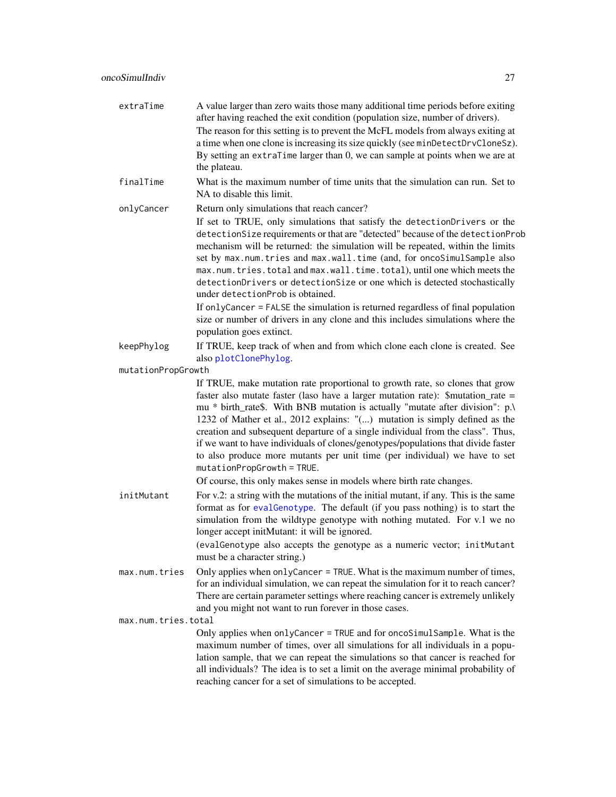<span id="page-26-0"></span>

| extraTime           | A value larger than zero waits those many additional time periods before exiting<br>after having reached the exit condition (population size, number of drivers).<br>The reason for this setting is to prevent the McFL models from always exiting at<br>a time when one clone is increasing its size quickly (see minDetectDrvCloneSz).<br>By setting an extraTime larger than 0, we can sample at points when we are at<br>the plateau.                                                                                                                                                                           |
|---------------------|---------------------------------------------------------------------------------------------------------------------------------------------------------------------------------------------------------------------------------------------------------------------------------------------------------------------------------------------------------------------------------------------------------------------------------------------------------------------------------------------------------------------------------------------------------------------------------------------------------------------|
| finalTime           | What is the maximum number of time units that the simulation can run. Set to<br>NA to disable this limit.                                                                                                                                                                                                                                                                                                                                                                                                                                                                                                           |
| onlyCancer          | Return only simulations that reach cancer?<br>If set to TRUE, only simulations that satisfy the detectionDrivers or the<br>detectionSize requirements or that are "detected" because of the detectionProb<br>mechanism will be returned: the simulation will be repeated, within the limits<br>set by max.num.tries and max.wall.time (and, for oncoSimulSample also<br>max.num.tries.total and max.wall.time.total), until one which meets the<br>detectionDrivers or detectionSize or one which is detected stochastically<br>under detectionProb is obtained.                                                    |
|                     | If onlyCancer = FALSE the simulation is returned regardless of final population<br>size or number of drivers in any clone and this includes simulations where the<br>population goes extinct.                                                                                                                                                                                                                                                                                                                                                                                                                       |
| keepPhylog          | If TRUE, keep track of when and from which clone each clone is created. See<br>also plotClonePhylog.                                                                                                                                                                                                                                                                                                                                                                                                                                                                                                                |
| mutationPropGrowth  |                                                                                                                                                                                                                                                                                                                                                                                                                                                                                                                                                                                                                     |
|                     | If TRUE, make mutation rate proportional to growth rate, so clones that grow<br>faster also mutate faster (laso have a larger mutation rate): \$mutation_rate =<br>mu * birth_rate\$. With BNB mutation is actually "mutate after division": p.\<br>1232 of Mather et al., 2012 explains: "() mutation is simply defined as the<br>creation and subsequent departure of a single individual from the class". Thus,<br>if we want to have individuals of clones/genotypes/populations that divide faster<br>to also produce more mutants per unit time (per individual) we have to set<br>mutationPropGrowth = TRUE. |
|                     | Of course, this only makes sense in models where birth rate changes.                                                                                                                                                                                                                                                                                                                                                                                                                                                                                                                                                |
| initMutant          | For v.2: a string with the mutations of the initial mutant, if any. This is the same<br>format as for evalGenotype. The default (if you pass nothing) is to start the<br>simulation from the wildtype genotype with nothing mutated. For v.1 we no<br>longer accept initMutant: it will be ignored.                                                                                                                                                                                                                                                                                                                 |
|                     | (evalGenotype also accepts the genotype as a numeric vector; initMutant<br>must be a character string.)                                                                                                                                                                                                                                                                                                                                                                                                                                                                                                             |
| max.num.tries       | Only applies when onlyCancer = TRUE. What is the maximum number of times,<br>for an individual simulation, we can repeat the simulation for it to reach cancer?<br>There are certain parameter settings where reaching cancer is extremely unlikely<br>and you might not want to run forever in those cases.                                                                                                                                                                                                                                                                                                        |
| max.num.tries.total |                                                                                                                                                                                                                                                                                                                                                                                                                                                                                                                                                                                                                     |
|                     | Only applies when onlyCancer = TRUE and for oncoSimulSample. What is the<br>maximum number of times, over all simulations for all individuals in a popu-<br>lation sample, that we can repeat the simulations so that cancer is reached for<br>all individuals? The idea is to set a limit on the average minimal probability of<br>reaching cancer for a set of simulations to be accepted.                                                                                                                                                                                                                        |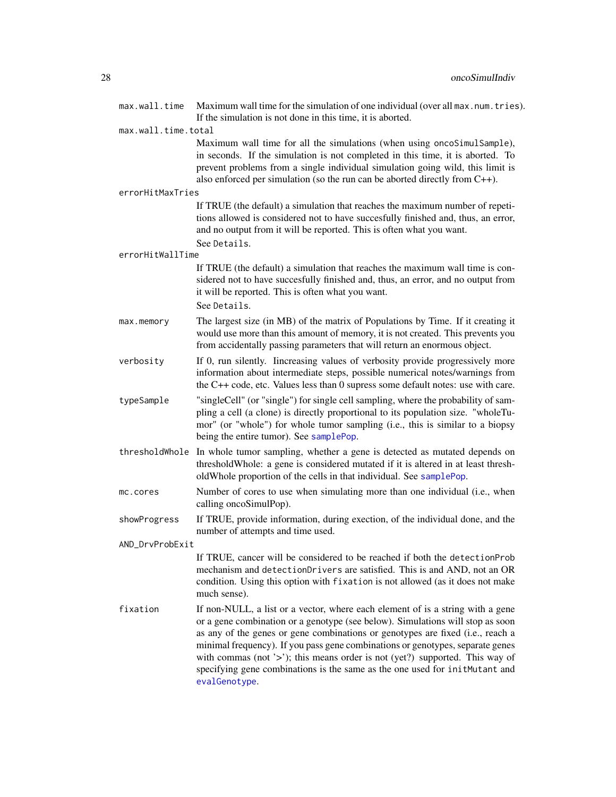<span id="page-27-0"></span>

| max.wall.time       | Maximum wall time for the simulation of one individual (over all max.num.tries).<br>If the simulation is not done in this time, it is aborted.                                                                                                                                                                                                                                                                                                                                                                       |
|---------------------|----------------------------------------------------------------------------------------------------------------------------------------------------------------------------------------------------------------------------------------------------------------------------------------------------------------------------------------------------------------------------------------------------------------------------------------------------------------------------------------------------------------------|
| max.wall.time.total |                                                                                                                                                                                                                                                                                                                                                                                                                                                                                                                      |
|                     | Maximum wall time for all the simulations (when using oncoSimulSample),<br>in seconds. If the simulation is not completed in this time, it is aborted. To<br>prevent problems from a single individual simulation going wild, this limit is<br>also enforced per simulation (so the run can be aborted directly from $C++$ ).                                                                                                                                                                                        |
| errorHitMaxTries    |                                                                                                                                                                                                                                                                                                                                                                                                                                                                                                                      |
|                     | If TRUE (the default) a simulation that reaches the maximum number of repeti-<br>tions allowed is considered not to have succesfully finished and, thus, an error,<br>and no output from it will be reported. This is often what you want.<br>See Details.                                                                                                                                                                                                                                                           |
| errorHitWallTime    |                                                                                                                                                                                                                                                                                                                                                                                                                                                                                                                      |
|                     | If TRUE (the default) a simulation that reaches the maximum wall time is con-<br>sidered not to have succesfully finished and, thus, an error, and no output from<br>it will be reported. This is often what you want.                                                                                                                                                                                                                                                                                               |
|                     | See Details.                                                                                                                                                                                                                                                                                                                                                                                                                                                                                                         |
| max.memory          | The largest size (in MB) of the matrix of Populations by Time. If it creating it<br>would use more than this amount of memory, it is not created. This prevents you<br>from accidentally passing parameters that will return an enormous object.                                                                                                                                                                                                                                                                     |
| verbosity           | If 0, run silently. Increasing values of verbosity provide progressively more<br>information about intermediate steps, possible numerical notes/warnings from<br>the $C++$ code, etc. Values less than 0 supress some default notes: use with care.                                                                                                                                                                                                                                                                  |
| typeSample          | "singleCell" (or "single") for single cell sampling, where the probability of sam-<br>pling a cell (a clone) is directly proportional to its population size. "wholeTu-<br>mor" (or "whole") for whole tumor sampling (i.e., this is similar to a biopsy<br>being the entire tumor). See samplePop.                                                                                                                                                                                                                  |
|                     | threshold Whole In whole tumor sampling, whether a gene is detected as mutated depends on<br>thresholdWhole: a gene is considered mutated if it is altered in at least thresh-<br>oldWhole proportion of the cells in that individual. See samplePop.                                                                                                                                                                                                                                                                |
| mc.cores            | Number of cores to use when simulating more than one individual (i.e., when<br>calling oncoSimulPop).                                                                                                                                                                                                                                                                                                                                                                                                                |
| showProgress        | If TRUE, provide information, during exection, of the individual done, and the<br>number of attempts and time used.                                                                                                                                                                                                                                                                                                                                                                                                  |
| AND_DrvProbExit     |                                                                                                                                                                                                                                                                                                                                                                                                                                                                                                                      |
|                     | If TRUE, cancer will be considered to be reached if both the detectionProb<br>mechanism and detectionDrivers are satisfied. This is and AND, not an OR<br>condition. Using this option with fixation is not allowed (as it does not make<br>much sense).                                                                                                                                                                                                                                                             |
| fixation            | If non-NULL, a list or a vector, where each element of is a string with a gene<br>or a gene combination or a genotype (see below). Simulations will stop as soon<br>as any of the genes or gene combinations or genotypes are fixed (i.e., reach a<br>minimal frequency). If you pass gene combinations or genotypes, separate genes<br>with commas (not '>'); this means order is not (yet?) supported. This way of<br>specifying gene combinations is the same as the one used for initMutant and<br>evalGenotype. |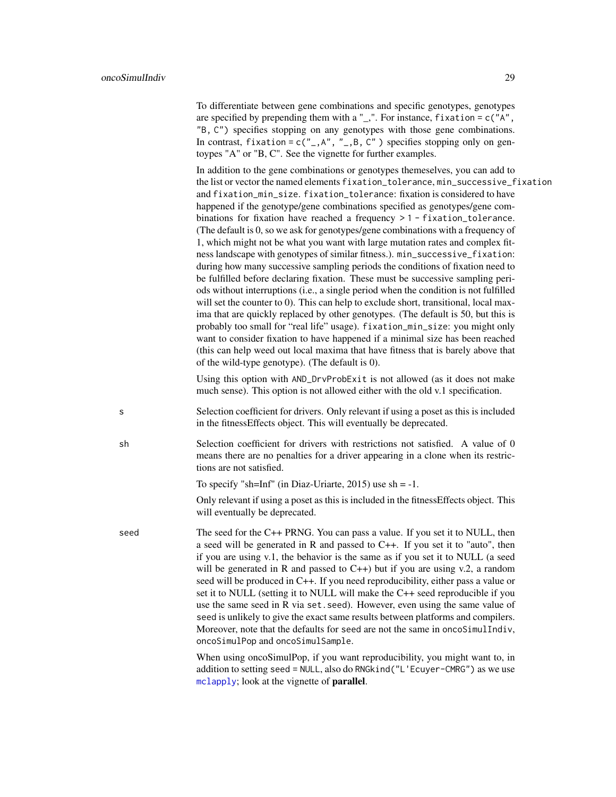<span id="page-28-0"></span>To differentiate between gene combinations and specific genotypes, genotypes are specified by prepending them with a  $"$ ,". For instance, fixation = c( $"A"$ , "B, C") specifies stopping on any genotypes with those gene combinations. In contrast, fixation =  $c("_A", "_B, C")$  specifies stopping only on gentoypes "A" or "B, C". See the vignette for further examples.

In addition to the gene combinations or genotypes themeselves, you can add to the list or vector the named elements fixation\_tolerance, min\_successive\_fixation and fixation\_min\_size. fixation\_tolerance: fixation is considered to have happened if the genotype/gene combinations specified as genotypes/gene combinations for fixation have reached a frequency > 1 - fixation\_tolerance. (The default is 0, so we ask for genotypes/gene combinations with a frequency of 1, which might not be what you want with large mutation rates and complex fitness landscape with genotypes of similar fitness.). min\_successive\_fixation: during how many successive sampling periods the conditions of fixation need to be fulfilled before declaring fixation. These must be successive sampling periods without interruptions (i.e., a single period when the condition is not fulfilled will set the counter to 0). This can help to exclude short, transitional, local maxima that are quickly replaced by other genotypes. (The default is 50, but this is probably too small for "real life" usage). fixation\_min\_size: you might only want to consider fixation to have happened if a minimal size has been reached (this can help weed out local maxima that have fitness that is barely above that of the wild-type genotype). (The default is 0).

Using this option with AND\_DrvProbExit is not allowed (as it does not make much sense). This option is not allowed either with the old v.1 specification.

s Selection coefficient for drivers. Only relevant if using a poset as this is included in the fitnessEffects object. This will eventually be deprecated.

sh Selection coefficient for drivers with restrictions not satisfied. A value of 0 means there are no penalties for a driver appearing in a clone when its restrictions are not satisfied.

To specify "sh=Inf" (in Diaz-Uriarte, 2015) use  $sh = -1$ .

Only relevant if using a poset as this is included in the fitnessEffects object. This will eventually be deprecated.

seed The seed for the C++ PRNG. You can pass a value. If you set it to NULL, then a seed will be generated in R and passed to C++. If you set it to "auto", then if you are using v.1, the behavior is the same as if you set it to NULL (a seed will be generated in R and passed to  $C++$ ) but if you are using v.2, a random seed will be produced in C++. If you need reproducibility, either pass a value or set it to NULL (setting it to NULL will make the C++ seed reproducible if you use the same seed in R via set.seed). However, even using the same value of seed is unlikely to give the exact same results between platforms and compilers. Moreover, note that the defaults for seed are not the same in oncoSimulIndiv, oncoSimulPop and oncoSimulSample.

> When using oncoSimulPop, if you want reproducibility, you might want to, in addition to setting seed = NULL, also do RNGkind("L'Ecuyer-CMRG") as we use [mclapply](#page-0-0); look at the vignette of **parallel**.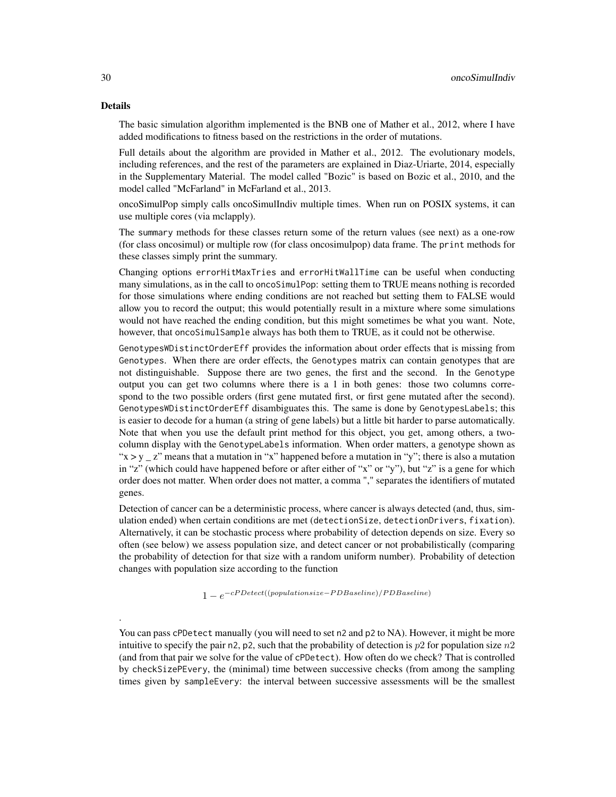#### Details

.

The basic simulation algorithm implemented is the BNB one of Mather et al., 2012, where I have added modifications to fitness based on the restrictions in the order of mutations.

Full details about the algorithm are provided in Mather et al., 2012. The evolutionary models, including references, and the rest of the parameters are explained in Diaz-Uriarte, 2014, especially in the Supplementary Material. The model called "Bozic" is based on Bozic et al., 2010, and the model called "McFarland" in McFarland et al., 2013.

oncoSimulPop simply calls oncoSimulIndiv multiple times. When run on POSIX systems, it can use multiple cores (via mclapply).

The summary methods for these classes return some of the return values (see next) as a one-row (for class oncosimul) or multiple row (for class oncosimulpop) data frame. The print methods for these classes simply print the summary.

Changing options errorHitMaxTries and errorHitWallTime can be useful when conducting many simulations, as in the call to oncoSimulPop: setting them to TRUE means nothing is recorded for those simulations where ending conditions are not reached but setting them to FALSE would allow you to record the output; this would potentially result in a mixture where some simulations would not have reached the ending condition, but this might sometimes be what you want. Note, however, that oncoSimulSample always has both them to TRUE, as it could not be otherwise.

GenotypesWDistinctOrderEff provides the information about order effects that is missing from Genotypes. When there are order effects, the Genotypes matrix can contain genotypes that are not distinguishable. Suppose there are two genes, the first and the second. In the Genotype output you can get two columns where there is a 1 in both genes: those two columns correspond to the two possible orders (first gene mutated first, or first gene mutated after the second). GenotypesWDistinctOrderEff disambiguates this. The same is done by GenotypesLabels; this is easier to decode for a human (a string of gene labels) but a little bit harder to parse automatically. Note that when you use the default print method for this object, you get, among others, a twocolumn display with the GenotypeLabels information. When order matters, a genotype shown as " $x > y$  z" means that a mutation in "x" happened before a mutation in "y"; there is also a mutation in "z" (which could have happened before or after either of "x" or "y"), but "z" is a gene for which order does not matter. When order does not matter, a comma "," separates the identifiers of mutated genes.

Detection of cancer can be a deterministic process, where cancer is always detected (and, thus, simulation ended) when certain conditions are met (detectionSize, detectionDrivers, fixation). Alternatively, it can be stochastic process where probability of detection depends on size. Every so often (see below) we assess population size, and detect cancer or not probabilistically (comparing the probability of detection for that size with a random uniform number). Probability of detection changes with population size according to the function

 $1 - e^{-cPDetect((populationsize-PDBaseline)/PDBaseline)}$ 

You can pass cPDetect manually (you will need to set n2 and p2 to NA). However, it might be more intuitive to specify the pair n2, p2, such that the probability of detection is  $p2$  for population size  $n2$ (and from that pair we solve for the value of cPDetect). How often do we check? That is controlled by checkSizePEvery, the (minimal) time between successive checks (from among the sampling times given by sampleEvery: the interval between successive assessments will be the smallest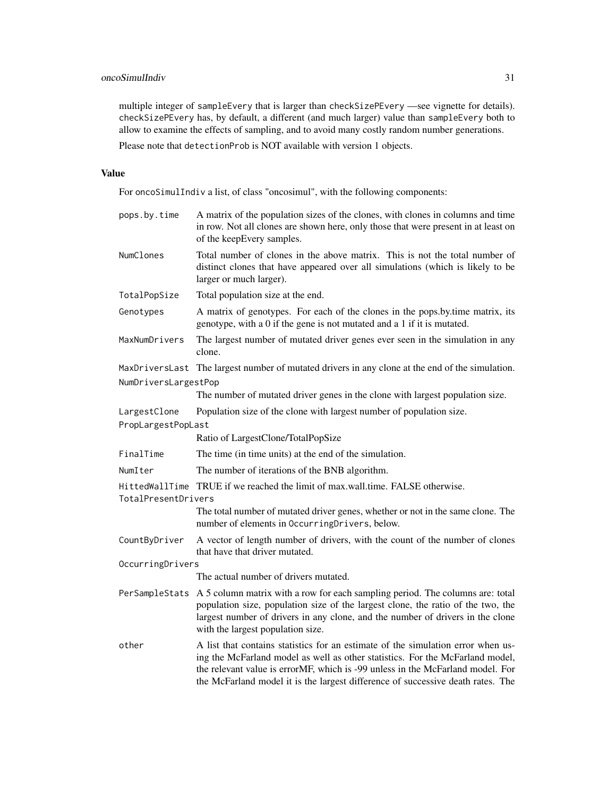# oncoSimulIndiv 31

multiple integer of sampleEvery that is larger than checkSizePEvery —see vignette for details). checkSizePEvery has, by default, a different (and much larger) value than sampleEvery both to allow to examine the effects of sampling, and to avoid many costly random number generations.

Please note that detectionProb is NOT available with version 1 objects.

## Value

For oncoSimulIndiv a list, of class "oncosimul", with the following components:

| pops.by.time         | A matrix of the population sizes of the clones, with clones in columns and time<br>in row. Not all clones are shown here, only those that were present in at least on<br>of the keepEvery samples.                                                                                                                                     |
|----------------------|----------------------------------------------------------------------------------------------------------------------------------------------------------------------------------------------------------------------------------------------------------------------------------------------------------------------------------------|
| NumClones            | Total number of clones in the above matrix. This is not the total number of<br>distinct clones that have appeared over all simulations (which is likely to be<br>larger or much larger).                                                                                                                                               |
| TotalPopSize         | Total population size at the end.                                                                                                                                                                                                                                                                                                      |
| Genotypes            | A matrix of genotypes. For each of the clones in the pops.by.time matrix, its<br>genotype, with a 0 if the gene is not mutated and a 1 if it is mutated.                                                                                                                                                                               |
| MaxNumDrivers        | The largest number of mutated driver genes ever seen in the simulation in any<br>clone.                                                                                                                                                                                                                                                |
| NumDriversLargestPop | MaxDriversLast The largest number of mutated drivers in any clone at the end of the simulation.                                                                                                                                                                                                                                        |
|                      | The number of mutated driver genes in the clone with largest population size.                                                                                                                                                                                                                                                          |
| LargestClone         | Population size of the clone with largest number of population size.                                                                                                                                                                                                                                                                   |
| PropLargestPopLast   |                                                                                                                                                                                                                                                                                                                                        |
|                      | Ratio of LargestClone/TotalPopSize                                                                                                                                                                                                                                                                                                     |
| FinalTime            | The time (in time units) at the end of the simulation.                                                                                                                                                                                                                                                                                 |
| NumIter              | The number of iterations of the BNB algorithm.                                                                                                                                                                                                                                                                                         |
| TotalPresentDrivers  | HittedWallTime TRUE if we reached the limit of max.wall.time. FALSE otherwise.                                                                                                                                                                                                                                                         |
|                      | The total number of mutated driver genes, whether or not in the same clone. The<br>number of elements in OccurringDrivers, below.                                                                                                                                                                                                      |
| CountByDriver        | A vector of length number of drivers, with the count of the number of clones<br>that have that driver mutated.                                                                                                                                                                                                                         |
| OccurringDrivers     |                                                                                                                                                                                                                                                                                                                                        |
|                      | The actual number of drivers mutated.                                                                                                                                                                                                                                                                                                  |
|                      | PerSampleStats A 5 column matrix with a row for each sampling period. The columns are: total<br>population size, population size of the largest clone, the ratio of the two, the<br>largest number of drivers in any clone, and the number of drivers in the clone<br>with the largest population size.                                |
| other                | A list that contains statistics for an estimate of the simulation error when us-<br>ing the McFarland model as well as other statistics. For the McFarland model,<br>the relevant value is errorMF, which is -99 unless in the McFarland model. For<br>the McFarland model it is the largest difference of successive death rates. The |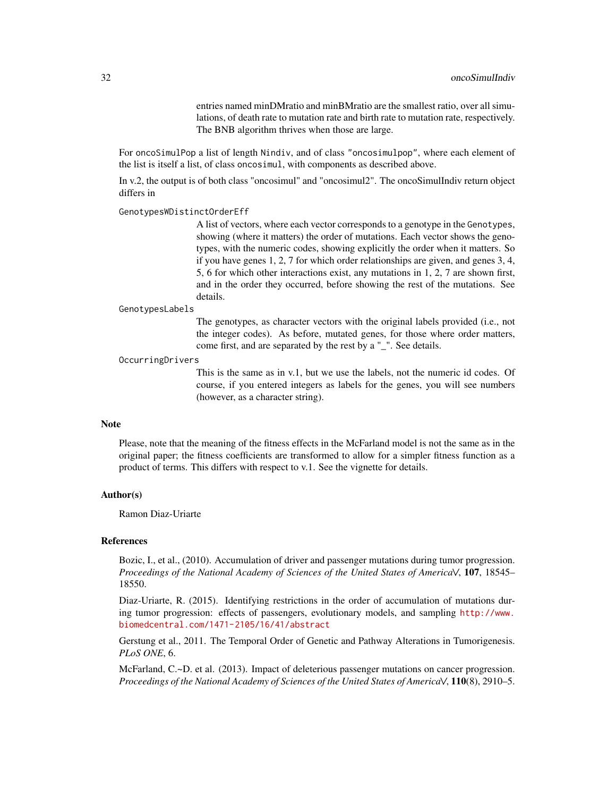entries named minDMratio and minBMratio are the smallest ratio, over all simulations, of death rate to mutation rate and birth rate to mutation rate, respectively. The BNB algorithm thrives when those are large.

For oncoSimulPop a list of length Nindiv, and of class "oncosimulpop", where each element of the list is itself a list, of class oncosimul, with components as described above.

In v.2, the output is of both class "oncosimul" and "oncosimul2". The oncoSimulIndiv return object differs in

#### GenotypesWDistinctOrderEff

A list of vectors, where each vector corresponds to a genotype in the Genotypes, showing (where it matters) the order of mutations. Each vector shows the genotypes, with the numeric codes, showing explicitly the order when it matters. So if you have genes 1, 2, 7 for which order relationships are given, and genes 3, 4, 5, 6 for which other interactions exist, any mutations in 1, 2, 7 are shown first, and in the order they occurred, before showing the rest of the mutations. See details.

#### GenotypesLabels

The genotypes, as character vectors with the original labels provided (i.e., not the integer codes). As before, mutated genes, for those where order matters, come first, and are separated by the rest by a "\_". See details.

#### OccurringDrivers

This is the same as in v.1, but we use the labels, not the numeric id codes. Of course, if you entered integers as labels for the genes, you will see numbers (however, as a character string).

#### **Note**

Please, note that the meaning of the fitness effects in the McFarland model is not the same as in the original paper; the fitness coefficients are transformed to allow for a simpler fitness function as a product of terms. This differs with respect to v.1. See the vignette for details.

#### Author(s)

Ramon Diaz-Uriarte

#### References

Bozic, I., et al., (2010). Accumulation of driver and passenger mutations during tumor progression. *Proceedings of the National Academy of Sciences of the United States of America\/*, 107, 18545– 18550.

Diaz-Uriarte, R. (2015). Identifying restrictions in the order of accumulation of mutations during tumor progression: effects of passengers, evolutionary models, and sampling [http://www.](http://www.biomedcentral.com/1471-2105/16/41/abstract) [biomedcentral.com/1471-2105/16/41/abstract](http://www.biomedcentral.com/1471-2105/16/41/abstract)

Gerstung et al., 2011. The Temporal Order of Genetic and Pathway Alterations in Tumorigenesis. *PLoS ONE*, 6.

McFarland, C.~D. et al. (2013). Impact of deleterious passenger mutations on cancer progression. *Proceedings of the National Academy of Sciences of the United States of America\/*, 110(8), 2910–5.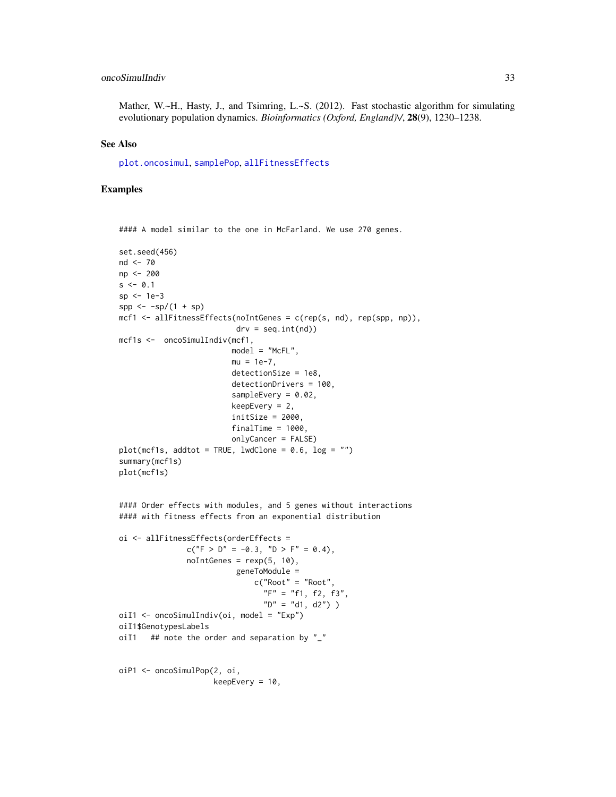# <span id="page-32-0"></span>oncoSimulIndiv 33

Mather, W.~H., Hasty, J., and Tsimring, L.~S. (2012). Fast stochastic algorithm for simulating evolutionary population dynamics. *Bioinformatics (Oxford, England)\/*, 28(9), 1230–1238.

#### See Also

[plot.oncosimul](#page-40-1), [samplePop](#page-61-1), [allFitnessEffects](#page-2-1)

#### Examples

```
#### A model similar to the one in McFarland. We use 270 genes.
set.seed(456)
nd <- 70
np <- 200
s < -0.1sp <- 1e-3
spp \leftarrow -sp/(1 + sp)mcf1 \le allFitnessEffects(noIntGenes = c(rep(s, nd), rep(spp, np)),
                           \text{drv} = \text{seq.int}(\text{nd})mcf1s <- oncoSimulIndiv(mcf1,
                         model = "McFL".mu = 1e-7.
                         detectionSize = 1e8,
                         detectionDrivers = 100,
                         sampleEvery = 0.02,
                         keepEvery = 2,
                          initSize = 2000,
                         finalTime = 1000,
                         onlyCancer = FALSE)
plot(mcf1s, addtot = TRUE, lwdClone = 0.6, log = "")summary(mcf1s)
plot(mcf1s)
#### Order effects with modules, and 5 genes without interactions
#### with fitness effects from an exponential distribution
oi <- allFitnessEffects(orderEffects =
               c("F > D'' = -0.3, "D > F" = 0.4),
               noIntGenes = rexp(5, 10),geneToModule =
                               c("Root" = "Root",
                                 "F" = "f1, f2, f3""D" = "d1, d2"))
oiI1 <- oncoSimulIndiv(oi, model = "Exp")
oiI1$GenotypesLabels
oiI1 ## note the order and separation by "_"
oiP1 <- oncoSimulPop(2, oi,
                     keepEvery = 10,
```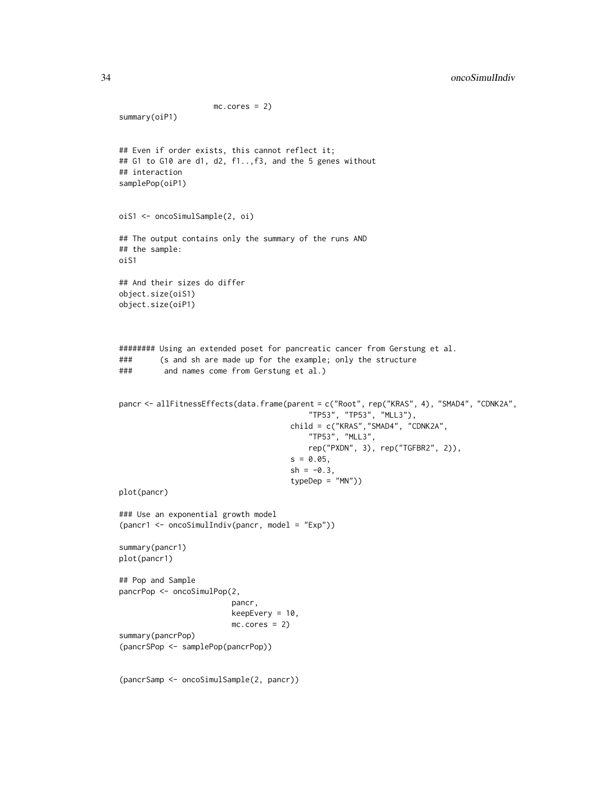```
mc.cores = 2)
summary(oiP1)
## Even if order exists, this cannot reflect it;
## G1 to G10 are d1, d2, f1..,f3, and the 5 genes without
## interaction
samplePop(oiP1)
oiS1 <- oncoSimulSample(2, oi)
## The output contains only the summary of the runs AND
## the sample:
oiS1
## And their sizes do differ
object.size(oiS1)
object.size(oiP1)
######## Using an extended poset for pancreatic cancer from Gerstung et al.
### (s and sh are made up for the example; only the structure
### and names come from Gerstung et al.)
pancr <- allFitnessEffects(data.frame(parent = c("Root", rep("KRAS", 4), "SMAD4", "CDNK2A",
                                          "TP53", "TP53", "MLL3"),
                                      child = c("KRAS","SMAD4", "CDNK2A",
                                          "TP53", "MLL3",
                                          rep("PXDN", 3), rep("TGFBR2", 2)),
                                      s = 0.05,
                                      sh = -0.3,
                                      typeDep = "MN")plot(pancr)
### Use an exponential growth model
(pancr1 <- oncoSimulIndiv(pancr, model = "Exp"))
summary(pancr1)
plot(pancr1)
## Pop and Sample
pancrPop <- oncoSimulPop(2,
                         pancr,
                         keepEvery = 10,
                         mc.cores = 2)summary(pancrPop)
(pancrSPop <- samplePop(pancrPop))
(pancrSamp <- oncoSimulSample(2, pancr))
```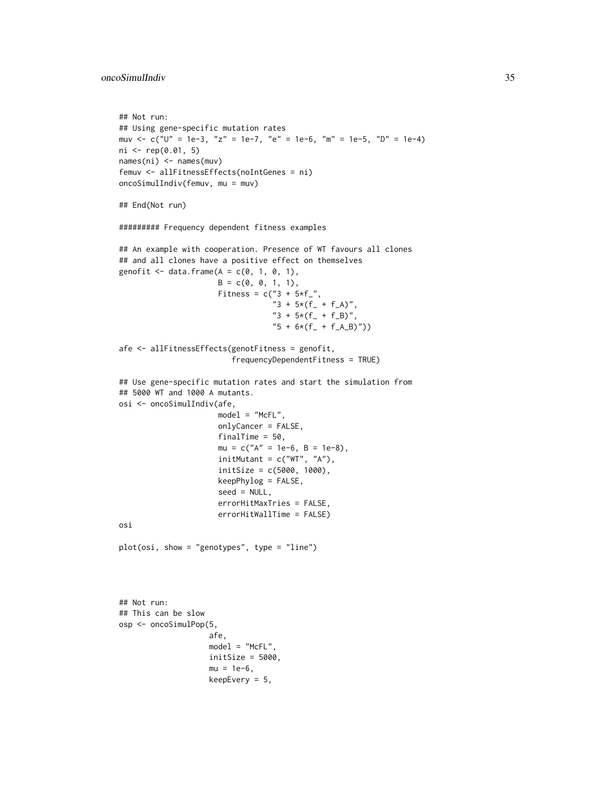```
## Not run:
## Using gene-specific mutation rates
muv <- c("U" = 1e-3, "z" = 1e-7, "e" = 1e-6, "m" = 1e-5, "D" = 1e-4)
ni <- rep(0.01, 5)
names(ni) <- names(muv)
femuv <- allFitnessEffects(noIntGenes = ni)
oncoSimulIndiv(femuv, mu = muv)
## End(Not run)
######### Frequency dependent fitness examples
## An example with cooperation. Presence of WT favours all clones
## and all clones have a positive effect on themselves
genofit \leq data.frame(A = c(0, 1, 0, 1),
                      B = c(0, 0, 1, 1),Fitness = c("3 + 5*f",
                                   "3 + 5*(f_{-} + f_{-}A)""3 + 5*(f_{-} + f_{-}B)",
                                   "5 + 6*(f_{-} + f_{-}A_{-}B)")afe <- allFitnessEffects(genotFitness = genofit,
                         frequencyDependentFitness = TRUE)
## Use gene-specific mutation rates and start the simulation from
## 5000 WT and 1000 A mutants.
osi <- oncoSimulIndiv(afe,
                      model = "McFL",
                      onlyCancer = FALSE,
                      finalTime = 50,
                      mu = c("A" = 1e-6, B = 1e-8),initMutant = c("WT", "A"),initSize = c(5000, 1000),
                      keepPhylog = FALSE,
                      seed = NULL,
                      errorHitMaxTries = FALSE,
                      errorHitWallTime = FALSE)
osi
plot(osi, show = "genotypes", type = "line")
## Not run:
## This can be slow
osp <- oncoSimulPop(5,
                    afe,
                    model = "McFL".initSize = 5000,
                    mu = 1e-6,
                    keepEvery = 5,
```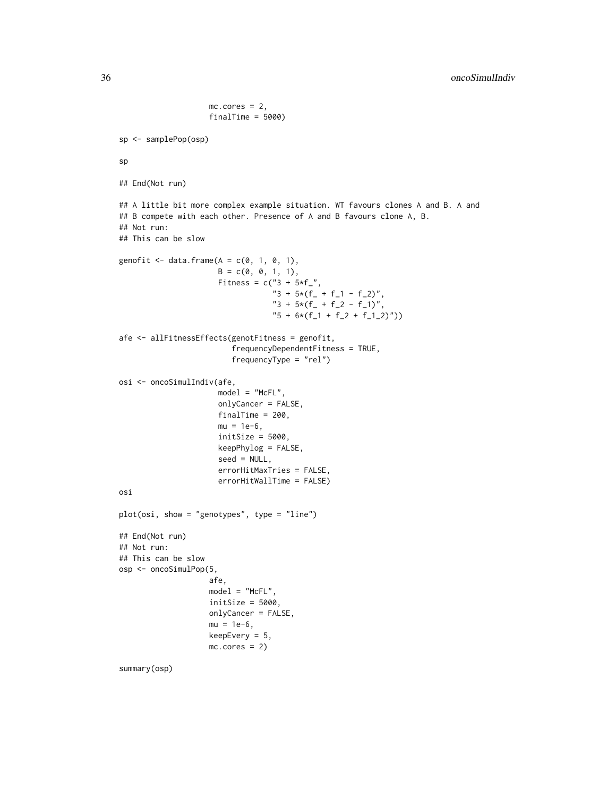```
mc.core = 2,
                    finalTime = 5000)
sp <- samplePop(osp)
sp
## End(Not run)
## A little bit more complex example situation. WT favours clones A and B. A and
## B compete with each other. Presence of A and B favours clone A, B.
## Not run:
## This can be slow
genofit \leq data.frame(A = c(0, 1, 0, 1),
                      B = c(0, 0, 1, 1),Fitness = c("3 + 5*f",
                                  "3 + 5*(f_- + f_1 - f_2)""3 + 5*(f_{-} + f_{-}2 - f_{-}1)""5 + 6*(f_1 + f_2 + f_1_2))")afe <- allFitnessEffects(genotFitness = genofit,
                         frequencyDependentFitness = TRUE,
                         frequencyType = "rel")
osi <- oncoSimulIndiv(afe,
                      model = "McFL",
                      onlyCancer = FALSE,
                      finalTime = 200,
                      mu = 1e-6,
                      initsize = 5000,keepPhylog = FALSE,
                      seed = NULL,
                      errorHitMaxTries = FALSE,
                      errorHitWallTime = FALSE)
osi
plot(osi, show = "genotypes", type = "line")
## End(Not run)
## Not run:
## This can be slow
osp <- oncoSimulPop(5,
                    afe,
                    model = "McFL",
                    initsize = 5000,onlyCancer = FALSE,
                    mu = 1e-6,
                    keepEvery = 5,
                    mc.cores = 2)summary(osp)
```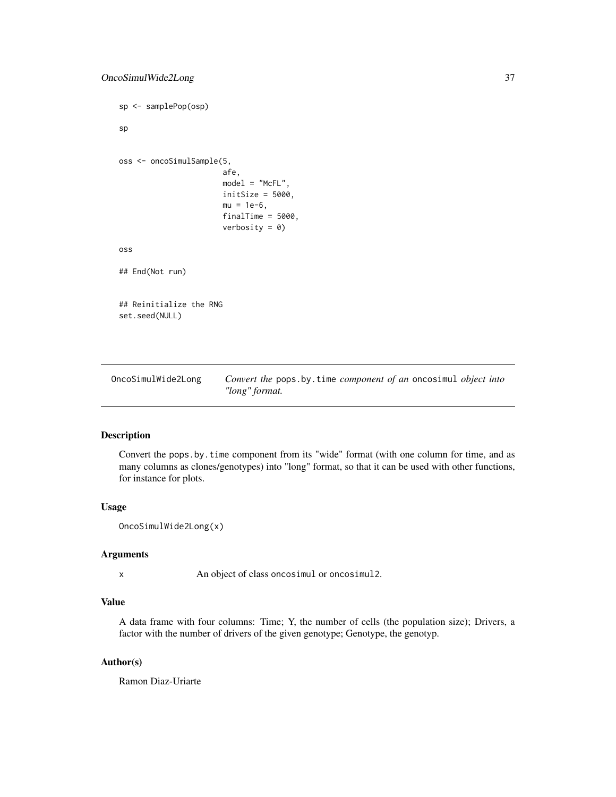```
sp <- samplePop(osp)
sp
oss <- oncoSimulSample(5,
                       afe,
                       model = "McFL",
                       initSize = 5000,
                       mu = 1e-6,
                       finalTime = 5000,
                       verbosity = 0)
oss
## End(Not run)
## Reinitialize the RNG
set.seed(NULL)
```
OncoSimulWide2Long *Convert the* pops.by.time *component of an* oncosimul *object into "long" format.*

# Description

Convert the pops.by.time component from its "wide" format (with one column for time, and as many columns as clones/genotypes) into "long" format, so that it can be used with other functions, for instance for plots.

#### Usage

```
OncoSimulWide2Long(x)
```
#### Arguments

x An object of class oncosimul or oncosimul2.

# Value

A data frame with four columns: Time; Y, the number of cells (the population size); Drivers, a factor with the number of drivers of the given genotype; Genotype, the genotyp.

#### Author(s)

Ramon Diaz-Uriarte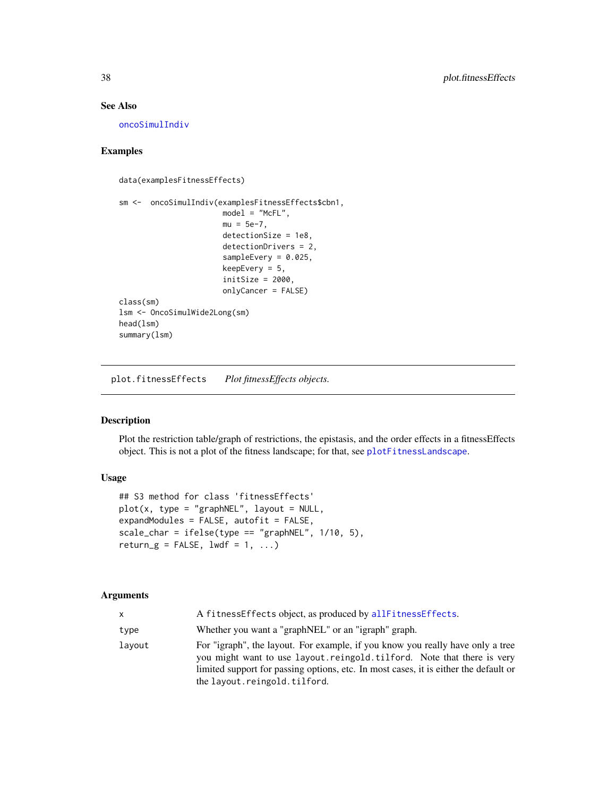# <span id="page-37-0"></span>See Also

[oncoSimulIndiv](#page-21-1)

# Examples

```
data(examplesFitnessEffects)
```

```
sm <- oncoSimulIndiv(examplesFitnessEffects$cbn1,
                       model = "McFL",mu = 5e-7,
                       detectionSize = 1e8,
                       detectionDrivers = 2,
                       sampleEvery = 0.025,
                       keepEvery = 5,
                       initSize = 2000,
                       onlyCancer = FALSE)
class(sm)
lsm <- OncoSimulWide2Long(sm)
head(lsm)
summary(lsm)
```
<span id="page-37-1"></span>plot.fitnessEffects *Plot fitnessEffects objects.*

# Description

Plot the restriction table/graph of restrictions, the epistasis, and the order effects in a fitnessEffects object. This is not a plot of the fitness landscape; for that, see [plotFitnessLandscape](#page-47-1).

# Usage

```
## S3 method for class 'fitnessEffects'
plot(x, type = "graphNEL", layout = NULL,expandModules = FALSE, autofit = FALSE,
scale_{char} = ifelse(type == "graphNEL", 1/10, 5),return_g = FALSE, lwdf = 1, ...
```
#### Arguments

| x.     | A fitnessEffects object, as produced by allFitnessEffects.                                                                                                                                                                                                                         |
|--------|------------------------------------------------------------------------------------------------------------------------------------------------------------------------------------------------------------------------------------------------------------------------------------|
| type   | Whether you want a "graphNEL" or an "igraph" graph.                                                                                                                                                                                                                                |
| lavout | For "igraph", the layout. For example, if you know you really have only a tree<br>you might want to use layout. reingold. tilford. Note that there is very<br>limited support for passing options, etc. In most cases, it is either the default or<br>the layout.reingold.tilford. |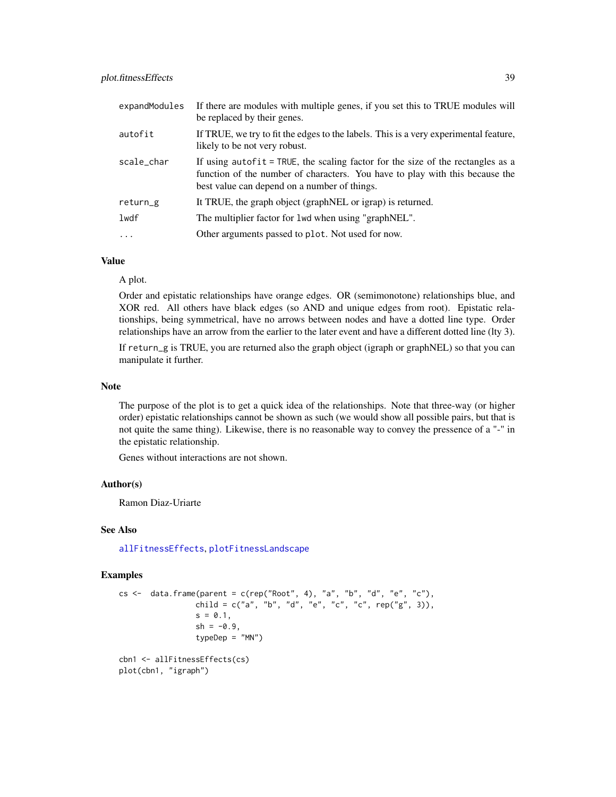<span id="page-38-0"></span>

| expandModules | If there are modules with multiple genes, if you set this to TRUE modules will<br>be replaced by their genes.                                                                                                   |
|---------------|-----------------------------------------------------------------------------------------------------------------------------------------------------------------------------------------------------------------|
| autofit       | If TRUE, we try to fit the edges to the labels. This is a very experimental feature,<br>likely to be not very robust.                                                                                           |
| scale_char    | If using autofit = TRUE, the scaling factor for the size of the rectangles as a<br>function of the number of characters. You have to play with this because the<br>best value can depend on a number of things. |
| return_g      | It TRUE, the graph object (graph NEL or igrap) is returned.                                                                                                                                                     |
| lwdf          | The multiplier factor for 1wd when using "graphNEL".                                                                                                                                                            |
| $\cdots$      | Other arguments passed to plot. Not used for now.                                                                                                                                                               |

# Value

A plot.

Order and epistatic relationships have orange edges. OR (semimonotone) relationships blue, and XOR red. All others have black edges (so AND and unique edges from root). Epistatic relationships, being symmetrical, have no arrows between nodes and have a dotted line type. Order relationships have an arrow from the earlier to the later event and have a different dotted line (lty 3).

If return\_g is TRUE, you are returned also the graph object (igraph or graphNEL) so that you can manipulate it further.

#### Note

The purpose of the plot is to get a quick idea of the relationships. Note that three-way (or higher order) epistatic relationships cannot be shown as such (we would show all possible pairs, but that is not quite the same thing). Likewise, there is no reasonable way to convey the pressence of a "-" in the epistatic relationship.

Genes without interactions are not shown.

#### Author(s)

Ramon Diaz-Uriarte

#### See Also

[allFitnessEffects](#page-2-1), [plotFitnessLandscape](#page-47-1)

#### Examples

```
cs \le data.frame(parent = c(rep("Root", 4), "a", "b", "d", "e", "c"),
                 child = c("a", "b", "d", "e", "c", "c", rep("g", 3)),s = 0.1,
                 sh = -0.9,
                 typeDep = "MN")
cbn1 <- allFitnessEffects(cs)
plot(cbn1, "igraph")
```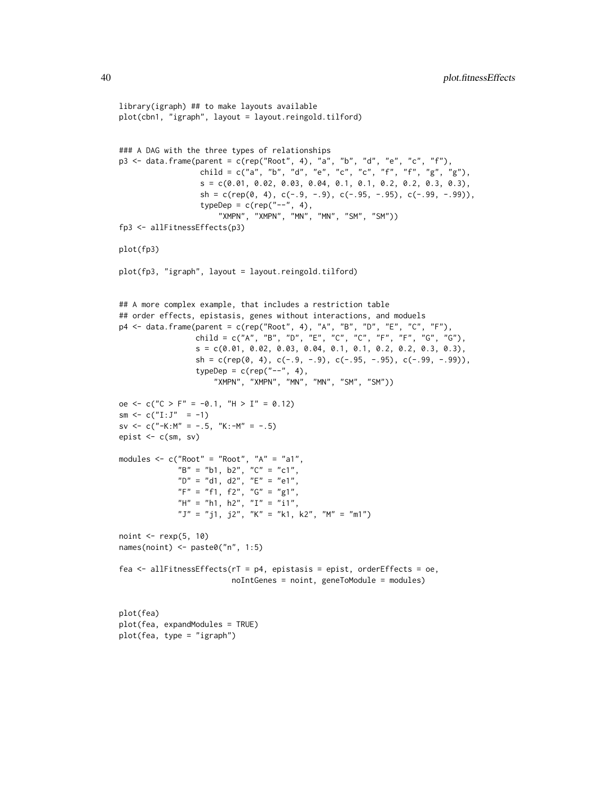```
library(igraph) ## to make layouts available
plot(cbn1, "igraph", layout = layout.reingold.tilford)
### A DAG with the three types of relationships
p3 \leq data.frame(parent = c(rep("Root", 4), "a", "b", "d", "e", "c", "f"),
                  child = c("a", "b", "d", "e", "c", "c", "f", "f", "g", "g"),s = c(0.01, 0.02, 0.03, 0.04, 0.1, 0.1, 0.2, 0.2, 0.3, 0.3),sh = c(rep(\emptyset, 4), c(-.9, -.9), c(-.95, -.95), c(-.99, -.99)),typeDep = c(rep("--", 4),"XMPN", "XMPN", "MN", "MN", "SM", "SM"))
fp3 <- allFitnessEffects(p3)
plot(fp3)
plot(fp3, "igraph", layout = layout.reingold.tilford)
## A more complex example, that includes a restriction table
## order effects, epistasis, genes without interactions, and moduels
p4 <- data.frame(parent = c(rep("Root", 4), "A", "B", "D", "E", "C", "F"),
                 child = c("A", "B", "D", "E", "C", "C", "F", "F", "G", "G"),
                 s = c(0.01, 0.02, 0.03, 0.04, 0.1, 0.1, 0.2, 0.2, 0.3, 0.3),sh = c(rep(\emptyset, 4), c(-.9, -.9), c(-.95, -.95), c(-.99, -.99)),typeDep = c(rep("--", 4),"XMPN", "XMPN", "MN", "MN", "SM", "SM"))
oe <- c("C > F" = -0.1, "H > I" = 0.12)
sm \leftarrow c("I:J" = -1)sv <- c("-K:M" = -.5, "K:-M" = -.5)
epist \leq c(sm, sv)
modules <- c("Root" = "Root", "A" = "a1",
             "B" = "b1, b2", "C" = "c1",
             "D'' = "d1, d2", "E" = "e1","F" = "f1, f2", "G" = "g1","H" = "h1, h2", "I" = "i1",
             "J" = "j1, j2", "K" = "k1, k2", "M" = "m1")
noint \leq rexp(5, 10)
names(noint) <- paste0("n", 1:5)
fea \le allFitnessEffects(rT = p4, epistasis = epist, orderEffects = oe,
                         noIntGenes = noint, geneToModule = modules)
plot(fea)
plot(fea, expandModules = TRUE)
```
plot(fea, type = "igraph")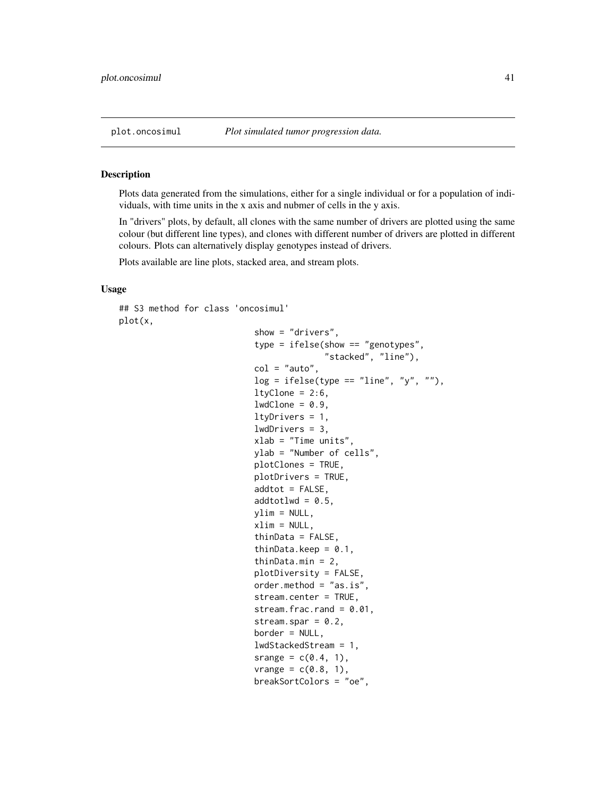<span id="page-40-1"></span><span id="page-40-0"></span>

#### Description

Plots data generated from the simulations, either for a single individual or for a population of individuals, with time units in the x axis and nubmer of cells in the y axis.

In "drivers" plots, by default, all clones with the same number of drivers are plotted using the same colour (but different line types), and clones with different number of drivers are plotted in different colours. Plots can alternatively display genotypes instead of drivers.

Plots available are line plots, stacked area, and stream plots.

### Usage

```
## S3 method for class 'oncosimul'
plot(x,
```

```
show = "drivers",
type = ifelse(show == "genotypes",
              "stacked", "line"),
col = "auto",log = ifelse(type == "line", "y", "");ltyClone = 2:6,
lwdClone = 0.9,
ltyDrivers = 1,
lwdDrivers = 3,
xlab = "Time units",
ylab = "Number of cells",
plotClones = TRUE,
plotDrivers = TRUE,
addtot = FALSE,
addtot1wd = 0.5,
ylim = NULL,
xlim = NULL,thinData = FALSE,
thinData.keep = 0.1,
thinData.min = 2,
plotDiversity = FALSE,
order.method = "as.is",
stream.center = TRUE,
stream.frac.rand = 0.01,
stream.spar = 0.2,
border = NULL,
lwdStackedStream = 1,
srange = c(0.4, 1),
vrange = c(0.8, 1),breakSortColors = "oe",
```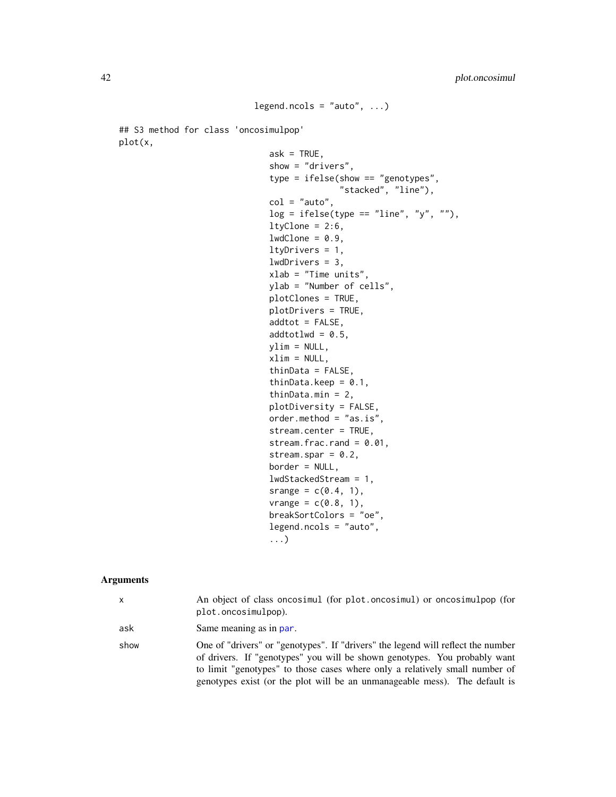```
legend.ncols = "auto", \dots)
```
<span id="page-41-0"></span>## S3 method for class 'oncosimulpop' plot(x,

```
ask = TRUE,show = "drivers",
type = ifelse(show == "genotypes",
              "stacked", "line"),
col = "auto",log = ifelse(type == "line", "y", ""),
ltyClone = 2:6,lwdClone = 0.9,ltyDrivers = 1,
lwdDrivers = 3,
xlab = "Time units",
ylab = "Number of cells",
plotClones = TRUE,
plotDrivers = TRUE,
addtot = FALSE,addtotlwd = 0.5,
ylim = NULL,
xlim = NULL,thinData = FALSE,
thinData.keep = 0.1,
thinData.min = 2,
plotDiversity = FALSE,
order.method = "as.is",
stream.center = TRUE,
stream.frac.rand = 0.01,
stream.spar = 0.2,
border = NULL,
lwdStackedStream = 1,
srange = c(0.4, 1),
vrange = c(0.8, 1),breakSortColors = "oe",
legend.ncols = "auto",
...)
```
# Arguments

| x    | An object of class oncosimul (for plot.oncosimul) or oncosimulpop (for<br>plot.oncosimulpop).                                                                                                                                                                                                                              |
|------|----------------------------------------------------------------------------------------------------------------------------------------------------------------------------------------------------------------------------------------------------------------------------------------------------------------------------|
| ask  | Same meaning as in par.                                                                                                                                                                                                                                                                                                    |
| show | One of "drivers" or "genotypes". If "drivers" the legend will reflect the number<br>of drivers. If "genotypes" you will be shown genotypes. You probably want<br>to limit "genotypes" to those cases where only a relatively small number of<br>genotypes exist (or the plot will be an unmanageable mess). The default is |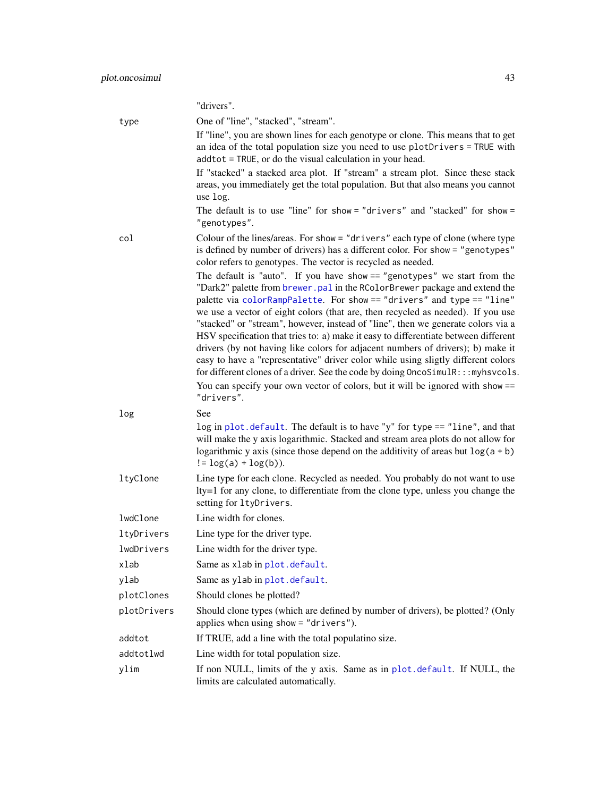<span id="page-42-0"></span>

|             | "drivers".                                                                                                                                                                                                                                                                                                                                                                                                                                                                                                                                                                                                                                                                                                                                                                                                                                                  |
|-------------|-------------------------------------------------------------------------------------------------------------------------------------------------------------------------------------------------------------------------------------------------------------------------------------------------------------------------------------------------------------------------------------------------------------------------------------------------------------------------------------------------------------------------------------------------------------------------------------------------------------------------------------------------------------------------------------------------------------------------------------------------------------------------------------------------------------------------------------------------------------|
| type        | One of "line", "stacked", "stream".                                                                                                                                                                                                                                                                                                                                                                                                                                                                                                                                                                                                                                                                                                                                                                                                                         |
|             | If "line", you are shown lines for each genotype or clone. This means that to get<br>an idea of the total population size you need to use plotDrivers = TRUE with<br>addtot = TRUE, or do the visual calculation in your head.                                                                                                                                                                                                                                                                                                                                                                                                                                                                                                                                                                                                                              |
|             | If "stacked" a stacked area plot. If "stream" a stream plot. Since these stack<br>areas, you immediately get the total population. But that also means you cannot<br>use log.                                                                                                                                                                                                                                                                                                                                                                                                                                                                                                                                                                                                                                                                               |
|             | The default is to use "line" for show = "drivers" and "stacked" for show =<br>"genotypes".                                                                                                                                                                                                                                                                                                                                                                                                                                                                                                                                                                                                                                                                                                                                                                  |
| col         | Colour of the lines/areas. For show = "drivers" each type of clone (where type<br>is defined by number of drivers) has a different color. For show = "genotypes"<br>color refers to genotypes. The vector is recycled as needed.                                                                                                                                                                                                                                                                                                                                                                                                                                                                                                                                                                                                                            |
|             | The default is "auto". If you have show == "genotypes" we start from the<br>"Dark2" palette from brewer. pal in the RColorBrewer package and extend the<br>palette via colorRampPalette. For show == "drivers" and type == "line"<br>we use a vector of eight colors (that are, then recycled as needed). If you use<br>"stacked" or "stream", however, instead of "line", then we generate colors via a<br>HSV specification that tries to: a) make it easy to differentiate between different<br>drivers (by not having like colors for adjacent numbers of drivers); b) make it<br>easy to have a "representative" driver color while using sligtly different colors<br>for different clones of a driver. See the code by doing OncoSimulR::: myhsvcols.<br>You can specify your own vector of colors, but it will be ignored with show ==<br>"drivers". |
| log         | See<br>log in plot. default. The default is to have "y" for type == "line", and that<br>will make the y axis logarithmic. Stacked and stream area plots do not allow for<br>logarithmic y axis (since those depend on the additivity of areas but $log(a + b)$ )<br>$!=$ $log(a) + log(b)$ ).                                                                                                                                                                                                                                                                                                                                                                                                                                                                                                                                                               |
| ltyClone    | Line type for each clone. Recycled as needed. You probably do not want to use<br>lty=1 for any clone, to differentiate from the clone type, unless you change the<br>setting for ltyDrivers.                                                                                                                                                                                                                                                                                                                                                                                                                                                                                                                                                                                                                                                                |
| lwdClone    | Line width for clones.                                                                                                                                                                                                                                                                                                                                                                                                                                                                                                                                                                                                                                                                                                                                                                                                                                      |
| ltyDrivers  | Line type for the driver type.                                                                                                                                                                                                                                                                                                                                                                                                                                                                                                                                                                                                                                                                                                                                                                                                                              |
| lwdDrivers  | Line width for the driver type.                                                                                                                                                                                                                                                                                                                                                                                                                                                                                                                                                                                                                                                                                                                                                                                                                             |
| xlab        | Same as xlab in plot. default.                                                                                                                                                                                                                                                                                                                                                                                                                                                                                                                                                                                                                                                                                                                                                                                                                              |
| ylab        | Same as ylab in plot. default.                                                                                                                                                                                                                                                                                                                                                                                                                                                                                                                                                                                                                                                                                                                                                                                                                              |
| plotClones  | Should clones be plotted?                                                                                                                                                                                                                                                                                                                                                                                                                                                                                                                                                                                                                                                                                                                                                                                                                                   |
| plotDrivers | Should clone types (which are defined by number of drivers), be plotted? (Only<br>applies when using show = "drivers").                                                                                                                                                                                                                                                                                                                                                                                                                                                                                                                                                                                                                                                                                                                                     |
| addtot      | If TRUE, add a line with the total populatino size.                                                                                                                                                                                                                                                                                                                                                                                                                                                                                                                                                                                                                                                                                                                                                                                                         |
| addtotlwd   | Line width for total population size.                                                                                                                                                                                                                                                                                                                                                                                                                                                                                                                                                                                                                                                                                                                                                                                                                       |
| ylim        | If non NULL, limits of the y axis. Same as in plot.default. If NULL, the<br>limits are calculated automatically.                                                                                                                                                                                                                                                                                                                                                                                                                                                                                                                                                                                                                                                                                                                                            |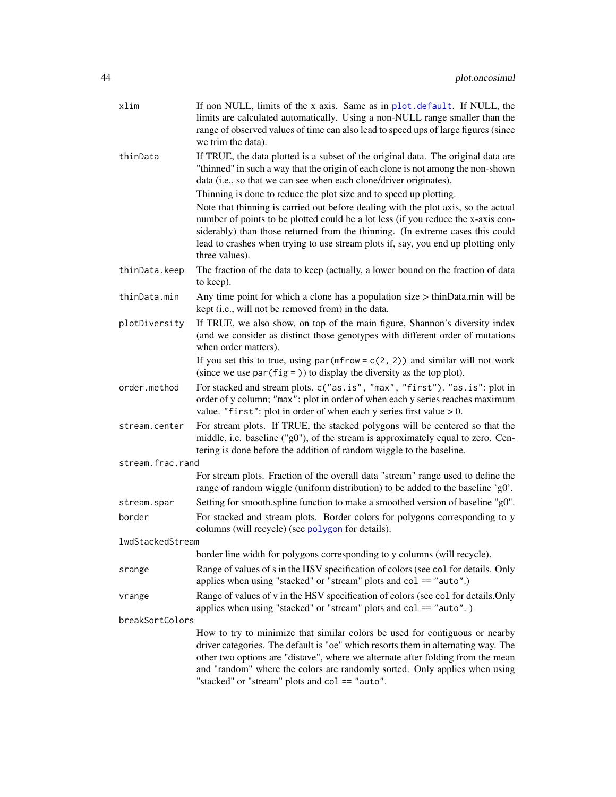<span id="page-43-0"></span>

| xlim             | If non NULL, limits of the x axis. Same as in plot.default. If NULL, the<br>limits are calculated automatically. Using a non-NULL range smaller than the                                                                                                                                                                                                                            |
|------------------|-------------------------------------------------------------------------------------------------------------------------------------------------------------------------------------------------------------------------------------------------------------------------------------------------------------------------------------------------------------------------------------|
|                  | range of observed values of time can also lead to speed ups of large figures (since<br>we trim the data).                                                                                                                                                                                                                                                                           |
| thinData         | If TRUE, the data plotted is a subset of the original data. The original data are<br>"thinned" in such a way that the origin of each clone is not among the non-shown<br>data (i.e., so that we can see when each clone/driver originates).<br>Thinning is done to reduce the plot size and to speed up plotting.                                                                   |
|                  | Note that thinning is carried out before dealing with the plot axis, so the actual<br>number of points to be plotted could be a lot less (if you reduce the x-axis con-<br>siderably) than those returned from the thinning. (In extreme cases this could<br>lead to crashes when trying to use stream plots if, say, you end up plotting only<br>three values).                    |
| thinData.keep    | The fraction of the data to keep (actually, a lower bound on the fraction of data<br>to keep).                                                                                                                                                                                                                                                                                      |
| thinData.min     | Any time point for which a clone has a population size $>$ thinData.min will be<br>kept (i.e., will not be removed from) in the data.                                                                                                                                                                                                                                               |
| plotDiversity    | If TRUE, we also show, on top of the main figure, Shannon's diversity index<br>(and we consider as distinct those genotypes with different order of mutations<br>when order matters).                                                                                                                                                                                               |
|                  | If you set this to true, using $par(mfrow = c(2, 2))$ and similar will not work<br>(since we use $par(fig =$ )) to display the diversity as the top plot).                                                                                                                                                                                                                          |
| order.method     | For stacked and stream plots. c("as.is", "max", "first"). "as.is": plot in<br>order of y column; "max": plot in order of when each y series reaches maximum<br>value. "first": plot in order of when each y series first value $> 0$ .                                                                                                                                              |
| stream.center    | For stream plots. If TRUE, the stacked polygons will be centered so that the<br>middle, i.e. baseline ("g0"), of the stream is approximately equal to zero. Cen-<br>tering is done before the addition of random wiggle to the baseline.                                                                                                                                            |
| stream.frac.rand |                                                                                                                                                                                                                                                                                                                                                                                     |
|                  | For stream plots. Fraction of the overall data "stream" range used to define the<br>range of random wiggle (uniform distribution) to be added to the baseline 'g0'.                                                                                                                                                                                                                 |
| stream.spar      | Setting for smooth.spline function to make a smoothed version of baseline "g0".                                                                                                                                                                                                                                                                                                     |
| border           | For stacked and stream plots. Border colors for polygons corresponding to y<br>columns (will recycle) (see polygon for details).                                                                                                                                                                                                                                                    |
| lwdStackedStream |                                                                                                                                                                                                                                                                                                                                                                                     |
|                  | border line width for polygons corresponding to y columns (will recycle).                                                                                                                                                                                                                                                                                                           |
| srange           | Range of values of s in the HSV specification of colors (see col for details. Only<br>applies when using "stacked" or "stream" plots and col == "auto".)                                                                                                                                                                                                                            |
| vrange           | Range of values of v in the HSV specification of colors (see col for details. Only<br>applies when using "stacked" or "stream" plots and $col == "auto".)$                                                                                                                                                                                                                          |
| breakSortColors  |                                                                                                                                                                                                                                                                                                                                                                                     |
|                  | How to try to minimize that similar colors be used for contiguous or nearby<br>driver categories. The default is "oe" which resorts them in alternating way. The<br>other two options are "distave", where we alternate after folding from the mean<br>and "random" where the colors are randomly sorted. Only applies when using<br>"stacked" or "stream" plots and col == "auto". |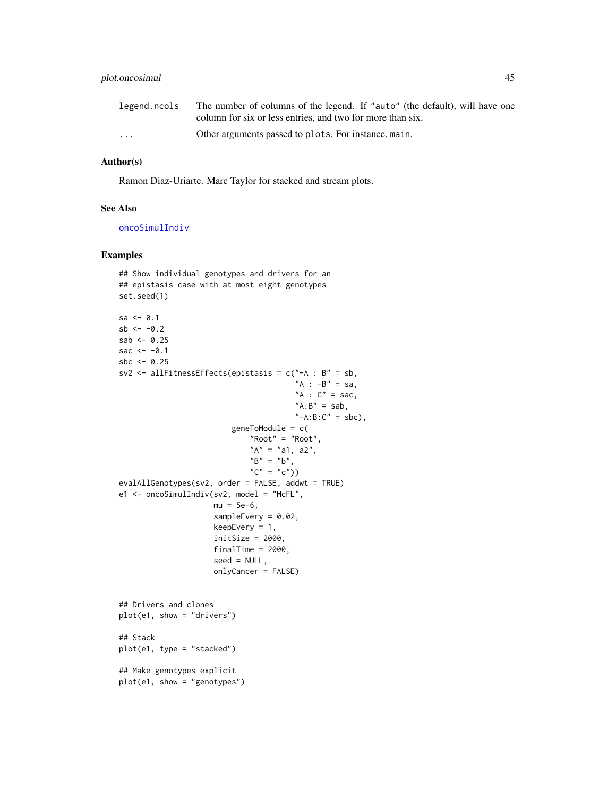# <span id="page-44-0"></span>plot.oncosimul 45

| legend.ncols            | The number of columns of the legend. If "auto" (the default), will have one |
|-------------------------|-----------------------------------------------------------------------------|
|                         | column for six or less entries, and two for more than six.                  |
| $\cdot$ $\cdot$ $\cdot$ | Other arguments passed to plots. For instance, main.                        |

#### Author(s)

Ramon Diaz-Uriarte. Marc Taylor for stacked and stream plots.

#### See Also

[oncoSimulIndiv](#page-21-1)

# Examples

```
## Show individual genotypes and drivers for an
## epistasis case with at most eight genotypes
set.seed(1)
sa < -0.1sb < -0.2sab < -0.25sac <-0.1sbc \leq -0.25sv2 <- allFitnessEffects(epistasis = c("-A : B" = sb,"A : -B" = sa,"A : C" = sac,"A:B" = sab,"-A:B:C" = sbc),
                         geneToModule = c(
                             "Root" = "Root",
                             "A" = "a1, a2","B" = "b",C'' = C''(C'')evalAllGenotypes(sv2, order = FALSE, addwt = TRUE)e1 <- oncoSimulIndiv(sv2, model = "McFL",
                     mu = 5e-6.
                     sampleEvery = 0.02,
                     keepEvery = 1,
                     initSize = 2000,finalTime = 2000,
                     seed = NULL,
                     onlyCancer = FALSE)
## Drivers and clones
plot(e1, show = "drivers")
## Stack
plot(e1, type = "stacked")
## Make genotypes explicit
plot(e1, show = "genotypes")
```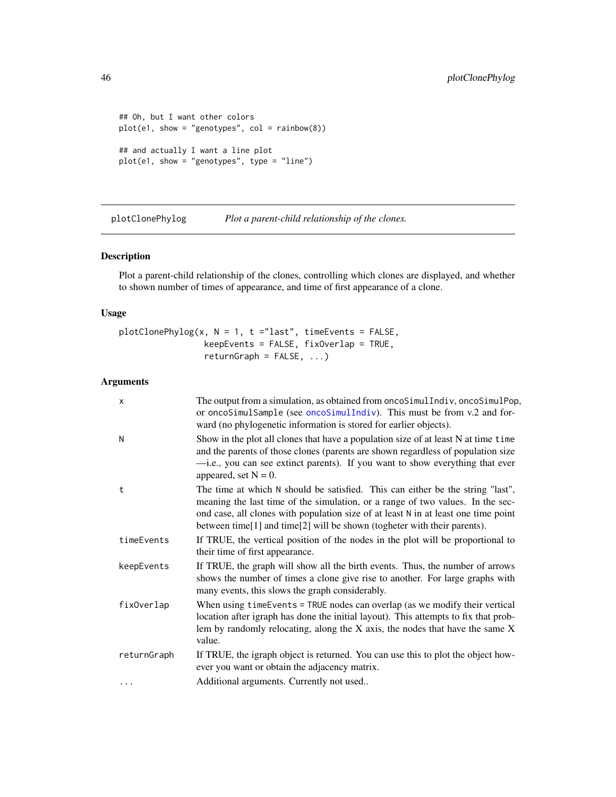```
## Oh, but I want other colors
plot(e1, show = "genotypes", col = rainbow(8))
## and actually I want a line plot
plot(e1, show = "genotypes", type = "line")
```
<span id="page-45-1"></span>plotClonePhylog *Plot a parent-child relationship of the clones.*

# Description

Plot a parent-child relationship of the clones, controlling which clones are displayed, and whether to shown number of times of appearance, and time of first appearance of a clone.

#### Usage

```
plotChonePhylog(x, N = 1, t = "last", timeEvents = FALSE,keepEvents = FALSE, fixOverlap = TRUE,
                 returnGraph = FALSE, ...)
```
# Arguments

| $\mathsf{x}$ | The output from a simulation, as obtained from oncoSimulIndiv, oncoSimulPop,<br>or oncoSimulSample (see oncoSimulIndiv). This must be from v.2 and for-<br>ward (no phylogenetic information is stored for earlier objects).                                                                                                       |
|--------------|------------------------------------------------------------------------------------------------------------------------------------------------------------------------------------------------------------------------------------------------------------------------------------------------------------------------------------|
| N            | Show in the plot all clones that have a population size of at least N at time time<br>and the parents of those clones (parents are shown regardless of population size<br>-i.e., you can see extinct parents). If you want to show everything that ever<br>appeared, set $N = 0$ .                                                 |
| t            | The time at which N should be satisfied. This can either be the string "last",<br>meaning the last time of the simulation, or a range of two values. In the sec-<br>ond case, all clones with population size of at least N in at least one time point<br>between time[1] and time[2] will be shown (togheter with their parents). |
| timeEvents   | If TRUE, the vertical position of the nodes in the plot will be proportional to<br>their time of first appearance.                                                                                                                                                                                                                 |
| keepEvents   | If TRUE, the graph will show all the birth events. Thus, the number of arrows<br>shows the number of times a clone give rise to another. For large graphs with<br>many events, this slows the graph considerably.                                                                                                                  |
| fix0verlap   | When using time Events = TRUE nodes can overlap (as we modify their vertical<br>location after igraph has done the initial layout). This attempts to fix that prob-<br>lem by randomly relocating, along the $X$ axis, the nodes that have the same $X$<br>value.                                                                  |
| returnGraph  | If TRUE, the igraph object is returned. You can use this to plot the object how-<br>ever you want or obtain the adjacency matrix.                                                                                                                                                                                                  |
| $\ddotsc$    | Additional arguments. Currently not used                                                                                                                                                                                                                                                                                           |

<span id="page-45-0"></span>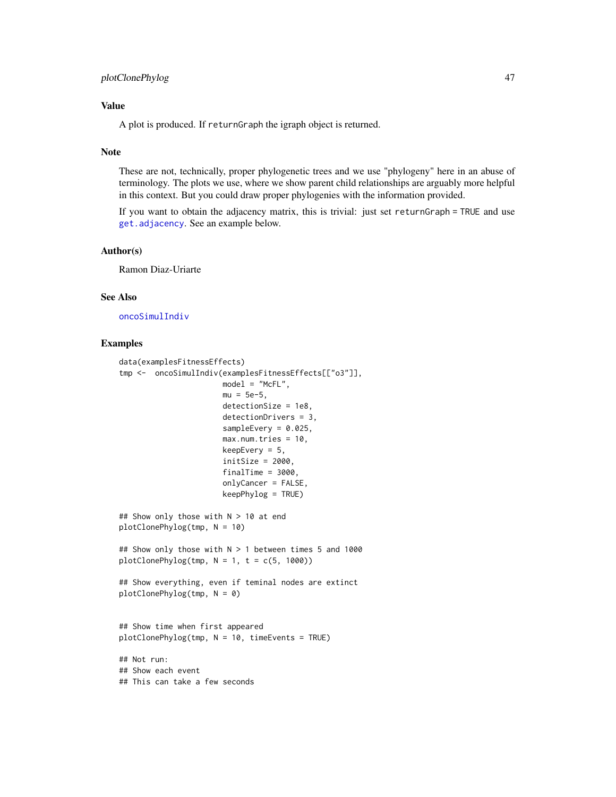# <span id="page-46-0"></span>Value

A plot is produced. If returnGraph the igraph object is returned.

#### Note

These are not, technically, proper phylogenetic trees and we use "phylogeny" here in an abuse of terminology. The plots we use, where we show parent child relationships are arguably more helpful in this context. But you could draw proper phylogenies with the information provided.

If you want to obtain the adjacency matrix, this is trivial: just set returnGraph = TRUE and use [get.adjacency](#page-0-0). See an example below.

#### Author(s)

Ramon Diaz-Uriarte

#### See Also

[oncoSimulIndiv](#page-21-1)

# Examples

```
data(examplesFitnessEffects)
tmp <- oncoSimulIndiv(examplesFitnessEffects[["o3"]],
                      model = "McFL",
                       mu = 5e-5,
                      detectionSize = 1e8,
                      detectionDrivers = 3,
                       sampleEvery = 0.025,
                       max.num.tries = 10,
                       keepEvery = 5,
                       initsize = 2000,
                       finalTime = 3000,
                       onlyCancer = FALSE,
                       keepPhylog = TRUE)
## Show only those with N > 10 at end
plotClonePhylog(tmp, N = 10)
## Show only those with N > 1 between times 5 and 1000
plotChonePhylog(tmp, N = 1, t = c(5, 1000))## Show everything, even if teminal nodes are extinct
plotClonePhylog(tmp, N = 0)
## Show time when first appeared
plotClonePhylog(tmp, N = 10, timeEvents = TRUE)
## Not run:
## Show each event
## This can take a few seconds
```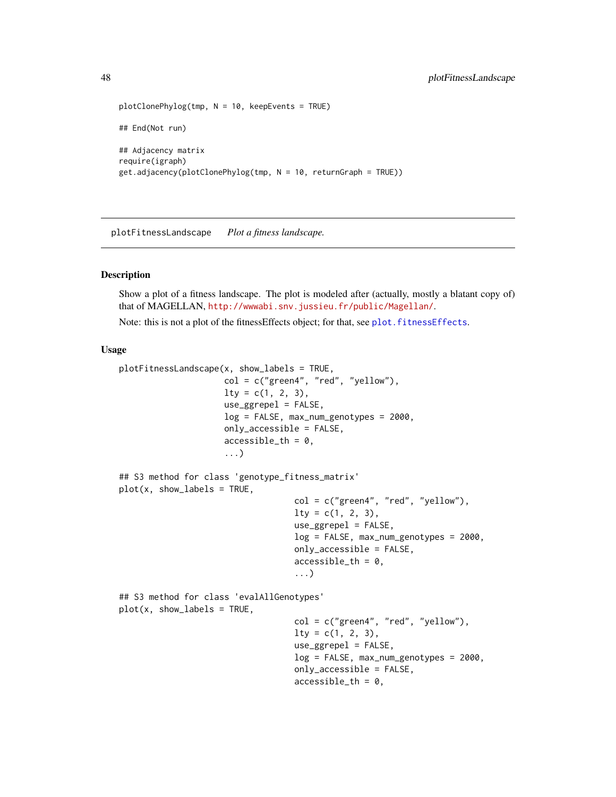```
plotClonePhylog(tmp, N = 10, keepEvents = TRUE)
## End(Not run)
## Adjacency matrix
require(igraph)
get.adjacency(plotClonePhylog(tmp, N = 10, returnGraph = TRUE))
```
<span id="page-47-1"></span>plotFitnessLandscape *Plot a fitness landscape.*

#### <span id="page-47-2"></span>Description

Show a plot of a fitness landscape. The plot is modeled after (actually, mostly a blatant copy of) that of MAGELLAN, <http://wwwabi.snv.jussieu.fr/public/Magellan/>.

Note: this is not a plot of the fitnessEffects object; for that, see plot. fitnessEffects.

# Usage

```
plotFitnessLandscape(x, show_labels = TRUE,
                     col = c("green 4", "red", "yellow"),lty = c(1, 2, 3),use_ggrepel = FALSE,
                     log = FALSE, max_num_genotypes = 2000,
                     only_accessible = FALSE,
                     accessible_th = 0,
                     ...)
## S3 method for class 'genotype_fitness_matrix'
plot(x, show_labels = TRUE,col = c("green4", "red", "yellow"),
                                   lty = c(1, 2, 3),use_ggrepel = FALSE,
                                   log = FALSE, max_num_genotypes = 2000,
                                   only_accessible = FALSE,
                                   accessible_th = 0,
                                    ...)
## S3 method for class 'evalAllGenotypes'
plot(x, show_labels = TRUE,
                                   col = c("green 4", "red", "yellow"),
                                   lty = c(1, 2, 3),use_ggrepel = FALSE,
                                   log = FALSE, max_num_genotypes = 2000,
                                   only_accessible = FALSE,
                                   accessible_th = 0,
```
<span id="page-47-0"></span>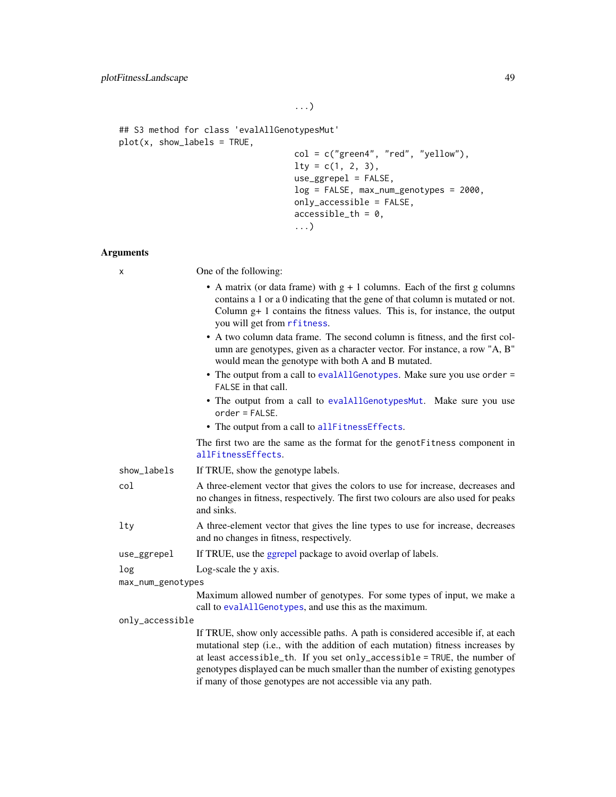```
## S3 method for class 'evalAllGenotypesMut'
plot(x, show_labels = TRUE,
                                  col = c("green4", "red", "yellow"),
                                   lty = c(1, 2, 3),use_ggrepel = FALSE,
                                   log = FALSE, max_num_genotypes = 2000,
                                   only_accessible = FALSE,
                                   accessible_th = 0,...)
```
# Arguments

| х                 | One of the following:                                                                                                                                                                                                                                                                                                                                                                          |
|-------------------|------------------------------------------------------------------------------------------------------------------------------------------------------------------------------------------------------------------------------------------------------------------------------------------------------------------------------------------------------------------------------------------------|
|                   | • A matrix (or data frame) with $g + 1$ columns. Each of the first g columns<br>contains a 1 or a 0 indicating that the gene of that column is mutated or not.<br>Column $g+1$ contains the fitness values. This is, for instance, the output<br>you will get from rfitness.                                                                                                                   |
|                   | • A two column data frame. The second column is fitness, and the first col-<br>umn are genotypes, given as a character vector. For instance, a row "A, B"<br>would mean the genotype with both A and B mutated.                                                                                                                                                                                |
|                   | • The output from a call to evalAllGenotypes. Make sure you use order =<br>FALSE in that call.                                                                                                                                                                                                                                                                                                 |
|                   | • The output from a call to evalAllGenotypesMut. Make sure you use<br>$order = FALSE.$                                                                                                                                                                                                                                                                                                         |
|                   | • The output from a call to allFitnessEffects.                                                                                                                                                                                                                                                                                                                                                 |
|                   | The first two are the same as the format for the genot Fitness component in<br>allFitnessEffects.                                                                                                                                                                                                                                                                                              |
| show_labels       | If TRUE, show the genotype labels.                                                                                                                                                                                                                                                                                                                                                             |
| col               | A three-element vector that gives the colors to use for increase, decreases and<br>no changes in fitness, respectively. The first two colours are also used for peaks<br>and sinks.                                                                                                                                                                                                            |
| $1$ ty            | A three-element vector that gives the line types to use for increase, decreases<br>and no changes in fitness, respectively.                                                                                                                                                                                                                                                                    |
| use_ggrepel       | If TRUE, use the ggrepel package to avoid overlap of labels.                                                                                                                                                                                                                                                                                                                                   |
| log               | Log-scale the y axis.                                                                                                                                                                                                                                                                                                                                                                          |
| max_num_genotypes |                                                                                                                                                                                                                                                                                                                                                                                                |
|                   | Maximum allowed number of genotypes. For some types of input, we make a<br>call to evalAllGenotypes, and use this as the maximum.                                                                                                                                                                                                                                                              |
| only_accessible   |                                                                                                                                                                                                                                                                                                                                                                                                |
|                   | If TRUE, show only accessible paths. A path is considered accesible if, at each<br>mutational step (i.e., with the addition of each mutation) fitness increases by<br>at least accessible_th. If you set only_accessible = TRUE, the number of<br>genotypes displayed can be much smaller than the number of existing genotypes<br>if many of those genotypes are not accessible via any path. |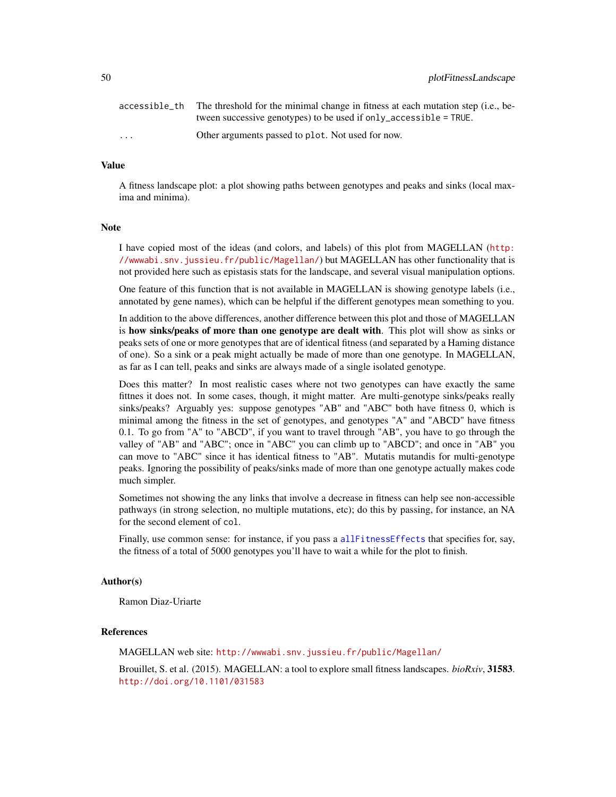|                         | accessible_th The threshold for the minimal change in fitness at each mutation step (i.e., be-<br>tween successive genotypes) to be used if only accessible = $TRUE$ . |
|-------------------------|------------------------------------------------------------------------------------------------------------------------------------------------------------------------|
| $\cdot$ $\cdot$ $\cdot$ | Other arguments passed to plot. Not used for now.                                                                                                                      |

# Value

A fitness landscape plot: a plot showing paths between genotypes and peaks and sinks (local maxima and minima).

#### Note

I have copied most of the ideas (and colors, and labels) of this plot from MAGELLAN ([http:](http://wwwabi.snv.jussieu.fr/public/Magellan/) [//wwwabi.snv.jussieu.fr/public/Magellan/](http://wwwabi.snv.jussieu.fr/public/Magellan/)) but MAGELLAN has other functionality that is not provided here such as epistasis stats for the landscape, and several visual manipulation options.

One feature of this function that is not available in MAGELLAN is showing genotype labels (i.e., annotated by gene names), which can be helpful if the different genotypes mean something to you.

In addition to the above differences, another difference between this plot and those of MAGELLAN is how sinks/peaks of more than one genotype are dealt with. This plot will show as sinks or peaks sets of one or more genotypes that are of identical fitness (and separated by a Haming distance of one). So a sink or a peak might actually be made of more than one genotype. In MAGELLAN, as far as I can tell, peaks and sinks are always made of a single isolated genotype.

Does this matter? In most realistic cases where not two genotypes can have exactly the same fittnes it does not. In some cases, though, it might matter. Are multi-genotype sinks/peaks really sinks/peaks? Arguably yes: suppose genotypes "AB" and "ABC" both have fitness 0, which is minimal among the fitness in the set of genotypes, and genotypes "A" and "ABCD" have fitness 0.1. To go from "A" to "ABCD", if you want to travel through "AB", you have to go through the valley of "AB" and "ABC"; once in "ABC" you can climb up to "ABCD"; and once in "AB" you can move to "ABC" since it has identical fitness to "AB". Mutatis mutandis for multi-genotype peaks. Ignoring the possibility of peaks/sinks made of more than one genotype actually makes code much simpler.

Sometimes not showing the any links that involve a decrease in fitness can help see non-accessible pathways (in strong selection, no multiple mutations, etc); do this by passing, for instance, an NA for the second element of col.

Finally, use common sense: for instance, if you pass a [allFitnessEffects](#page-2-1) that specifies for, say, the fitness of a total of 5000 genotypes you'll have to wait a while for the plot to finish.

### Author(s)

Ramon Diaz-Uriarte

#### References

MAGELLAN web site: <http://wwwabi.snv.jussieu.fr/public/Magellan/>

Brouillet, S. et al. (2015). MAGELLAN: a tool to explore small fitness landscapes. *bioRxiv*, 31583. <http://doi.org/10.1101/031583>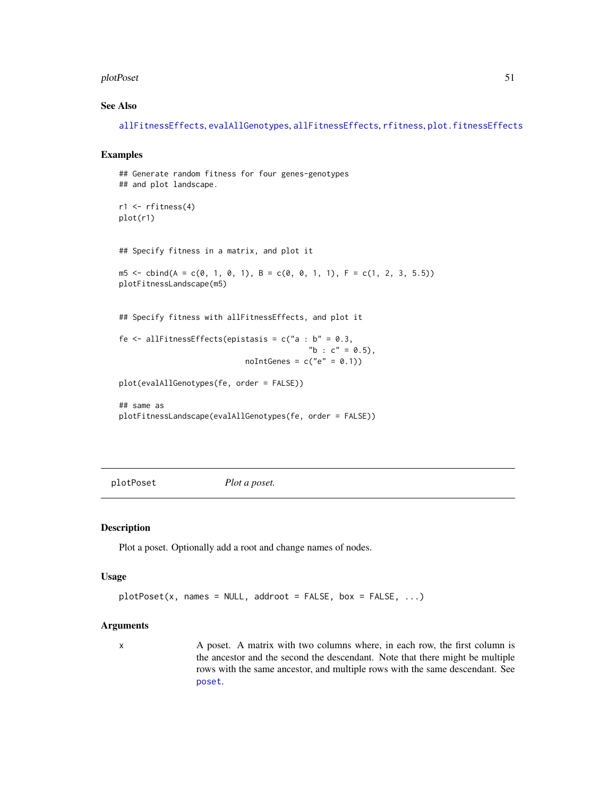#### <span id="page-50-0"></span>plotPoset 51

# See Also

[allFitnessEffects](#page-2-1), [evalAllGenotypes](#page-12-2), [allFitnessEffects](#page-2-1), [rfitness](#page-56-1), [plot.fitnessEffects](#page-37-1)

# Examples

```
## Generate random fitness for four genes-genotypes
## and plot landscape.
r1 \leftarrow rfitness(4)plot(r1)
## Specify fitness in a matrix, and plot it
m5 \le - \text{cbind}(A = c(0, 1, 0, 1), B = c(0, 0, 1, 1), F = c(1, 2, 3, 5.5))plotFitnessLandscape(m5)
## Specify fitness with allFitnessEffects, and plot it
fe \le allFitnessEffects(epistasis = c("a : b" = 0.3,
                                            "b : c" = 0.5),
                             noIntGenes = c("e" = 0.1))plot(evalAllGenotypes(fe, order = FALSE))
## same as
plotFitnessLandscape(evalAllGenotypes(fe, order = FALSE))
```
<span id="page-50-1"></span>plotPoset *Plot a poset.*

#### Description

Plot a poset. Optionally add a root and change names of nodes.

#### Usage

```
plotPost(x, names = NULL, addroot = FALSE, box = FALSE, ...)
```
# Arguments

x A poset. A matrix with two columns where, in each row, the first column is the ancestor and the second the descendant. Note that there might be multiple rows with the same ancestor, and multiple rows with the same descendant. See [poset](#page-54-1).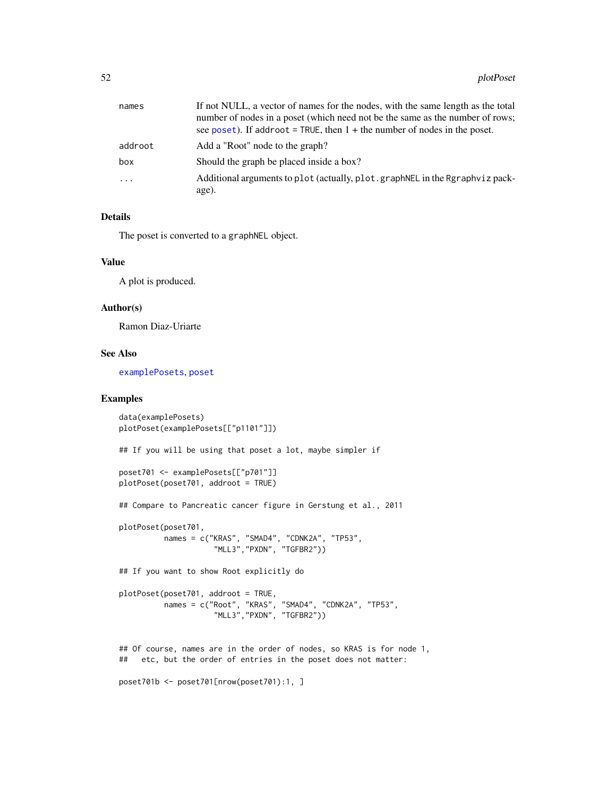<span id="page-51-0"></span>

| names    | If not NULL, a vector of names for the nodes, with the same length as the total<br>number of nodes in a poset (which need not be the same as the number of rows;<br>see poset). If addroot = TRUE, then $1 +$ the number of nodes in the poset. |
|----------|-------------------------------------------------------------------------------------------------------------------------------------------------------------------------------------------------------------------------------------------------|
|          |                                                                                                                                                                                                                                                 |
| addroot  | Add a "Root" node to the graph?                                                                                                                                                                                                                 |
| box      | Should the graph be placed inside a box?                                                                                                                                                                                                        |
| $\cdots$ | Additional arguments to plot (actually, plot.graphNEL in the Rgraphviz pack-                                                                                                                                                                    |
|          | age).                                                                                                                                                                                                                                           |

### Details

The poset is converted to a graphNEL object.

#### Value

A plot is produced.

#### Author(s)

Ramon Diaz-Uriarte

#### See Also

[examplePosets](#page-18-1), [poset](#page-54-1)

# Examples

```
data(examplePosets)
plotPoset(examplePosets[["p1101"]])
## If you will be using that poset a lot, maybe simpler if
poset701 <- examplePosets[["p701"]]
plotPoset(poset701, addroot = TRUE)
## Compare to Pancreatic cancer figure in Gerstung et al., 2011
plotPoset(poset701,
         names = c("KRAS", "SMAD4", "CDNK2A", "TP53",
                     "MLL3","PXDN", "TGFBR2"))
## If you want to show Root explicitly do
plotPoset(poset701, addroot = TRUE,
          names = c("Root", "KRAS", "SMAD4", "CDNK2A", "TP53",
                     "MLL3","PXDN", "TGFBR2"))
## Of course, names are in the order of nodes, so KRAS is for node 1,
## etc, but the order of entries in the poset does not matter:
poset701b <- poset701[nrow(poset701):1, ]
```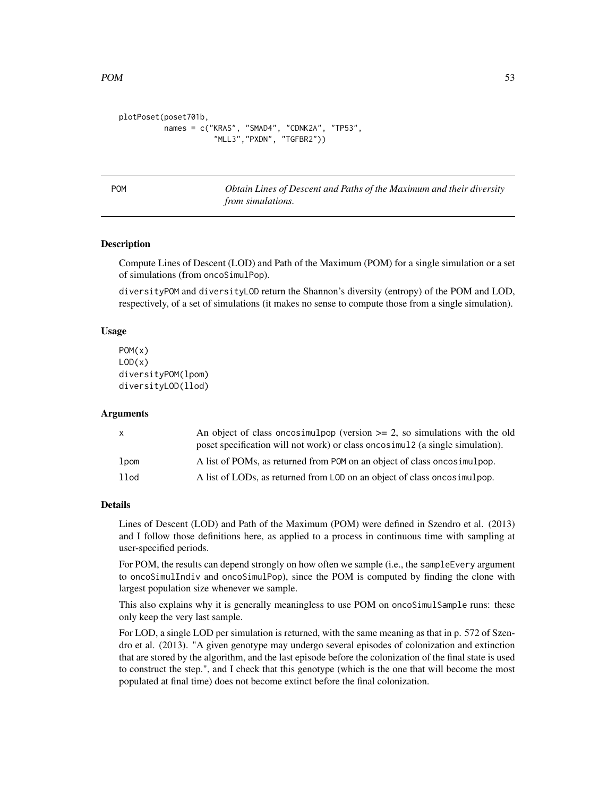```
plotPoset(poset701b,
         names = c("KRAS", "SMAD4", "CDNK2A", "TP53",
                     "MLL3","PXDN", "TGFBR2"))
```
POM *Obtain Lines of Descent and Paths of the Maximum and their diversity from simulations.*

#### Description

Compute Lines of Descent (LOD) and Path of the Maximum (POM) for a single simulation or a set of simulations (from oncoSimulPop).

diversityPOM and diversityLOD return the Shannon's diversity (entropy) of the POM and LOD, respectively, of a set of simulations (it makes no sense to compute those from a single simulation).

#### Usage

```
POM(x)
LOD(x)diversityPOM(lpom)
diversityLOD(llod)
```
#### Arguments

| $\mathsf{X}$     | An object of class oncosimulpop (version $\geq$ 2, so simulations with the old |
|------------------|--------------------------------------------------------------------------------|
|                  | poset specification will not work) or class oncosimul2 (a single simulation).  |
| lpom             | A list of POMs, as returned from POM on an object of class on cosimulpop.      |
| 11 <sub>od</sub> | A list of LODs, as returned from LOD on an object of class on cosimulpop.      |

#### Details

Lines of Descent (LOD) and Path of the Maximum (POM) were defined in Szendro et al. (2013) and I follow those definitions here, as applied to a process in continuous time with sampling at user-specified periods.

For POM, the results can depend strongly on how often we sample (i.e., the sampleEvery argument to oncoSimulIndiv and oncoSimulPop), since the POM is computed by finding the clone with largest population size whenever we sample.

This also explains why it is generally meaningless to use POM on oncoSimulSample runs: these only keep the very last sample.

For LOD, a single LOD per simulation is returned, with the same meaning as that in p. 572 of Szendro et al. (2013). "A given genotype may undergo several episodes of colonization and extinction that are stored by the algorithm, and the last episode before the colonization of the final state is used to construct the step.", and I check that this genotype (which is the one that will become the most populated at final time) does not become extinct before the final colonization.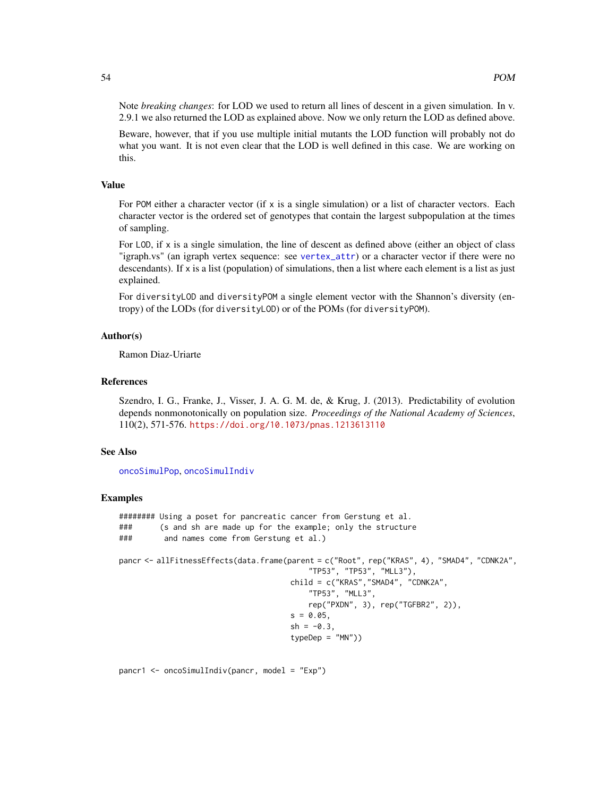<span id="page-53-0"></span>Note *breaking changes*: for LOD we used to return all lines of descent in a given simulation. In v. 2.9.1 we also returned the LOD as explained above. Now we only return the LOD as defined above.

Beware, however, that if you use multiple initial mutants the LOD function will probably not do what you want. It is not even clear that the LOD is well defined in this case. We are working on this.

#### Value

For POM either a character vector (if  $x$  is a single simulation) or a list of character vectors. Each character vector is the ordered set of genotypes that contain the largest subpopulation at the times of sampling.

For LOD, if x is a single simulation, the line of descent as defined above (either an object of class "igraph.vs" (an igraph vertex sequence: see [vertex\\_attr](#page-0-0)) or a character vector if there were no descendants). If x is a list (population) of simulations, then a list where each element is a list as just explained.

For diversityLOD and diversityPOM a single element vector with the Shannon's diversity (entropy) of the LODs (for diversityLOD) or of the POMs (for diversityPOM).

# Author(s)

Ramon Diaz-Uriarte

# References

Szendro, I. G., Franke, J., Visser, J. A. G. M. de, & Krug, J. (2013). Predictability of evolution depends nonmonotonically on population size. *Proceedings of the National Academy of Sciences*, 110(2), 571-576. <https://doi.org/10.1073/pnas.1213613110>

#### See Also

[oncoSimulPop](#page-21-2), [oncoSimulIndiv](#page-21-1)

#### Examples

```
######## Using a poset for pancreatic cancer from Gerstung et al.
### (s and sh are made up for the example; only the structure
### and names come from Gerstung et al.)
pancr <- allFitnessEffects(data.frame(parent = c("Root", rep("KRAS", 4), "SMAD4", "CDNK2A",
                                         "TP53", "TP53", "MLL3"),
                                     child = c("KRAS","SMAD4", "CDNK2A",
                                         "TP53", "MLL3",
                                         rep("PXDN", 3), rep("TGFBR2", 2)),
                                     s = 0.05,
                                     sh = -0.3,
                                     typeDep = "MN"))
```
pancr1 <- oncoSimulIndiv(pancr, model = "Exp")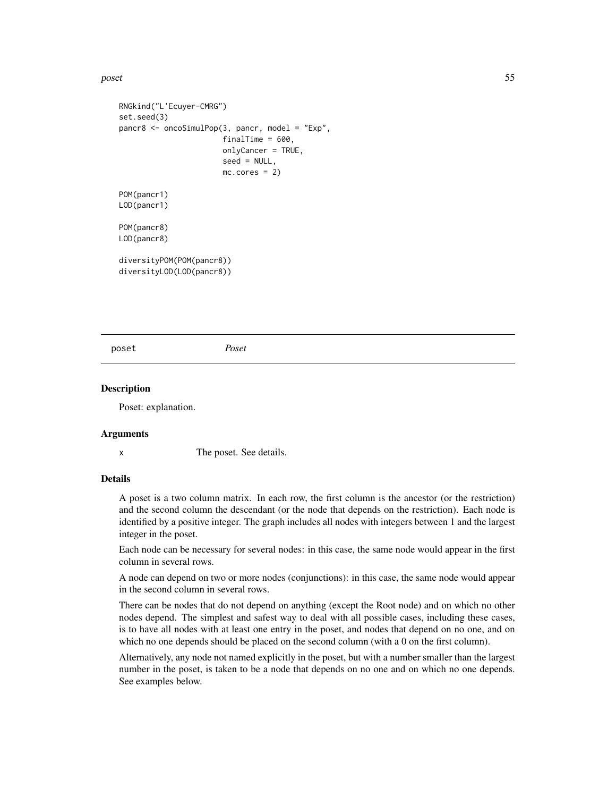#### <span id="page-54-0"></span>poset 55

```
RNGkind("L'Ecuyer-CMRG")
set.seed(3)
pancr8 <- oncoSimulPop(3, pancr, model = "Exp",
                       finalTime = 600,
                       onlyCancer = TRUE,
                       seed = NULL,
                       mc.cores = 2)POM(pancr1)
LOD(pancr1)
POM(pancr8)
LOD(pancr8)
diversityPOM(POM(pancr8))
diversityLOD(LOD(pancr8))
```
<span id="page-54-1"></span>poset *Poset*

# **Description**

Poset: explanation.

#### Arguments

x The poset. See details.

#### Details

A poset is a two column matrix. In each row, the first column is the ancestor (or the restriction) and the second column the descendant (or the node that depends on the restriction). Each node is identified by a positive integer. The graph includes all nodes with integers between 1 and the largest integer in the poset.

Each node can be necessary for several nodes: in this case, the same node would appear in the first column in several rows.

A node can depend on two or more nodes (conjunctions): in this case, the same node would appear in the second column in several rows.

There can be nodes that do not depend on anything (except the Root node) and on which no other nodes depend. The simplest and safest way to deal with all possible cases, including these cases, is to have all nodes with at least one entry in the poset, and nodes that depend on no one, and on which no one depends should be placed on the second column (with a 0 on the first column).

Alternatively, any node not named explicitly in the poset, but with a number smaller than the largest number in the poset, is taken to be a node that depends on no one and on which no one depends. See examples below.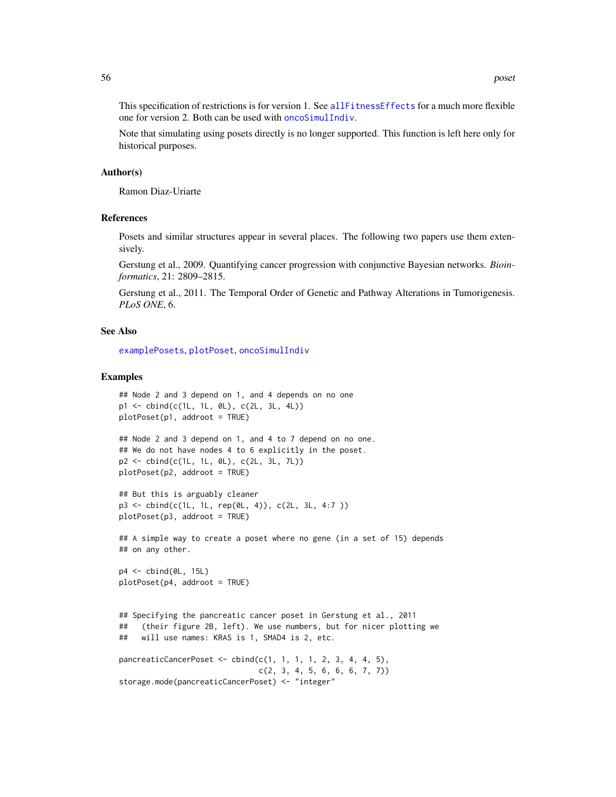<span id="page-55-0"></span>This specification of restrictions is for version 1. See [allFitnessEffects](#page-2-1) for a much more flexible one for version 2. Both can be used with [oncoSimulIndiv](#page-21-1).

Note that simulating using posets directly is no longer supported. This function is left here only for historical purposes.

#### Author(s)

Ramon Diaz-Uriarte

#### References

Posets and similar structures appear in several places. The following two papers use them extensively.

Gerstung et al., 2009. Quantifying cancer progression with conjunctive Bayesian networks. *Bioinformatics*, 21: 2809–2815.

Gerstung et al., 2011. The Temporal Order of Genetic and Pathway Alterations in Tumorigenesis. *PLoS ONE*, 6.

#### See Also

[examplePosets](#page-18-1), [plotPoset](#page-50-1), [oncoSimulIndiv](#page-21-1)

#### Examples

```
## Node 2 and 3 depend on 1, and 4 depends on no one
p1 <- cbind(c(1L, 1L, 0L), c(2L, 3L, 4L))
plotPoset(p1, addroot = TRUE)
## Node 2 and 3 depend on 1, and 4 to 7 depend on no one.
## We do not have nodes 4 to 6 explicitly in the poset.
p2 <- cbind(c(1L, 1L, 0L), c(2L, 3L, 7L))
plotPoset(p2, addroot = TRUE)
## But this is arguably cleaner
p3 <- cbind(c(1L, 1L, rep(0L, 4)), c(2L, 3L, 4:7 ))
plotPoset(p3, addroot = TRUE)
```
## A simple way to create a poset where no gene (in a set of 15) depends ## on any other.

p4 <- cbind(0L, 15L) plotPoset(p4, addroot = TRUE)

```
## Specifying the pancreatic cancer poset in Gerstung et al., 2011
## (their figure 2B, left). We use numbers, but for nicer plotting we
## will use names: KRAS is 1, SMAD4 is 2, etc.
```

```
pancreaticCancerPoset <- cbind(c(1, 1, 1, 1, 2, 3, 4, 4, 5),
                              c(2, 3, 4, 5, 6, 6, 6, 7, 7))storage.mode(pancreaticCancerPoset) <- "integer"
```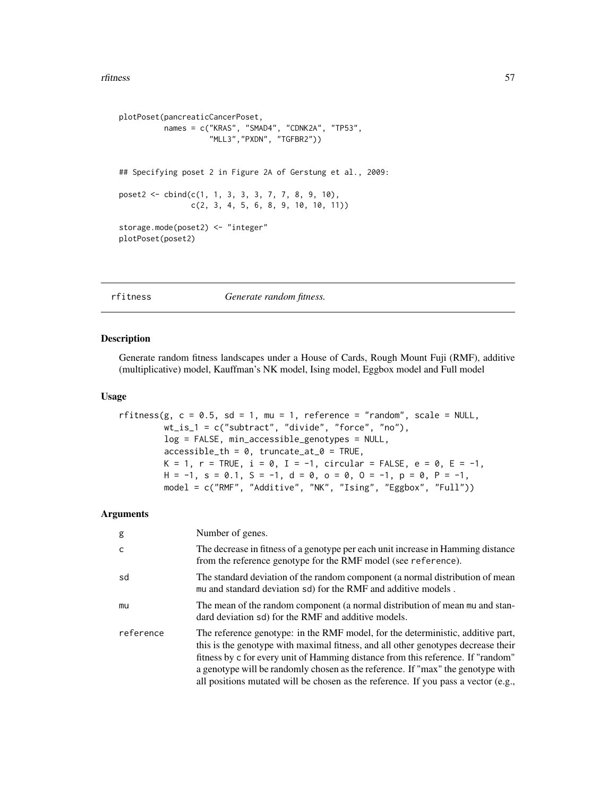#### <span id="page-56-0"></span>rfitness 57

```
plotPoset(pancreaticCancerPoset,
          names = c("KRAS", "SMAD4", "CDNK2A", "TP53",
                     "MLL3","PXDN", "TGFBR2"))
## Specifying poset 2 in Figure 2A of Gerstung et al., 2009:
poset2 \leq - \text{cbind}(c(1, 1, 3, 3, 3, 7, 7, 8, 9, 10),c(2, 3, 4, 5, 6, 8, 9, 10, 10, 11))
storage.mode(poset2) <- "integer"
plotPoset(poset2)
```
<span id="page-56-1"></span>rfitness *Generate random fitness.*

#### Description

Generate random fitness landscapes under a House of Cards, Rough Mount Fuji (RMF), additive (multiplicative) model, Kauffman's NK model, Ising model, Eggbox model and Full model

#### Usage

```
rfitness(g, c = 0.5, sd = 1, mu = 1, reference = "random", scale = NULL,
        wt_is_1 = c("subtract", "divide", "force", "no"),
        log = FALSE, min_accessible_genotypes = NULL,
        accessible_th = 0, truncated_at_0 = TRUE,
        K = 1, r = TRUE, i = 0, I = -1, circular = FALSE, e = 0, E = -1,
        H = -1, s = 0.1, S = -1, d = 0, o = 0, O = -1, p = 0, P = -1,
        model = c("RMF", "Additive", "NK", "Ising", "Eggbox", "Full"))
```
# Arguments

| g         | Number of genes.                                                                                                                                                                                                                                                                                                                                                                                                                     |
|-----------|--------------------------------------------------------------------------------------------------------------------------------------------------------------------------------------------------------------------------------------------------------------------------------------------------------------------------------------------------------------------------------------------------------------------------------------|
| C         | The decrease in fitness of a genotype per each unit increase in Hamming distance<br>from the reference genotype for the RMF model (see reference).                                                                                                                                                                                                                                                                                   |
| sd        | The standard deviation of the random component (a normal distribution of mean<br>mu and standard deviation sd) for the RMF and additive models.                                                                                                                                                                                                                                                                                      |
| mu        | The mean of the random component (a normal distribution of mean mu and stan-<br>dard deviation sd) for the RMF and additive models.                                                                                                                                                                                                                                                                                                  |
| reference | The reference genotype: in the RMF model, for the deterministic, additive part,<br>this is the genotype with maximal fitness, and all other genotypes decrease their<br>fitness by c for every unit of Hamming distance from this reference. If "random"<br>a genotype will be randomly chosen as the reference. If "max" the genotype with<br>all positions mutated will be chosen as the reference. If you pass a vector $(e.g.,)$ |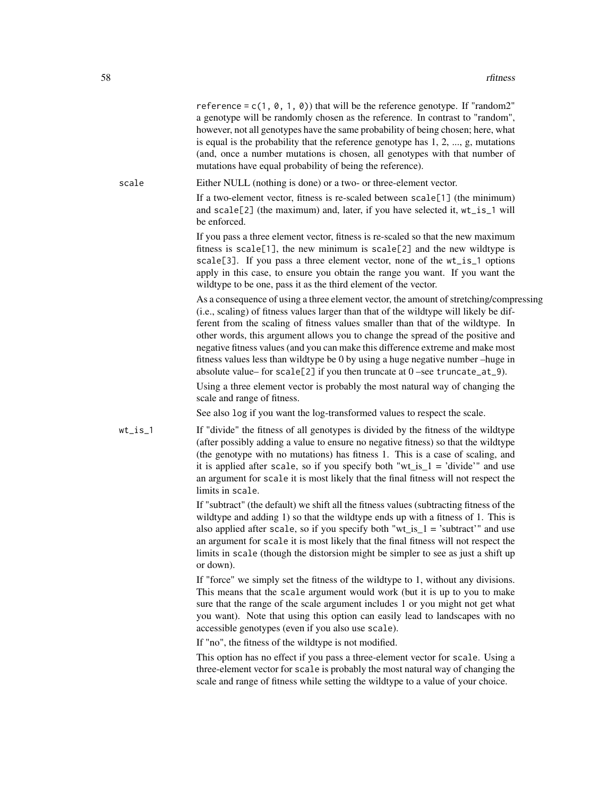reference =  $c(1, 0, 1, 0)$  that will be the reference genotype. If "random2" a genotype will be randomly chosen as the reference. In contrast to "random", however, not all genotypes have the same probability of being chosen; here, what is equal is the probability that the reference genotype has 1, 2, ..., g, mutations (and, once a number mutations is chosen, all genotypes with that number of mutations have equal probability of being the reference).

scale Either NULL (nothing is done) or a two- or three-element vector. If a two-element vector, fitness is re-scaled between scale[1] (the minimum) and scale[2] (the maximum) and, later, if you have selected it, wt\_is\_1 will be enforced.

> If you pass a three element vector, fitness is re-scaled so that the new maximum fitness is scale[1], the new minimum is scale[2] and the new wildtype is scale[3]. If you pass a three element vector, none of the wt\_is\_1 options apply in this case, to ensure you obtain the range you want. If you want the wildtype to be one, pass it as the third element of the vector.

As a consequence of using a three element vector, the amount of stretching/compressing (i.e., scaling) of fitness values larger than that of the wildtype will likely be different from the scaling of fitness values smaller than that of the wildtype. In other words, this argument allows you to change the spread of the positive and negative fitness values (and you can make this difference extreme and make most fitness values less than wildtype be 0 by using a huge negative number –huge in absolute value– for scale[2] if you then truncate at  $0$  –see truncate\_at\_9).

Using a three element vector is probably the most natural way of changing the scale and range of fitness.

See also log if you want the log-transformed values to respect the scale.

wt\_is\_1 If "divide" the fitness of all genotypes is divided by the fitness of the wildtype (after possibly adding a value to ensure no negative fitness) so that the wildtype (the genotype with no mutations) has fitness 1. This is a case of scaling, and it is applied after scale, so if you specify both "wt is  $1 =$  'divide'" and use an argument for scale it is most likely that the final fitness will not respect the limits in scale.

> If "subtract" (the default) we shift all the fitness values (subtracting fitness of the wildtype and adding 1) so that the wildtype ends up with a fitness of 1. This is also applied after scale, so if you specify both " $wt_is_1$  = 'subtract'" and use an argument for scale it is most likely that the final fitness will not respect the limits in scale (though the distorsion might be simpler to see as just a shift up or down).

> If "force" we simply set the fitness of the wildtype to 1, without any divisions. This means that the scale argument would work (but it is up to you to make sure that the range of the scale argument includes 1 or you might not get what you want). Note that using this option can easily lead to landscapes with no accessible genotypes (even if you also use scale).

If "no", the fitness of the wildtype is not modified.

This option has no effect if you pass a three-element vector for scale. Using a three-element vector for scale is probably the most natural way of changing the scale and range of fitness while setting the wildtype to a value of your choice.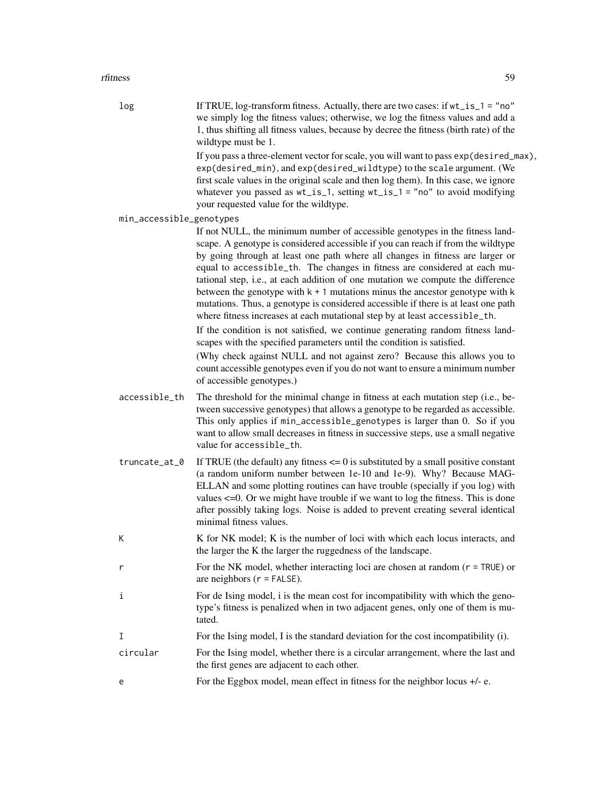#### rfitness 59

| log                      | If TRUE, log-transform fitness. Actually, there are two cases: if wt_is_1 = "no"<br>we simply log the fitness values; otherwise, we log the fitness values and add a<br>1, thus shifting all fitness values, because by decree the fitness (birth rate) of the<br>wildtype must be 1.<br>If you pass a three-element vector for scale, you will want to pass exp(desired_max),<br>exp(desired_min), and exp(desired_wildtype) to the scale argument. (We<br>first scale values in the original scale and then log them). In this case, we ignore<br>whatever you passed as $wt_is_1$ , setting $wt_is_1$ = "no" to avoid modifying                                        |
|--------------------------|---------------------------------------------------------------------------------------------------------------------------------------------------------------------------------------------------------------------------------------------------------------------------------------------------------------------------------------------------------------------------------------------------------------------------------------------------------------------------------------------------------------------------------------------------------------------------------------------------------------------------------------------------------------------------|
|                          | your requested value for the wildtype.                                                                                                                                                                                                                                                                                                                                                                                                                                                                                                                                                                                                                                    |
| min_accessible_genotypes | If not NULL, the minimum number of accessible genotypes in the fitness land-<br>scape. A genotype is considered accessible if you can reach if from the wildtype<br>by going through at least one path where all changes in fitness are larger or<br>equal to accessible_th. The changes in fitness are considered at each mu-<br>tational step, i.e., at each addition of one mutation we compute the difference<br>between the genotype with $k + 1$ mutations minus the ancestor genotype with $k$<br>mutations. Thus, a genotype is considered accessible if there is at least one path<br>where fitness increases at each mutational step by at least accessible_th. |
|                          | If the condition is not satisfied, we continue generating random fitness land-<br>scapes with the specified parameters until the condition is satisfied.                                                                                                                                                                                                                                                                                                                                                                                                                                                                                                                  |
|                          | (Why check against NULL and not against zero? Because this allows you to<br>count accessible genotypes even if you do not want to ensure a minimum number<br>of accessible genotypes.)                                                                                                                                                                                                                                                                                                                                                                                                                                                                                    |
| accessible_th            | The threshold for the minimal change in fitness at each mutation step (i.e., be-<br>tween successive genotypes) that allows a genotype to be regarded as accessible.<br>This only applies if min_accessible_genotypes is larger than 0. So if you<br>want to allow small decreases in fitness in successive steps, use a small negative<br>value for accessible_th.                                                                                                                                                                                                                                                                                                       |
| truncate_at_0            | If TRUE (the default) any fitness $\leq$ 0 is substituted by a small positive constant<br>(a random uniform number between 1e-10 and 1e-9). Why? Because MAG-<br>ELLAN and some plotting routines can have trouble (specially if you log) with<br>values $\leq 0$ . Or we might have trouble if we want to log the fitness. This is done<br>after possibly taking logs. Noise is added to prevent creating several identical<br>minimal fitness values.                                                                                                                                                                                                                   |
| К                        | K for NK model; K is the number of loci with which each locus interacts, and<br>the larger the K the larger the ruggedness of the landscape.                                                                                                                                                                                                                                                                                                                                                                                                                                                                                                                              |
| r                        | For the NK model, whether interacting loci are chosen at random $(r = TRUE)$ or<br>are neighbors $(r = FALSE)$ .                                                                                                                                                                                                                                                                                                                                                                                                                                                                                                                                                          |
| i<br>tated.              | For de Ising model, i is the mean cost for incompatibility with which the geno-<br>type's fitness is penalized when in two adjacent genes, only one of them is mu-                                                                                                                                                                                                                                                                                                                                                                                                                                                                                                        |
| Ι                        | For the Ising model, I is the standard deviation for the cost incompatibility (i).                                                                                                                                                                                                                                                                                                                                                                                                                                                                                                                                                                                        |
| circular                 | For the Ising model, whether there is a circular arrangement, where the last and<br>the first genes are adjacent to each other.                                                                                                                                                                                                                                                                                                                                                                                                                                                                                                                                           |
| e                        | For the Eggbox model, mean effect in fitness for the neighbor locus $+/-$ e.                                                                                                                                                                                                                                                                                                                                                                                                                                                                                                                                                                                              |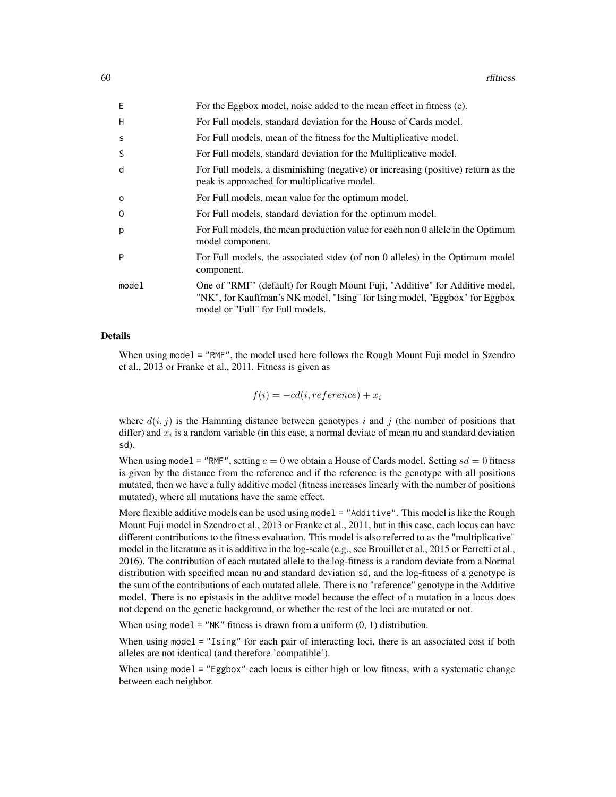| Ε       | For the Eggbox model, noise added to the mean effect in fitness (e).                                                                                                                            |
|---------|-------------------------------------------------------------------------------------------------------------------------------------------------------------------------------------------------|
| H       | For Full models, standard deviation for the House of Cards model.                                                                                                                               |
| S       | For Full models, mean of the fitness for the Multiplicative model.                                                                                                                              |
| S       | For Full models, standard deviation for the Multiplicative model.                                                                                                                               |
| d       | For Full models, a disminishing (negative) or increasing (positive) return as the<br>peak is approached for multiplicative model.                                                               |
| $\circ$ | For Full models, mean value for the optimum model.                                                                                                                                              |
| 0       | For Full models, standard deviation for the optimum model.                                                                                                                                      |
| p       | For Full models, the mean production value for each non 0 allele in the Optimum<br>model component.                                                                                             |
| P       | For Full models, the associated stdev (of non 0 alleles) in the Optimum model<br>component.                                                                                                     |
| model   | One of "RMF" (default) for Rough Mount Fuji, "Additive" for Additive model,<br>"NK", for Kauffman's NK model, "Ising" for Ising model, "Eggbox" for Eggbox"<br>model or "Full" for Full models. |

#### Details

When using model = "RMF", the model used here follows the Rough Mount Fuji model in Szendro et al., 2013 or Franke et al., 2011. Fitness is given as

$$
f(i) = -cd(i, reference) + x_i
$$

where  $d(i, j)$  is the Hamming distance between genotypes i and j (the number of positions that differ) and  $x_i$  is a random variable (in this case, a normal deviate of mean mu and standard deviation sd).

When using model = "RMF", setting  $c = 0$  we obtain a House of Cards model. Setting  $sd = 0$  fitness is given by the distance from the reference and if the reference is the genotype with all positions mutated, then we have a fully additive model (fitness increases linearly with the number of positions mutated), where all mutations have the same effect.

More flexible additive models can be used using model = "Additive". This model is like the Rough Mount Fuji model in Szendro et al., 2013 or Franke et al., 2011, but in this case, each locus can have different contributions to the fitness evaluation. This model is also referred to as the "multiplicative" model in the literature as it is additive in the log-scale (e.g., see Brouillet et al., 2015 or Ferretti et al., 2016). The contribution of each mutated allele to the log-fitness is a random deviate from a Normal distribution with specified mean mu and standard deviation sd, and the log-fitness of a genotype is the sum of the contributions of each mutated allele. There is no "reference" genotype in the Additive model. There is no epistasis in the additve model because the effect of a mutation in a locus does not depend on the genetic background, or whether the rest of the loci are mutated or not.

When using model = "NK" fitness is drawn from a uniform  $(0, 1)$  distribution.

When using model = "Ising" for each pair of interacting loci, there is an associated cost if both alleles are not identical (and therefore 'compatible').

When using model = "Eggbox" each locus is either high or low fitness, with a systematic change between each neighbor.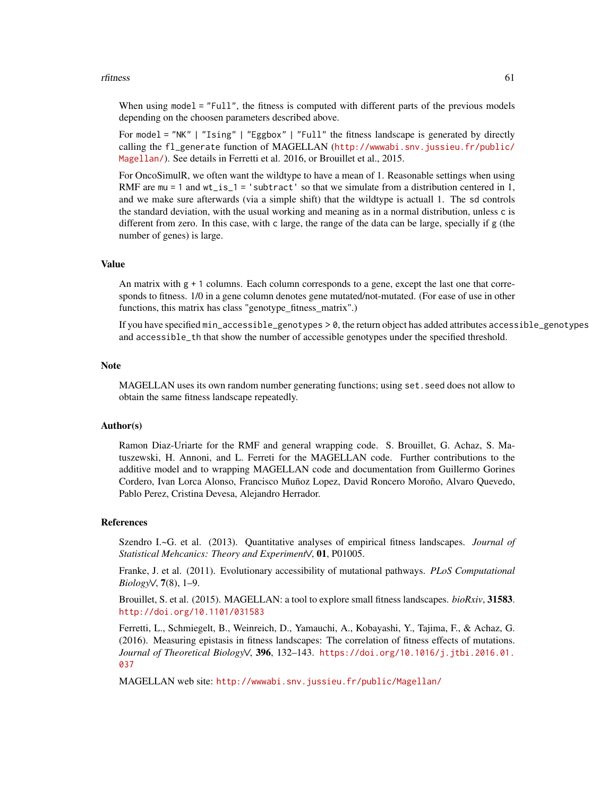#### rfitness 61

When using model = "Full", the fitness is computed with different parts of the previous models depending on the choosen parameters described above.

For model = "NK" | "Ising" | "Eggbox" | "Full" the fitness landscape is generated by directly calling the fl\_generate function of MAGELLAN ([http://wwwabi.snv.jussieu.fr/public/](http://wwwabi.snv.jussieu.fr/public/Magellan/) [Magellan/](http://wwwabi.snv.jussieu.fr/public/Magellan/)). See details in Ferretti et al. 2016, or Brouillet et al., 2015.

For OncoSimulR, we often want the wildtype to have a mean of 1. Reasonable settings when using RMF are  $mu = 1$  and  $wt_is_1 = 'subtract'$  so that we simulate from a distribution centered in 1, and we make sure afterwards (via a simple shift) that the wildtype is actuall 1. The sd controls the standard deviation, with the usual working and meaning as in a normal distribution, unless c is different from zero. In this case, with c large, the range of the data can be large, specially if g (the number of genes) is large.

# Value

An matrix with g + 1 columns. Each column corresponds to a gene, except the last one that corresponds to fitness. 1/0 in a gene column denotes gene mutated/not-mutated. (For ease of use in other functions, this matrix has class "genotype fitness matrix".)

If you have specified min\_accessible\_genotypes > 0, the return object has added attributes accessible\_genotypes and accessible\_th that show the number of accessible genotypes under the specified threshold.

#### Note

MAGELLAN uses its own random number generating functions; using set.seed does not allow to obtain the same fitness landscape repeatedly.

# Author(s)

Ramon Diaz-Uriarte for the RMF and general wrapping code. S. Brouillet, G. Achaz, S. Matuszewski, H. Annoni, and L. Ferreti for the MAGELLAN code. Further contributions to the additive model and to wrapping MAGELLAN code and documentation from Guillermo Gorines Cordero, Ivan Lorca Alonso, Francisco Muñoz Lopez, David Roncero Moroño, Alvaro Quevedo, Pablo Perez, Cristina Devesa, Alejandro Herrador.

#### References

Szendro I.~G. et al. (2013). Quantitative analyses of empirical fitness landscapes. *Journal of Statistical Mehcanics: Theory and Experiment\/*, 01, P01005.

Franke, J. et al. (2011). Evolutionary accessibility of mutational pathways. *PLoS Computational Biology\/*, 7(8), 1–9.

Brouillet, S. et al. (2015). MAGELLAN: a tool to explore small fitness landscapes. *bioRxiv*, 31583. <http://doi.org/10.1101/031583>

Ferretti, L., Schmiegelt, B., Weinreich, D., Yamauchi, A., Kobayashi, Y., Tajima, F., & Achaz, G. (2016). Measuring epistasis in fitness landscapes: The correlation of fitness effects of mutations. *Journal of Theoretical Biology\/*, 396, 132–143. [https://doi.org/10.1016/j.jtbi.2016.01.](https://doi.org/10.1016/j.jtbi.2016.01.037) [037](https://doi.org/10.1016/j.jtbi.2016.01.037)

MAGELLAN web site: <http://wwwabi.snv.jussieu.fr/public/Magellan/>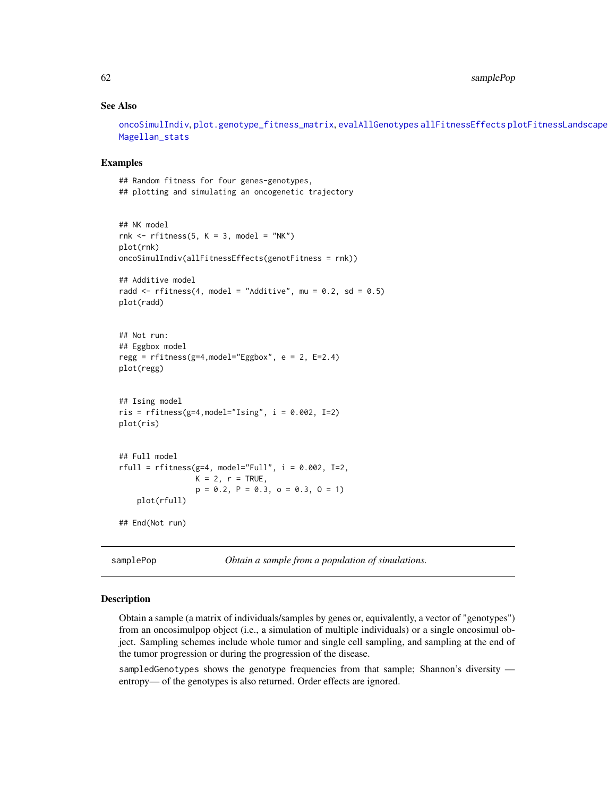# See Also

[oncoSimulIndiv](#page-21-1), [plot.genotype\\_fitness\\_matrix](#page-47-2), [evalAllGenotypes](#page-12-2) [allFitnessEffects](#page-2-1) [plotFitnessLandscape](#page-47-1) [Magellan\\_stats](#page-66-1)

#### Examples

## Random fitness for four genes-genotypes, ## plotting and simulating an oncogenetic trajectory

```
## NK model
rnk \le- rfitness(5, K = 3, model = "NK")
plot(rnk)
oncoSimulIndiv(allFitnessEffects(genotFitness = rnk))
## Additive model
radd \le rfitness(4, model = "Additive", mu = 0.2, sd = 0.5)
plot(radd)
## Not run:
## Eggbox model
regg = rfitness(g=4, model='Eggbox", e = 2, E=2.4)plot(regg)
## Ising model
ris = rfitness(g=4, model="Ising", i = 0.002, I=2)plot(ris)
## Full model
rfull = rfitness(g=4, model='Full", i = 0.002, I=2,K = 2, r = TRUE.
                 p = 0.2, P = 0.3, o = 0.3, O = 1)
    plot(rfull)
## End(Not run)
```
<span id="page-61-1"></span>samplePop *Obtain a sample from a population of simulations.* 

#### **Description**

Obtain a sample (a matrix of individuals/samples by genes or, equivalently, a vector of "genotypes") from an oncosimulpop object (i.e., a simulation of multiple individuals) or a single oncosimul object. Sampling schemes include whole tumor and single cell sampling, and sampling at the end of the tumor progression or during the progression of the disease.

sampledGenotypes shows the genotype frequencies from that sample; Shannon's diversity entropy— of the genotypes is also returned. Order effects are ignored.

<span id="page-61-0"></span>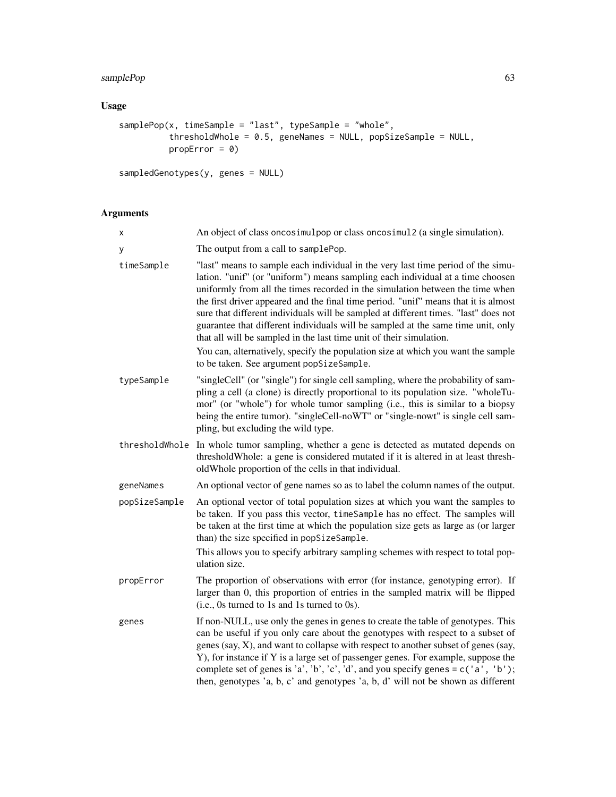# samplePop 63

# Usage

```
samplePop(x, timeSample = "last", typeSample = "whole",
         thresholdWhole = 0.5, geneNames = NULL, popSizeSample = NULL,
          propError = 0)
```

```
sampledGenotypes(y, genes = NULL)
```
# Arguments

| Χ              | An object of class on cosimulpop or class on cosimul 2 (a single simulation).                                                                                                                                                                                                                                                                                                                                                                                                                                                                                                                                                                                                                                                |
|----------------|------------------------------------------------------------------------------------------------------------------------------------------------------------------------------------------------------------------------------------------------------------------------------------------------------------------------------------------------------------------------------------------------------------------------------------------------------------------------------------------------------------------------------------------------------------------------------------------------------------------------------------------------------------------------------------------------------------------------------|
| y              | The output from a call to samplePop.                                                                                                                                                                                                                                                                                                                                                                                                                                                                                                                                                                                                                                                                                         |
| timeSample     | "last" means to sample each individual in the very last time period of the simu-<br>lation. "unif" (or "uniform") means sampling each individual at a time choosen<br>uniformly from all the times recorded in the simulation between the time when<br>the first driver appeared and the final time period. "unif" means that it is almost<br>sure that different individuals will be sampled at different times. "last" does not<br>guarantee that different individuals will be sampled at the same time unit, only<br>that all will be sampled in the last time unit of their simulation.<br>You can, alternatively, specify the population size at which you want the sample<br>to be taken. See argument popSizeSample. |
| typeSample     | "singleCell" (or "single") for single cell sampling, where the probability of sam-<br>pling a cell (a clone) is directly proportional to its population size. "wholeTu-<br>mor" (or "whole") for whole tumor sampling (i.e., this is similar to a biopsy<br>being the entire tumor). "singleCell-noWT" or "single-nowt" is single cell sam-<br>pling, but excluding the wild type.                                                                                                                                                                                                                                                                                                                                           |
| thresholdWhole | In whole tumor sampling, whether a gene is detected as mutated depends on<br>threshold Whole: a gene is considered mutated if it is altered in at least thresh-<br>oldWhole proportion of the cells in that individual.                                                                                                                                                                                                                                                                                                                                                                                                                                                                                                      |
| geneNames      | An optional vector of gene names so as to label the column names of the output.                                                                                                                                                                                                                                                                                                                                                                                                                                                                                                                                                                                                                                              |
| popSizeSample  | An optional vector of total population sizes at which you want the samples to<br>be taken. If you pass this vector, timeSample has no effect. The samples will<br>be taken at the first time at which the population size gets as large as (or larger<br>than) the size specified in popSizeSample.<br>This allows you to specify arbitrary sampling schemes with respect to total pop-                                                                                                                                                                                                                                                                                                                                      |
|                | ulation size.                                                                                                                                                                                                                                                                                                                                                                                                                                                                                                                                                                                                                                                                                                                |
| propError      | The proportion of observations with error (for instance, genotyping error). If<br>larger than 0, this proportion of entries in the sampled matrix will be flipped<br>(i.e., 0s turned to 1s and 1s turned to 0s).                                                                                                                                                                                                                                                                                                                                                                                                                                                                                                            |
| genes          | If non-NULL, use only the genes in genes to create the table of genotypes. This<br>can be useful if you only care about the genotypes with respect to a subset of<br>genes (say, X), and want to collapse with respect to another subset of genes (say,<br>Y), for instance if Y is a large set of passenger genes. For example, suppose the<br>complete set of genes is 'a', 'b', 'c', 'd', and you specify genes = $c('a', 'b')$ ;<br>then, genotypes 'a, b, c' and genotypes 'a, b, d' will not be shown as different                                                                                                                                                                                                     |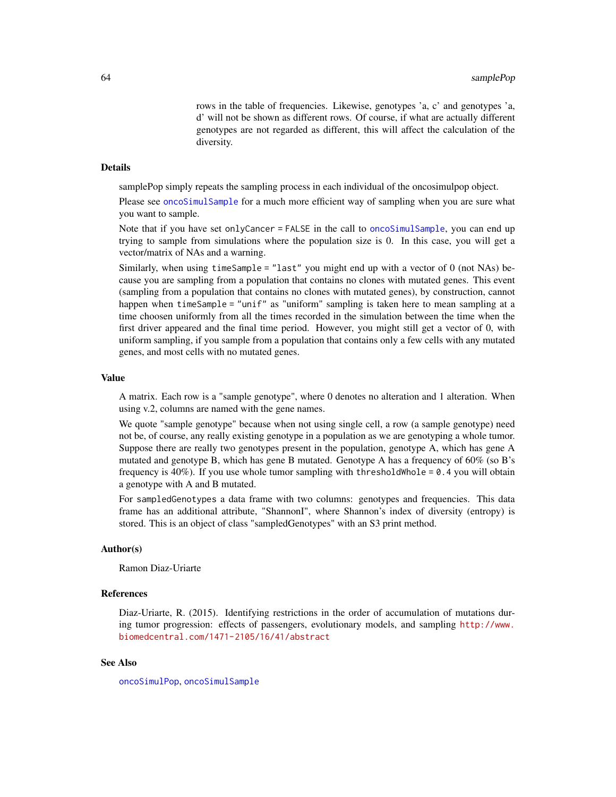rows in the table of frequencies. Likewise, genotypes 'a, c' and genotypes 'a, d' will not be shown as different rows. Of course, if what are actually different genotypes are not regarded as different, this will affect the calculation of the diversity.

#### <span id="page-63-0"></span>Details

samplePop simply repeats the sampling process in each individual of the oncosimulpop object.

Please see [oncoSimulSample](#page-21-2) for a much more efficient way of sampling when you are sure what you want to sample.

Note that if you have set onlyCancer = FALSE in the call to [oncoSimulSample](#page-21-2), you can end up trying to sample from simulations where the population size is 0. In this case, you will get a vector/matrix of NAs and a warning.

Similarly, when using timeSample = "last" you might end up with a vector of 0 (not NAs) because you are sampling from a population that contains no clones with mutated genes. This event (sampling from a population that contains no clones with mutated genes), by construction, cannot happen when timeSample = "unif" as "uniform" sampling is taken here to mean sampling at a time choosen uniformly from all the times recorded in the simulation between the time when the first driver appeared and the final time period. However, you might still get a vector of 0, with uniform sampling, if you sample from a population that contains only a few cells with any mutated genes, and most cells with no mutated genes.

#### Value

A matrix. Each row is a "sample genotype", where 0 denotes no alteration and 1 alteration. When using v.2, columns are named with the gene names.

We quote "sample genotype" because when not using single cell, a row (a sample genotype) need not be, of course, any really existing genotype in a population as we are genotyping a whole tumor. Suppose there are really two genotypes present in the population, genotype A, which has gene A mutated and genotype B, which has gene B mutated. Genotype A has a frequency of 60% (so B's frequency is  $40\%$ ). If you use whole tumor sampling with thresholdWhole = 0.4 you will obtain a genotype with A and B mutated.

For sampledGenotypes a data frame with two columns: genotypes and frequencies. This data frame has an additional attribute, "ShannonI", where Shannon's index of diversity (entropy) is stored. This is an object of class "sampledGenotypes" with an S3 print method.

#### Author(s)

Ramon Diaz-Uriarte

#### References

Diaz-Uriarte, R. (2015). Identifying restrictions in the order of accumulation of mutations during tumor progression: effects of passengers, evolutionary models, and sampling [http://www.](http://www.biomedcentral.com/1471-2105/16/41/abstract) [biomedcentral.com/1471-2105/16/41/abstract](http://www.biomedcentral.com/1471-2105/16/41/abstract)

# See Also

[oncoSimulPop](#page-21-2), [oncoSimulSample](#page-21-2)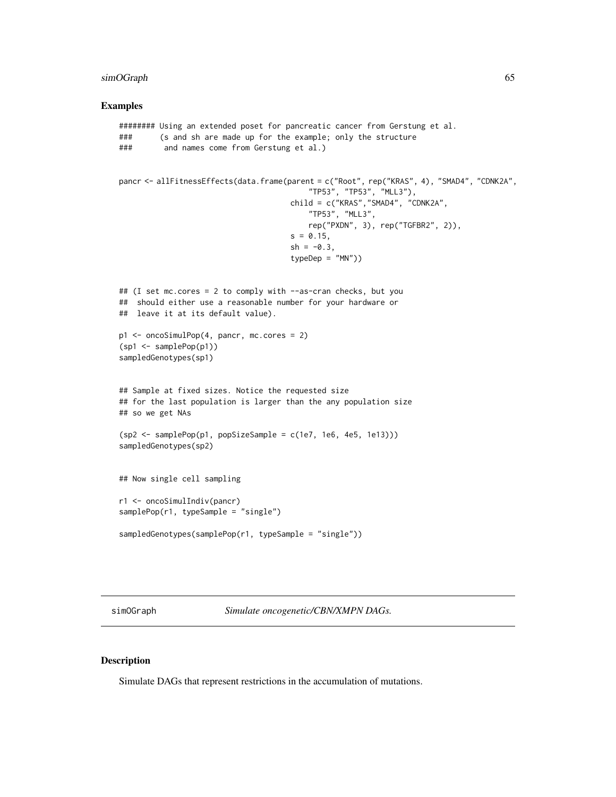# <span id="page-64-0"></span>simOGraph 65

#### Examples

```
######## Using an extended poset for pancreatic cancer from Gerstung et al.
### (s and sh are made up for the example; only the structure
### and names come from Gerstung et al.)
pancr <- allFitnessEffects(data.frame(parent = c("Root", rep("KRAS", 4), "SMAD4", "CDNK2A",
                                          "TP53", "TP53", "MLL3"),
                                     child = c("KRAS","SMAD4", "CDNK2A",
                                          "TP53", "MLL3",
                                         rep("PXDN", 3), rep("TGFBR2", 2)),
                                     s = 0.15,
                                     sh = -0.3,
                                     typeDep = "MN")## (I set mc.cores = 2 to comply with --as-cran checks, but you
## should either use a reasonable number for your hardware or
## leave it at its default value).
p1 <- oncoSimulPop(4, pancr, mc.cores = 2)
(sp1 <- samplePop(p1))
sampledGenotypes(sp1)
## Sample at fixed sizes. Notice the requested size
## for the last population is larger than the any population size
## so we get NAs
(sp2 <- samplePop(p1, popSizeSample = c(1e7, 1e6, 4e5, 1e13)))
sampledGenotypes(sp2)
## Now single cell sampling
r1 <- oncoSimulIndiv(pancr)
samplePop(r1, typeSample = "single")
sampledGenotypes(samplePop(r1, typeSample = "single"))
```
simOGraph *Simulate oncogenetic/CBN/XMPN DAGs.*

#### Description

Simulate DAGs that represent restrictions in the accumulation of mutations.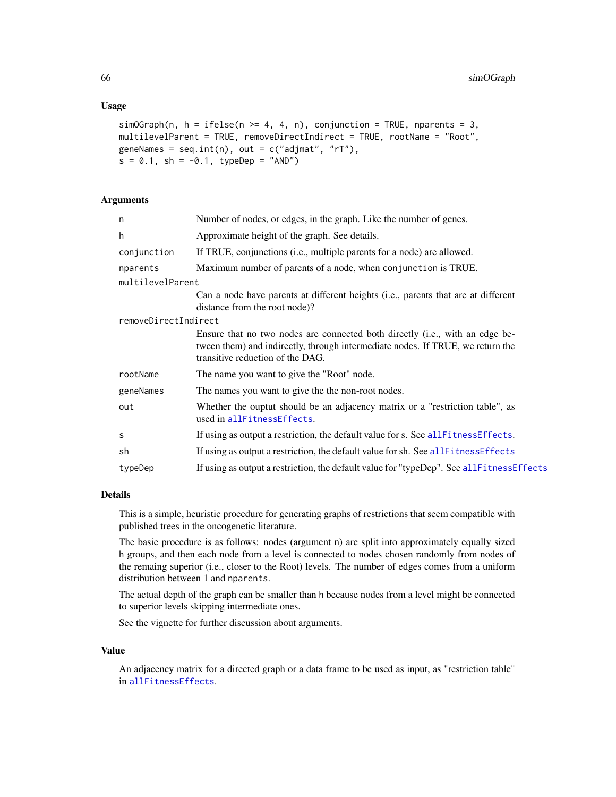#### <span id="page-65-0"></span>Usage

```
simOGraph(n, h = ifelse(n >= 4, 4, n), conjunction = TRUE, parents = 3,multilevelParent = TRUE, removeDirectIndirect = TRUE, rootName = "Root",
geneNames = seq.int(n), out = c("adjust", "rT"),s = 0.1, sh = -0.1, typeDep = "AND")
```
#### Arguments

| n                    | Number of nodes, or edges, in the graph. Like the number of genes.                                                                                                                                 |
|----------------------|----------------------------------------------------------------------------------------------------------------------------------------------------------------------------------------------------|
| h                    | Approximate height of the graph. See details.                                                                                                                                                      |
| conjunction          | If TRUE, conjunctions (i.e., multiple parents for a node) are allowed.                                                                                                                             |
| nparents             | Maximum number of parents of a node, when conjunction is TRUE.                                                                                                                                     |
| multilevelParent     |                                                                                                                                                                                                    |
|                      | Can a node have parents at different heights (i.e., parents that are at different<br>distance from the root node)?                                                                                 |
| removeDirectIndirect |                                                                                                                                                                                                    |
|                      | Ensure that no two nodes are connected both directly (i.e., with an edge be-<br>tween them) and indirectly, through intermediate nodes. If TRUE, we return the<br>transitive reduction of the DAG. |
| rootName             | The name you want to give the "Root" node.                                                                                                                                                         |
| geneNames            | The names you want to give the the non-root nodes.                                                                                                                                                 |
| out                  | Whether the ouptut should be an adjacency matrix or a "restriction table", as<br>used in allFitnessEffects.                                                                                        |
| s                    | If using as output a restriction, the default value for s. See allFitnessEffects.                                                                                                                  |
| sh                   | If using as output a restriction, the default value for sh. See allFitnessEffects                                                                                                                  |
| typeDep              | If using as output a restriction, the default value for "typeDep". See allFitnessEffects                                                                                                           |
|                      |                                                                                                                                                                                                    |

#### Details

This is a simple, heuristic procedure for generating graphs of restrictions that seem compatible with published trees in the oncogenetic literature.

The basic procedure is as follows: nodes (argument n) are split into approximately equally sized h groups, and then each node from a level is connected to nodes chosen randomly from nodes of the remaing superior (i.e., closer to the Root) levels. The number of edges comes from a uniform distribution between 1 and nparents.

The actual depth of the graph can be smaller than h because nodes from a level might be connected to superior levels skipping intermediate ones.

See the vignette for further discussion about arguments.

# Value

An adjacency matrix for a directed graph or a data frame to be used as input, as "restriction table" in [allFitnessEffects](#page-2-1).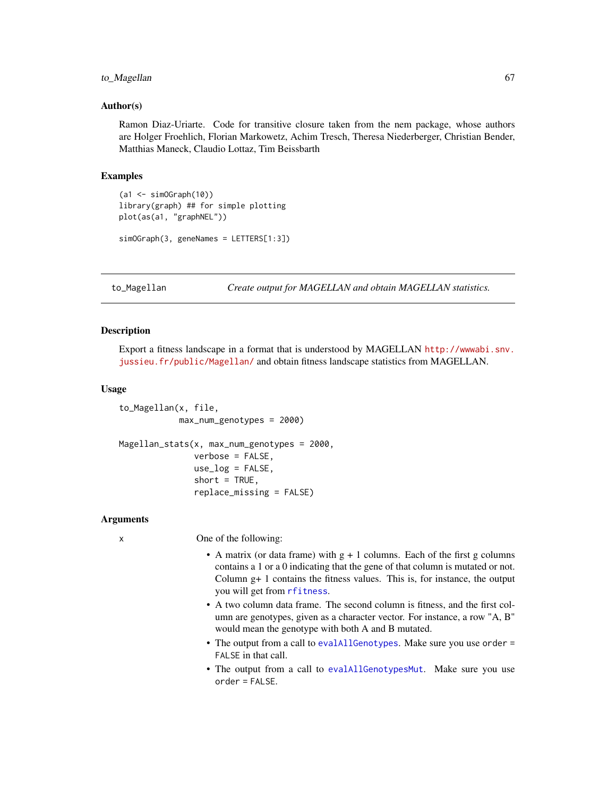#### <span id="page-66-0"></span>to\_Magellan 67

#### Author(s)

Ramon Diaz-Uriarte. Code for transitive closure taken from the nem package, whose authors are Holger Froehlich, Florian Markowetz, Achim Tresch, Theresa Niederberger, Christian Bender, Matthias Maneck, Claudio Lottaz, Tim Beissbarth

# Examples

```
(a1 <- simOGraph(10))
library(graph) ## for simple plotting
plot(as(a1, "graphNEL"))
simOGraph(3, geneNames = LETTERS[1:3])
```
to\_Magellan *Create output for MAGELLAN and obtain MAGELLAN statistics.*

#### <span id="page-66-1"></span>Description

Export a fitness landscape in a format that is understood by MAGELLAN [http://wwwabi.snv.](http://wwwabi.snv.jussieu.fr/public/Magellan/) [jussieu.fr/public/Magellan/](http://wwwabi.snv.jussieu.fr/public/Magellan/) and obtain fitness landscape statistics from MAGELLAN.

#### Usage

```
to_Magellan(x, file,
            max_num_genotypes = 2000)
Magellan_stats(x, max_num_genotypes = 2000,
               verbose = FALSE,
               use_log = FALSE,
               short = TRUE,replace_missing = FALSE)
```
### Arguments

x One of the following:

- A matrix (or data frame) with  $g + 1$  columns. Each of the first g columns contains a 1 or a 0 indicating that the gene of that column is mutated or not. Column g+ 1 contains the fitness values. This is, for instance, the output you will get from [rfitness](#page-56-1).
- A two column data frame. The second column is fitness, and the first column are genotypes, given as a character vector. For instance, a row "A, B" would mean the genotype with both A and B mutated.
- The output from a call to [evalAllGenotypes](#page-12-2). Make sure you use order = FALSE in that call.
- The output from a call to [evalAllGenotypesMut](#page-12-1). Make sure you use order = FALSE.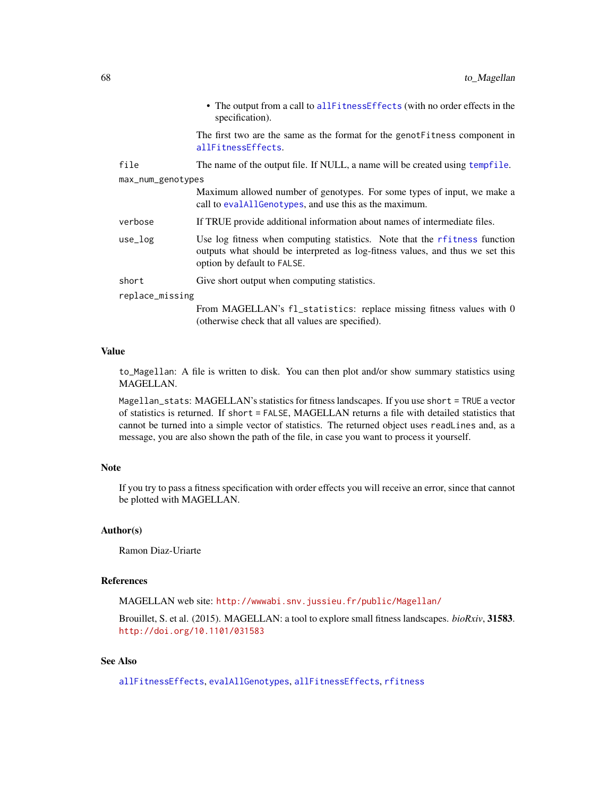<span id="page-67-0"></span>

|                   | • The output from a call to all Fitness Effects (with no order effects in the<br>specification).                                                                                            |  |
|-------------------|---------------------------------------------------------------------------------------------------------------------------------------------------------------------------------------------|--|
|                   | The first two are the same as the format for the genot Fitness component in<br>allFitnessEffects.                                                                                           |  |
| file              | The name of the output file. If NULL, a name will be created using tempfile.                                                                                                                |  |
| max_num_genotypes |                                                                                                                                                                                             |  |
|                   | Maximum allowed number of genotypes. For some types of input, we make a<br>call to evalable of the same and use this as the maximum.                                                        |  |
| verbose           | If TRUE provide additional information about names of intermediate files.                                                                                                                   |  |
| $use_log$         | Use log fitness when computing statistics. Note that the rfitness function<br>outputs what should be interpreted as log-fitness values, and thus we set this<br>option by default to FALSE. |  |
| short             | Give short output when computing statistics.                                                                                                                                                |  |
| replace_missing   |                                                                                                                                                                                             |  |
|                   | From MAGELLAN's fl_statistics: replace missing fitness values with 0                                                                                                                        |  |

#### Value

to\_Magellan: A file is written to disk. You can then plot and/or show summary statistics using MAGELLAN.

(otherwise check that all values are specified).

Magellan\_stats: MAGELLAN's statistics for fitness landscapes. If you use short = TRUE a vector of statistics is returned. If short = FALSE, MAGELLAN returns a file with detailed statistics that cannot be turned into a simple vector of statistics. The returned object uses readLines and, as a message, you are also shown the path of the file, in case you want to process it yourself.

#### Note

If you try to pass a fitness specification with order effects you will receive an error, since that cannot be plotted with MAGELLAN.

# Author(s)

Ramon Diaz-Uriarte

# References

MAGELLAN web site: <http://wwwabi.snv.jussieu.fr/public/Magellan/>

Brouillet, S. et al. (2015). MAGELLAN: a tool to explore small fitness landscapes. *bioRxiv*, 31583. <http://doi.org/10.1101/031583>

# See Also

[allFitnessEffects](#page-2-1), [evalAllGenotypes](#page-12-2), [allFitnessEffects](#page-2-1), [rfitness](#page-56-1)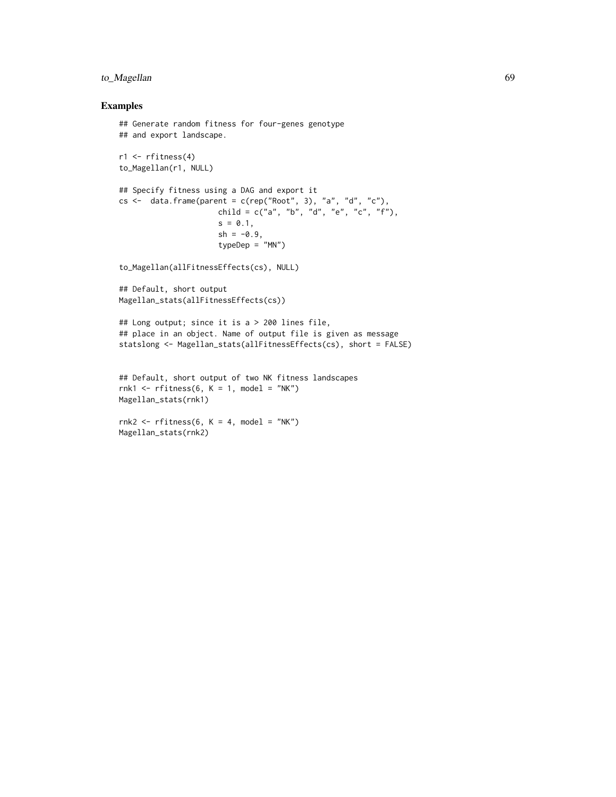# to\_Magellan 69

# Examples

```
## Generate random fitness for four-genes genotype
## and export landscape.
r1 \leftarrow rfitness(4)to_Magellan(r1, NULL)
## Specify fitness using a DAG and export it
cs \le data.frame(parent = c(rep("Root", 3), "a", "d", "c"),
                      child = c("a", "b", "d", "e", "c", "f"),
                      s = 0.1,
                      sh = -0.9,
                      typeDep = "MN")
to_Magellan(allFitnessEffects(cs), NULL)
## Default, short output
Magellan_stats(allFitnessEffects(cs))
## Long output; since it is a > 200 lines file,
## place in an object. Name of output file is given as message
statslong <- Magellan_stats(allFitnessEffects(cs), short = FALSE)
## Default, short output of two NK fitness landscapes
rnk1 <- rfitness(6, K = 1, model = "NK")
Magellan_stats(rnk1)
rnk2 \leq r fitness(6, K = 4, model = "NK")
Magellan_stats(rnk2)
```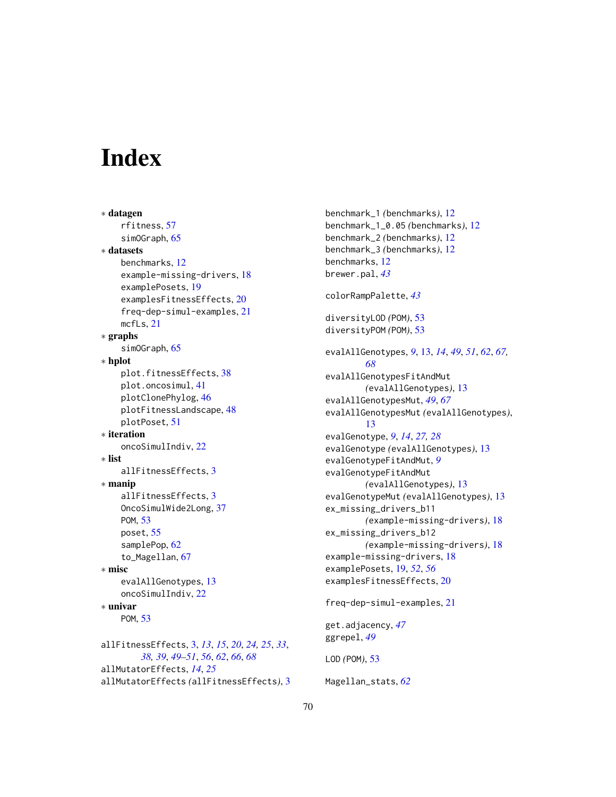# <span id="page-69-0"></span>**Index**

∗ datagen rfitness, [57](#page-56-0) simOGraph, [65](#page-64-0) ∗ datasets benchmarks, [12](#page-11-0) example-missing-drivers, [18](#page-17-0) examplePosets, [19](#page-18-0) examplesFitnessEffects, [20](#page-19-0) freq-dep-simul-examples, [21](#page-20-0) mcfLs, [21](#page-20-0) ∗ graphs simOGraph, [65](#page-64-0) ∗ hplot plot.fitnessEffects, [38](#page-37-0) plot.oncosimul, [41](#page-40-0) plotClonePhylog, [46](#page-45-0) plotFitnessLandscape, [48](#page-47-0) plotPoset, [51](#page-50-0) ∗ iteration oncoSimulIndiv, [22](#page-21-0) ∗ list allFitnessEffects, [3](#page-2-0) ∗ manip allFitnessEffects, [3](#page-2-0) OncoSimulWide2Long, [37](#page-36-0) POM, [53](#page-52-0) poset, [55](#page-54-0) samplePop, [62](#page-61-0) to\_Magellan, [67](#page-66-0) ∗ misc evalAllGenotypes, [13](#page-12-0) oncoSimulIndiv, [22](#page-21-0) ∗ univar POM, [53](#page-52-0) allFitnessEffects, [3,](#page-2-0) *[13](#page-12-0)*, *[15](#page-14-0)*, *[20](#page-19-0)*, *[24,](#page-23-0) [25](#page-24-0)*, *[33](#page-32-0)*, *[38,](#page-37-0) [39](#page-38-0)*, *[49](#page-48-0)[–51](#page-50-0)*, *[56](#page-55-0)*, *[62](#page-61-0)*, *[66](#page-65-0)*, *[68](#page-67-0)* allMutatorEffects, *[14](#page-13-0)*, *[25](#page-24-0)* allMutatorEffects *(*allFitnessEffects*)*, [3](#page-2-0) benchmark\_1 *(*benchmarks*)*, [12](#page-11-0) benchmark\_1\_0.05 *(*benchmarks*)*, [12](#page-11-0) benchmark\_2 *(*benchmarks*)*, [12](#page-11-0) benchmark\_3 *(*benchmarks*)*, [12](#page-11-0) benchmarks, [12](#page-11-0) brewer.pal, *[43](#page-42-0)* colorRampPalette, *[43](#page-42-0)* diversityLOD *(*POM*)*, [53](#page-52-0) diversityPOM *(*POM*)*, [53](#page-52-0) evalAllGenotypes, *[9](#page-8-0)*, [13,](#page-12-0) *[14](#page-13-0)*, *[49](#page-48-0)*, *[51](#page-50-0)*, *[62](#page-61-0)*, *[67,](#page-66-0) [68](#page-67-0)* evalAllGenotypesFitAndMut *(*evalAllGenotypes*)*, [13](#page-12-0) evalAllGenotypesMut, *[49](#page-48-0)*, *[67](#page-66-0)* evalAllGenotypesMut *(*evalAllGenotypes*)*, [13](#page-12-0) evalGenotype, *[9](#page-8-0)*, *[14](#page-13-0)*, *[27,](#page-26-0) [28](#page-27-0)* evalGenotype *(*evalAllGenotypes*)*, [13](#page-12-0) evalGenotypeFitAndMut, *[9](#page-8-0)* evalGenotypeFitAndMut *(*evalAllGenotypes*)*, [13](#page-12-0) evalGenotypeMut *(*evalAllGenotypes*)*, [13](#page-12-0) ex\_missing\_drivers\_b11 *(*example-missing-drivers*)*, [18](#page-17-0) ex\_missing\_drivers\_b12 *(*example-missing-drivers*)*, [18](#page-17-0) example-missing-drivers, [18](#page-17-0) examplePosets, [19,](#page-18-0) *[52](#page-51-0)*, *[56](#page-55-0)* examplesFitnessEffects, [20](#page-19-0) freq-dep-simul-examples, [21](#page-20-0) get.adjacency, *[47](#page-46-0)* ggrepel, *[49](#page-48-0)* LOD *(*POM*)*, [53](#page-52-0)

Magellan\_stats, *[62](#page-61-0)*